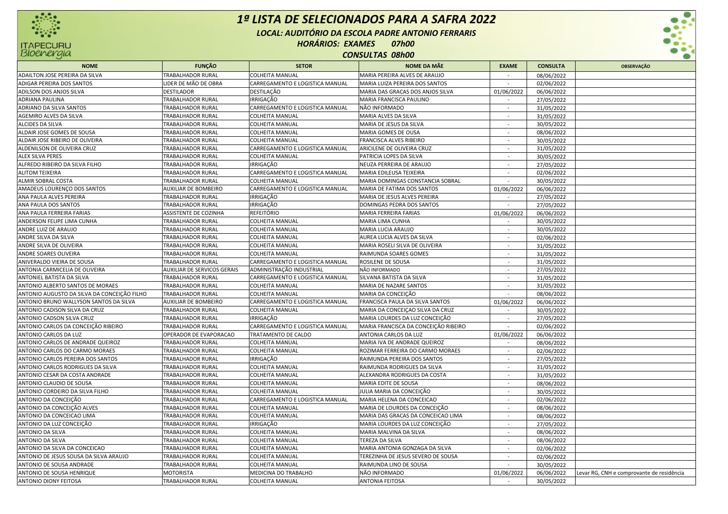

## *1ª LISTA DE SELECIONADOS PARA A SAFRA 2022LOCAL: AUDITÓRIO DA ESCOLA PADRE ANTONIO FERRARISHORÁRIOS: EXAMES 07h00 CONSULTAS 08h00*



| <b>NOME</b>                                 | <b>FUNÇÃO</b>               | <b>SETOR</b>                    | <b>NOME DA MÃE</b>                   | <b>EXAME</b>             | <b>CONSULTA</b> | <b>OBSERVAÇÃO</b>                         |
|---------------------------------------------|-----------------------------|---------------------------------|--------------------------------------|--------------------------|-----------------|-------------------------------------------|
| ADAILTON JOSE PEREIRA DA SILVA              | TRABALHADOR RURAI           | COLHEITA MANUAL                 | MARIA PEREIRA ALVES DE ARAUJO        |                          | 08/06/2022      |                                           |
| ADIGAR PEREIRA DOS SANTOS                   | LIDER DE MÃO DE OBRA        | CARREGAMENTO E LOGISTICA MANUAL | MARIA LUIZA PEREIRA DOS SANTOS       |                          | 02/06/2022      |                                           |
| ADILSON DOS ANJOS SILVA                     | <b>DESTILADOR</b>           | DESTILAÇÃO                      | MARIA DAS GRACAS DOS ANJOS SILVA     | 01/06/2022               | 06/06/2022      |                                           |
| <b>ADRIANA PAULINA</b>                      | TRABALHADOR RURAL           | <b>IRRIGAÇÃO</b>                | MARIA FRANCISCA PAULINO              | $\sim$                   | 27/05/2022      |                                           |
| ADRIANO DA SILVA SANTOS                     | TRABALHADOR RURAL           | CARREGAMENTO E LOGISTICA MANUAL | NÃO INFORMADO                        | $\sim$                   | 31/05/2022      |                                           |
| AGEMIRO ALVES DA SILVA                      | TRABALHADOR RURAL           | COLHEITA MANUAL                 | MARIA ALVES DA SILVA                 | $\sim$                   | 31/05/2022      |                                           |
| <b>ALCIDES DA SILVA</b>                     | TRABALHADOR RURAL           | COLHEITA MANUAL                 | MARIA DE JESUS DA SILVA              |                          | 30/05/2022      |                                           |
| ALDAIR JOSE GOMES DE SOUSA                  | <b>TRABALHADOR RURAL</b>    | <b>COLHEITA MANUAL</b>          | MARIA GOMES DE OUSA                  |                          | 08/06/2022      |                                           |
| ALDAIR JOSE RIBEIRO DE OLIVEIRA             | <b>TRABALHADOR RURAL</b>    | <b>COLHEITA MANUAL</b>          | <b>FRANCISCA ALVES RIBEIRO</b>       | $\sim$                   | 30/05/2022      |                                           |
| ALDENILSON DE OLIVEIRA CRUZ                 | TRABALHADOR RURAI           | CARREGAMENTO E LOGISTICA MANUAL | ARICILENE DE OLIVEIRA CRUZ           | $\sim$                   | 31/05/2022      |                                           |
| <b>ALEX SILVA PERES</b>                     | <b>TRABALHADOR RURAL</b>    | <b>COLHEITA MANUAL</b>          | PATRICIA LOPES DA SILVA              | $\sim$                   | 30/05/2022      |                                           |
| ALFREDO RIBEIRO DA SILVA FILHO              | TRABALHADOR RURAL           | <b>IRRIGAÇÃO</b>                | NEUZA PERREIRA DE ARAUJO             | $\sim$                   | 27/05/2022      |                                           |
| <b>ALITOM TEIXEIRA</b>                      | TRABALHADOR RURAL           | CARREGAMENTO E LOGISTICA MANUAL | MARIA EDILEUSA TEIXEIRA              |                          | 02/06/2022      |                                           |
| ALMIR SOBRAL COSTA                          | TRABALHADOR RURAL           | COLHEITA MANUAL                 | MARIA DOMINGAS CONSTANCIA SOBRAL     |                          | 30/05/2022      |                                           |
| AMADEUS LOURENCO DOS SANTOS                 | <b>AUXILIAR DE BOMBEIRO</b> | CARREGAMENTO E LOGISTICA MANUAL | MARIA DE FATIMA DOS SANTOS           | 01/06/2022               | 06/06/2022      |                                           |
| ANA PAULA ALVES PEREIRA                     | <b>TRABALHADOR RURAL</b>    | <b>IRRIGAÇÃO</b>                | MARIA DE JESUS ALVES PEREIRA         |                          | 27/05/2022      |                                           |
| ANA PAULA DOS SANTOS                        | TRABALHADOR RURAI           | <b>IRRIGAÇÃO</b>                | DOMINGAS PEDRA DOS SANTOS            | $\sim$                   | 27/05/2022      |                                           |
| ANA PAULA FERREIRA FARIAS                   | ASSISTENTE DE COZINHA       | <b>REFEITÓRIO</b>               | <b>MARIA FERREIRA FARIAS</b>         | 01/06/2022               | 06/06/2022      |                                           |
| ANDERSON FELIPE LIMA CUNHA                  | TRABALHADOR RURAL           | <b>COLHEITA MANUAL</b>          | <b>MARIA LIMA CUNHA</b>              | $\overline{\phantom{a}}$ | 30/05/2022      |                                           |
| ANDRE LUIZ DE ARAUJO                        | TRABALHADOR RURAL           | <b>COLHEITA MANUAL</b>          | MARIA LUCIA ARAUJO                   | $\sim$                   | 30/05/2022      |                                           |
| ANDRE SILVA DA SILVA                        | <b>TRABALHADOR RURAL</b>    | <b>COLHEITA MANUAL</b>          | AUREA LUCIA ALVES DA SILVA           |                          | 02/06/2022      |                                           |
| ANDRE SILVA DE OLIVEIRA                     | TRABALHADOR RURAL           | <b>COLHEITA MANUAL</b>          | MARIA ROSELI SILVA DE OLIVEIRA       |                          | 31/05/2022      |                                           |
| ANDRE SOARES OLIVEIRA                       | <b>TRABALHADOR RURAL</b>    | <b>COLHEITA MANUAL</b>          | RAIMUNDA SOARES GOMES                | $\overline{\phantom{a}}$ | 31/05/2022      |                                           |
| ANIVERALDO VIEIRA DE SOUSA                  | TRABALHADOR RURAI           | CARREGAMENTO E LOGISTICA MANUAL | ROSILENE DE SOUSA                    | $\overline{\phantom{a}}$ | 31/05/2022      |                                           |
| ANTONIA CARMICELIA DE OLIVEIRA              | AUXILIAR DE SERVICOS GERAIS | ADMINISTRAÇÃO INDUSTRIAL        | NÃO INFORMADO                        | $\sim$                   | 27/05/2022      |                                           |
| ANTONIEL BATISTA DA SILVA                   | TRABALHADOR RURAL           | CARREGAMENTO E LOGISTICA MANUAL | SILVANA BATISTA DA SILVA             |                          | 31/05/2022      |                                           |
| ANTONIO ALBERTO SANTOS DE MORAES            | <b>TRABALHADOR RURAL</b>    | <b>COLHEITA MANUAL</b>          | MARIA DE NAZARE SANTOS               |                          | 31/05/2022      |                                           |
| ANTONIO AUGUSTO DA SILVA DA CONCEIÇÃO FILHO | TRABALHADOR RURAI           | <b>COLHEITA MANUAL</b>          | MARIA DA CONCEIÇÃO                   |                          | 08/06/2022      |                                           |
| ANTONIO BRUNO WALLYSON SANTOS DA SILVA      | AUXILIAR DE BOMBEIRO        | CARREGAMENTO E LOGISTICA MANUAL | FRANCISCA PAULA DA SILVA SANTOS      | 01/06/2022               | 06/06/2022      |                                           |
| ANTONIO CADISON SILVA DA CRUZ               | TRABALHADOR RURAL           | <b>COLHEITA MANUAL</b>          | MARIA DA CONCEIÇÃO SILVA DA CRUZ     | $\sim$                   | 30/05/2022      |                                           |
| ANTONIO CADSON SILVA CRUZ                   | TRABALHADOR RURAL           | <b>IRRIGAÇÃO</b>                | MARIA LOURDES DA LUZ CONCEIÇÃO       | $\sim$                   | 27/05/2022      |                                           |
| ANTONIO CARLOS DA CONCEIÇÃO RIBEIRO         | TRABALHADOR RURAL           | CARREGAMENTO E LOGISTICA MANUAL | MARIA FRANCISCA DA CONCEIÇÃO RIBEIRO | $\overline{\phantom{a}}$ | 02/06/2022      |                                           |
| ANTONIO CARLOS DA LUZ                       | OPERADOR DE EVAPORACAO      | TRATAMENTO DE CALDO             | ANTONIA CARLOS DA LUZ                | 01/06/2022               | 06/06/2022      |                                           |
| ANTONIO CARLOS DE ANDRADE QUEIROZ           | TRABALHADOR RURAL           | <b>COLHEITA MANUAL</b>          | MARIA IVA DE ANDRADE QUEIROZ         | $\overline{\phantom{a}}$ | 08/06/2022      |                                           |
| ANTONIO CARLOS DO CARMO MORAES              | TRABALHADOR RURAL           | <b>COLHEITA MANUAL</b>          | ROZIMAR FERREIRA DO CARMO MORAES     |                          | 02/06/2022      |                                           |
| ANTONIO CARLOS PEREIRA DOS SANTOS           | TRABALHADOR RURAL           | <b>IRRIGAÇÃO</b>                | RAIMUNDA PEREIRA DOS SANTOS          |                          | 27/05/2022      |                                           |
| ANTONIO CARLOS RODRIGUES DA SILVA           | TRABALHADOR RURAI           | <b>COLHEITA MANUAL</b>          | RAIMUNDA RODRIGUES DA SILVA          | $\mathbf{r}$             | 31/05/2022      |                                           |
| ANTONIO CESAR DA COSTA ANDRADE              | <b>TRABALHADOR RURAL</b>    | <b>COLHEITA MANUAL</b>          | ALEXANDRA RODRIGUES DA COSTA         | $\overline{a}$           | 31/05/2022      |                                           |
| ANTONIO CLAUDIO DE SOUSA                    | TRABALHADOR RURAL           | <b>COLHEITA MANUAL</b>          | MARIA EDITE DE SOUSA                 | $\sim$                   | 08/06/2022      |                                           |
| ANTONIO CORDEIRO DA SILVA FILHO             | TRABALHADOR RURAL           | <b>COLHEITA MANUAL</b>          | JULIA MARIA DA CONCEIÇÃO             | $\sim$                   | 30/05/2022      |                                           |
| ANTONIO DA CONCEIÇÃO                        | <b>TRABALHADOR RURAL</b>    | CARREGAMENTO E LOGISTICA MANUAL | MARIA HELENA DA CONCEICAO            | $\sim$                   | 02/06/2022      |                                           |
| ANTONIO DA CONCEIÇÃO ALVES                  | TRABALHADOR RURAL           | COLHEITA MANUAL                 | MARIA DE LOURDES DA CONCEIÇÃO        |                          | 08/06/2022      |                                           |
| ANTONIO DA CONCEICAO LIMA                   | TRABALHADOR RURAL           | <b>COLHEITA MANUAL</b>          | MARIA DAS GRACAS DA CONCEICAO LIMA   |                          | 08/06/2022      |                                           |
| ANTONIO DA LUZ CONCEIÇÃO                    | TRABALHADOR RURAI           | <b>IRRIGAÇÃO</b>                | MARIA LOURDES DA LUZ CONCEIÇÃO       |                          | 27/05/2022      |                                           |
| ANTONIO DA SILVA                            | <b>TRABALHADOR RURAL</b>    | <b>COLHEITA MANUAL</b>          | MARIA MALVINA DA SILVA               |                          | 08/06/2022      |                                           |
| ANTONIO DA SILVA                            | TRABALHADOR RURAL           | <b>COLHEITA MANUAL</b>          | TEREZA DA SILVA                      | $\sim$                   | 08/06/2022      |                                           |
| ANTONIO DA SILVA DA CONCEICAO               | TRABALHADOR RURAL           | <b>COLHEITA MANUAL</b>          | MARIA ANTONIA GONZAGA DA SILVA       | $\sim$                   | 02/06/2022      |                                           |
| ANTONIO DE JESUS SOUSA DA SILVA ARAUJO      | <b>TRABALHADOR RURAL</b>    | COLHEITA MANUAL                 | TEREZINHA DE JESUS SEVERO DE SOUSA   | $\sim$                   | 02/06/2022      |                                           |
| ANTONIO DE SOUSA ANDRADE                    | TRABALHADOR RURAL           | <b>COLHEITA MANUAL</b>          | RAIMUNDA LINO DE SOUSA               |                          | 30/05/2022      |                                           |
| ANTONIO DE SOUSA HENRIQUE                   | <b>MOTORISTA</b>            | MEDICINA DO TRABALHO            | NÃO INFORMADO                        | 01/06/2022               | 06/06/2022      | Levar RG, CNH e comprovante de residência |
| <b>ANTONIO DIONY FEITOSA</b>                | <b>TRABALHADOR RURAL</b>    | <b>COLHEITA MANUAL</b>          | <b>ANTONIA FEITOSA</b>               |                          | 30/05/2022      |                                           |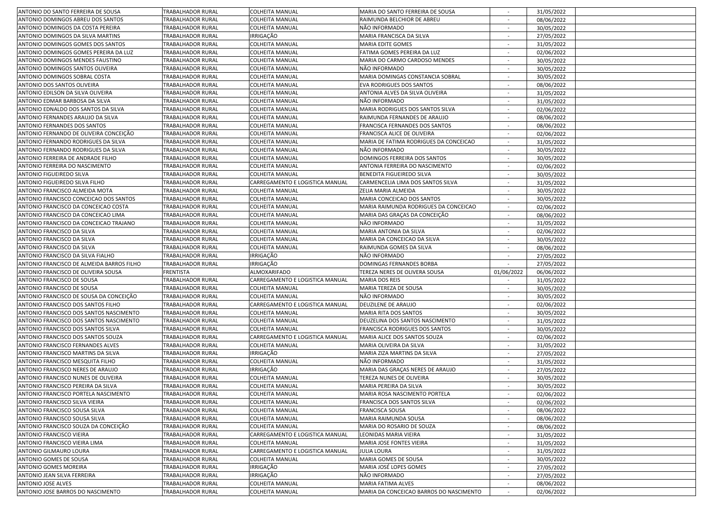| ANTONIO DO SANTO FERREIRA DE SOUSA                                     | <b>TRABALHADOR RURAL</b>                      | <b>COLHEITA MANUAL</b>             | MARIA DO SANTO FERREIRA DE SOUSA                              |                          | 31/05/2022               |  |
|------------------------------------------------------------------------|-----------------------------------------------|------------------------------------|---------------------------------------------------------------|--------------------------|--------------------------|--|
| ANTONIO DOMINGOS ABREU DOS SANTOS                                      | TRABALHADOR RURAL                             | COLHEITA MANUAL                    | RAIMUNDA BELCHIOR DE ABREU                                    |                          | 08/06/2022               |  |
| ANTONIO DOMINGOS DA COSTA PEREIRA                                      | TRABALHADOR RURAL                             | COLHEITA MANUAL                    | NÃO INFORMADO                                                 |                          | 30/05/2022               |  |
| ANTONIO DOMINGOS DA SILVA MARTINS                                      | TRABALHADOR RURAL                             | IRRIGAÇÃO                          | MARIA FRANCISCA DA SILVA                                      | $\sim$                   | 27/05/2022               |  |
| ANTONIO DOMINGOS GOMES DOS SANTOS                                      | TRABALHADOR RURAL                             | COLHEITA MANUAL                    | MARIA EDITE GOMES                                             |                          | 31/05/2022               |  |
| ANTONIO DOMINGOS GOMES PEREIRA DA LUZ                                  | TRABALHADOR RURAL                             | COLHEITA MANUAL                    | FATIMA GOMES PEREIRA DA LUZ                                   | $\sim$                   | 02/06/2022               |  |
| ANTONIO DOMINGOS MENDES FAUSTINO                                       | TRABALHADOR RURAL                             | COLHEITA MANUAL                    | MARIA DO CARMO CARDOSO MENDES                                 |                          | 30/05/2022               |  |
| ANTONIO DOMINGOS SANTOS OLIVEIRA                                       | TRABALHADOR RURAL                             | COLHEITA MANUAL                    | NÃO INFORMADO                                                 |                          | 30/05/2022               |  |
| ANTONIO DOMINGOS SOBRAL COSTA                                          | TRABALHADOR RURAL                             | COLHEITA MANUAL                    | MARIA DOMINGAS CONSTANCIA SOBRAL                              |                          | 30/05/2022               |  |
| ANTONIO DOS SANTOS OLIVEIRA                                            | TRABALHADOR RURAL                             | COLHEITA MANUAL                    | EVA RODRIGUES DOS SANTOS                                      | $\overline{\phantom{a}}$ | 08/06/2022               |  |
| ANTONIO EDILSON DA SILVA OLIVEIRA                                      | TRABALHADOR RURAL                             | COLHEITA MANUAL                    | ANTONIA ALVES DA SILVA OLIVEIRA                               | $\sim$                   | 31/05/2022               |  |
| ANTONIO EDMAR BARBOSA DA SILVA                                         | TRABALHADOR RURAL                             | COLHEITA MANUAL                    | NÃO INFORMADO                                                 | $\overline{\phantom{a}}$ | 31/05/2022               |  |
| ANTONIO EDNALDO DOS SANTOS DA SILVA                                    | TRABALHADOR RURAL                             | COLHEITA MANUAL                    | MARIA RODRIGUES DOS SANTOS SILVA                              | $\sim$                   | 02/06/2022               |  |
| ANTONIO FERNANDES ARAUJO DA SILVA                                      | TRABALHADOR RURAL                             | COLHEITA MANUAL                    | RAIMUNDA FERNANDES DE ARAUJO                                  |                          | 08/06/2022               |  |
| ANTONIO FERNANDES DOS SANTOS                                           | TRABALHADOR RURAL                             | COLHEITA MANUAL                    | FRANCISCA FERNANDES DOS SANTOS                                |                          | 08/06/2022               |  |
| ANTONIO FERNANDO DE OLIVEIRA CONCEIÇÃO                                 | TRABALHADOR RURAL                             | COLHEITA MANUAL                    | FRANCISCA ALICE DE OLIVEIRA                                   |                          | 02/06/2022               |  |
| ANTONIO FERNANDO RODRIGUES DA SILVA                                    | TRABALHADOR RURAL                             | COLHEITA MANUAL                    | MARIA DE FATIMA RODRIGUES DA CONCEICAO                        |                          | 31/05/2022               |  |
| ANTONIO FERNANDO RODRIGUES DA SILVA                                    | TRABALHADOR RURAL                             | COLHEITA MANUAL                    | NÃO INFORMADO                                                 | $\sim$                   |                          |  |
|                                                                        | TRABALHADOR RURAL                             |                                    | DOMINGOS FERREIRA DOS SANTOS                                  | $\sim$                   | 30/05/2022               |  |
| ANTONIO FERREIRA DE ANDRADE FILHO                                      |                                               | COLHEITA MANUAL                    |                                                               | $\sim$                   | 30/05/2022               |  |
| ANTONIO FERREIRA DO NASCIMENTO                                         | TRABALHADOR RURAL                             | COLHEITA MANUAL                    | ANTONIA FERREIRA DO NASCIMENTO                                |                          | 02/06/2022               |  |
| ANTONIO FIGUEIREDO SILVA                                               | TRABALHADOR RURAL                             | COLHEITA MANUAL                    | BENEDITA FIGUEIREDO SILVA                                     | $\overline{\phantom{a}}$ | 30/05/2022               |  |
| ANTONIO FIGUEIREDO SILVA FILHO                                         | TRABALHADOR RURAL                             | CARREGAMENTO E LOGISTICA MANUAL    | CARMENCELIA LIMA DOS SANTOS SILVA                             |                          | 31/05/2022               |  |
| ANTONIO FRANCISCO ALMEIDA MOTA                                         | TRABALHADOR RURAL                             | COLHEITA MANUAL                    | ZELIA MARIA ALMEIDA                                           |                          | 30/05/2022               |  |
| ANTONIO FRANCISCO CONCEICAO DOS SANTOS                                 | TRABALHADOR RURAL                             | COLHEITA MANUAL                    | MARIA CONCEICAO DOS SANTOS                                    |                          | 30/05/2022               |  |
| ANTONIO FRANCISCO DA CONCEICAO COSTA                                   | <b>TRABALHADOR RURAL</b>                      | COLHEITA MANUAL                    | MARIA RAIMUNDA RODRIGUES DA CONCEICAO                         | $\sim$                   | 02/06/2022               |  |
| ANTONIO FRANCISCO DA CONCEICAO LIMA                                    | TRABALHADOR RURAL                             | COLHEITA MANUAL                    | MARIA DAS GRAÇAS DA CONCEIÇÃO                                 | $\sim$                   | 08/06/2022               |  |
| ANTONIO FRANCISCO DA CONCEICAO TRAJANO                                 | TRABALHADOR RURAL                             | COLHEITA MANUAL                    | NÃO INFORMADO                                                 | $\sim$                   | 31/05/2022               |  |
| ANTONIO FRANCISCO DA SILVA                                             | TRABALHADOR RURAL                             | COLHEITA MANUAL                    | MARIA ANTONIA DA SILVA                                        | $\overline{\phantom{a}}$ | 02/06/2022               |  |
| ANTONIO FRANCISCO DA SILVA                                             | TRABALHADOR RURAL                             | COLHEITA MANUAL                    | MARIA DA CONCEICAO DA SILVA                                   |                          | 30/05/2022               |  |
| ANTONIO FRANCISCO DA SILVA                                             | TRABALHADOR RURAL                             | COLHEITA MANUAL                    | RAIMUNDA GOMES DA SILVA                                       |                          | 08/06/2022               |  |
| ANTONIO FRANCISCO DA SILVA FIALHO                                      | TRABALHADOR RURAL                             | IRRIGAÇÃO                          | NÃO INFORMADO                                                 |                          | 27/05/2022               |  |
| ANTONIO FRANCISCO DE ALMEIDA BARROS FILHO                              | TRABALHADOR RURAL                             | IRRIGAÇÃO                          | DOMINGAS FERNANDES BORBA                                      | $\sim$                   | 27/05/2022               |  |
| ANTONIO FRANCISCO DE OLIVEIRA SOUSA                                    | <b>FRENTISTA</b>                              | ALMOXARIFADO                       | TEREZA NERES DE OLIVERA SOUSA                                 | 01/06/2022               | 06/06/2022               |  |
| ANTONIO FRANCISCO DE SOUSA                                             | TRABALHADOR RURAL                             | CARREGAMENTO E LOGISTICA MANUAL    | <b>MARIA DOS REIS</b>                                         | $\sim$                   | 31/05/2022               |  |
| ANTONIO FRANCISCO DE SOUSA                                             |                                               |                                    |                                                               |                          |                          |  |
|                                                                        | TRABALHADOR RURAL                             | COLHEITA MANUAL                    | MARIA TEREZA DE SOUSA                                         |                          | 30/05/2022               |  |
| ANTONIO FRANCISCO DE SOUSA DA CONCEIÇÃO                                | TRABALHADOR RURAL                             | COLHEITA MANUAL                    | NÃO INFORMADO                                                 |                          | 30/05/2022               |  |
| ANTONIO FRANCISCO DOS SANTOS FILHO                                     | TRABALHADOR RURAL                             | CARREGAMENTO E LOGISTICA MANUAL    | DEUZILENE DE ARAUJO                                           |                          | 02/06/2022               |  |
| ANTONIO FRANCISCO DOS SANTOS NASCIMENTO                                | TRABALHADOR RURAL                             | COLHEITA MANUAL                    | MARIA RITA DOS SANTOS                                         |                          | 30/05/2022               |  |
| ANTONIO FRANCISCO DOS SANTOS NASCIMENTO                                | <b>TRABALHADOR RURAL</b>                      | COLHEITA MANUAL                    | DEUZELINA DOS SANTOS NASCIMENTO                               | $\sim$                   | 31/05/2022               |  |
| ANTONIO FRANCISCO DOS SANTOS SILVA                                     | <b>TRABALHADOR RURAL</b>                      | COLHEITA MANUAL                    | FRANCISCA RODRIGUES DOS SANTOS                                | $\sim$                   | 30/05/2022               |  |
| ANTONIO FRANCISCO DOS SANTOS SOUZA                                     | <b>TRABALHADOR RURAL</b>                      | CARREGAMENTO E LOGISTICA MANUAL    | MARIA ALICE DOS SANTOS SOUZA                                  | $\sim$                   | 02/06/2022               |  |
| ANTONIO FRANCISCO FERNANDES ALVES                                      | TRABALHADOR RURAL                             | COLHEITA MANUAL                    | MARIA OLIVEIRA DA SILVA                                       |                          | 31/05/2022               |  |
| ANTONIO FRANCISCO MARTINS DA SILVA                                     | TRABALHADOR RURAL                             | IRRIGAÇÃO                          | MARIA ZIZA MARTINS DA SILVA                                   |                          | 27/05/2022               |  |
| ANTONIO FRANCISCO MESQUITA FILHO                                       | TRABALHADOR RURAL                             | COLHEITA MANUAL                    | NÃO INFORMADO                                                 |                          | 31/05/2022               |  |
| ANTONIO FRANCISCO NERES DE ARAUJO                                      | TRABALHADOR RURAL                             |                                    | MARIA DAS GRAÇAS NERES DE ARAUJO                              |                          | 27/05/2022               |  |
| ANTONIO FRANCISCO NUNES DE OLIVEIRA                                    | TRABALHADOR RURAL                             | IRRIGAÇÃO<br>COLHEITA MANUAL       | TEREZA NUNES DE OLIVEIRA                                      | $\sim$                   |                          |  |
| ANTONIO FRANCISCO PEREIRA DA SILVA                                     | TRABALHADOR RURAL                             | COLHEITA MANUAL                    | MARIA PEREIRA DA SILVA                                        | $\sim$                   | 30/05/2022               |  |
|                                                                        | <b>TRABALHADOR RURAL</b>                      |                                    |                                                               |                          | 30/05/2022               |  |
| ANTONIO FRANCISCO PORTELA NASCIMENTO<br>ANTONIO FRANCISCO SILVA VIEIRA |                                               | COLHEITA MANUAL                    | MARIA ROSA NASCIMENTO PORTELA                                 |                          | 02/06/2022               |  |
|                                                                        | TRABALHADOR RURAL<br>TRABALHADOR RURAL        | <b>COLHEITA MANUAL</b>             | FRANCISCA DOS SANTOS SILVA                                    |                          | 02/06/2022               |  |
| ANTONIO FRANCISCO SOUSA SILVA<br>ANTONIO FRANCISCO SOUSA SILVA         | TRABALHADOR RURAL                             | COLHEITA MANUAL<br>COLHEITA MANUAL | <b>FRANCISCA SOUSA</b><br>MARIA RAIMUNDA SOUSA                |                          | 08/06/2022               |  |
| ANTONIO FRANCISCO SOUZA DA CONCEIÇÃO                                   | TRABALHADOR RURAL                             | COLHEITA MANUAL                    | MARIA DO ROSARIO DE SOUZA                                     |                          | 08/06/2022               |  |
|                                                                        |                                               |                                    |                                                               | $\sim$                   | 08/06/2022               |  |
| ANTONIO FRANCISCO VIEIRA                                               | <b>TRABALHADOR RURAL</b>                      | CARREGAMENTO E LOGISTICA MANUAL    | LEONIDAS MARIA VIEIRA                                         | $\sim$                   | 31/05/2022               |  |
| ANTONIO FRANCISCO VIEIRA LIMA                                          | TRABALHADOR RURAL                             | COLHEITA MANUAL                    | MARIA JOSE FONTES VIEIRA<br><b>JULIA LOURA</b>                | $\sim$                   | 31/05/2022               |  |
| ANTONIO GILMAURO LOURA                                                 | <b>TRABALHADOR RURAL</b>                      | CARREGAMENTO E LOGISTICA MANUAL    |                                                               | $\overline{\phantom{a}}$ | 31/05/2022               |  |
| ANTONIO GOMES DE SOUSA                                                 | TRABALHADOR RURAL                             | COLHEITA MANUAL                    | MARIA GOMES DE SOUSA                                          | $\sim$                   | 30/05/2022               |  |
| <b>ANTONIO GOMES MOREIRA</b>                                           | TRABALHADOR RURAL                             | IRRIGAÇÃO                          | MARIA JOSÉ LOPES GOMES                                        |                          | 27/05/2022               |  |
| ANTONIO JEAN SILVA FERREIRA                                            | TRABALHADOR RURAL                             | IRRIGAÇÃO                          | NÃO INFORMADO                                                 |                          | 27/05/2022               |  |
| ANTONIO JOSE ALVES<br>ANTONIO JOSE BARROS DO NASCIMENTO                | TRABALHADOR RURAL<br><b>TRABALHADOR RURAL</b> | COLHEITA MANUAL<br>COLHEITA MANUAL | MARIA FATIMA ALVES<br>MARIA DA CONCEICAO BARROS DO NASCIMENTO | $\sim$                   | 08/06/2022<br>02/06/2022 |  |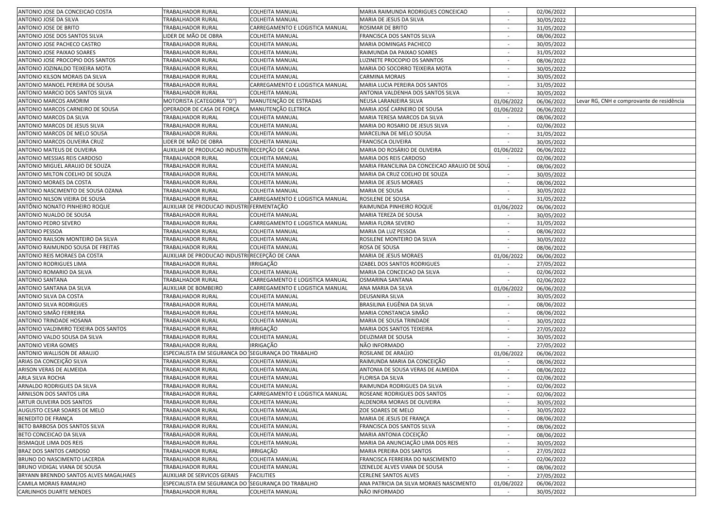| ANTONIO JOSE DA CONCEICAO COSTA       | <b>TRABALHADOR RURAL</b>                           | <b>COLHEITA MANUAL</b>          | MARIA RAIMUNDA RODRIGUES CONCEICAO          |                          | 02/06/2022 |                                           |
|---------------------------------------|----------------------------------------------------|---------------------------------|---------------------------------------------|--------------------------|------------|-------------------------------------------|
| ANTONIO JOSE DA SILVA                 | TRABALHADOR RURAL                                  | COLHEITA MANUAL                 | MARIA DE JESUS DA SILVA                     | $\sim$                   | 30/05/2022 |                                           |
| ANTONIO JOSE DE BRITO                 | TRABALHADOR RURAL                                  | CARREGAMENTO E LOGISTICA MANUAL | ROSIMAR DE BRITO                            | $\overline{\phantom{a}}$ | 31/05/2022 |                                           |
| ANTONIO JOSE DOS SANTOS SILVA         | LIDER DE MÃO DE OBRA                               | COLHEITA MANUAL                 | FRANCISCA DOS SANTOS SILVA                  | $\sim$                   | 08/06/2022 |                                           |
| ANTONIO JOSE PACHECO CASTRO           | TRABALHADOR RURAL                                  | COLHEITA MANUAL                 | MARIA DOMINGAS PACHECO                      |                          | 30/05/2022 |                                           |
| ANTONIO JOSE PAIXAO SOARES            | TRABALHADOR RURAL                                  | COLHEITA MANUAL                 | RAIMUNDA DA PAIXAO SOARES                   | $\sim$                   | 31/05/2022 |                                           |
| ANTONIO JOSE PROCOPIO DOS SANTOS      | TRABALHADOR RURAL                                  | COLHEITA MANUAL                 | LUZINETE PROCOPIO DS SANNTOS                |                          | 08/06/2022 |                                           |
| ANTONIO JOZINALDO TEIXEIRA MOTA       | TRABALHADOR RURAL                                  | COLHEITA MANUAL                 | MARIA DO SOCORRO TEIXEIRA MOTA              |                          | 30/05/2022 |                                           |
| ANTONIO KILSON MORAIS DA SILVA        | TRABALHADOR RURAL                                  | COLHEITA MANUAL                 | CARMINA MORAIS                              |                          | 30/05/2022 |                                           |
| ANTONIO MANOEL PEREIRA DE SOUSA       | TRABALHADOR RURAL                                  | CARREGAMENTO E LOGISTICA MANUAL | MARIA LUCIA PEREIRA DOS SANTOS              | $\sim$                   | 31/05/2022 |                                           |
| ANTONIO MARCIO DOS SANTOS SILVA       | TRABALHADOR RURAL                                  | COLHEITA MANUAL                 | ANTONIA VALDENHA DOS SANTOS SILVA           | $\sim$                   | 30/05/2022 |                                           |
| ANTONIO MARCOS AMORIM                 | MOTORISTA (CATEGORIA "D"                           | MANUTENÇÃO DE ESTRADAS          | NEUSA LARANJEIRA SILVA                      | 01/06/2022               | 06/06/2022 | Levar RG, CNH e comprovante de residência |
| ANTONIO MARCOS CARNEIRO DE SOUSA      | OPERADOR DE CASA DE FORÇA                          | MANUTENÇÃO ELETRICA             | MARIA JOSÉ CARNEIRO DE SOUSA                | 01/06/2022               | 06/06/2022 |                                           |
| ANTONIO MARCOS DA SILVA               | <b>TRABALHADOR RURAL</b>                           | COLHEITA MANUAL                 | MARIA TERESA MARCOS DA SILVA                |                          | 08/06/2022 |                                           |
| ANTONIO MARCOS DE JESUS SILVA         | TRABALHADOR RURAL                                  | COLHEITA MANUAL                 | MARIA DO ROSARIO DE JESUS SILVA             |                          | 02/06/2022 |                                           |
| ANTONIO MARCOS DE MELO SOUSA          | TRABALHADOR RURAL                                  | COLHEITA MANUAL                 | MARCELINA DE MELO SOUSA                     |                          | 31/05/2022 |                                           |
| ANTONIO MARCOS OLIVEIRA CRUZ          | LIDER DE MÃO DE OBRA                               | COLHEITA MANUAL                 | FRANCISCA OLIVEIRA                          |                          |            |                                           |
| ANTONIO MATEUS DE OLIVEIRA            | AUXILIAR DE PRODUCAO INDUSTR                       | RECEPÇÃO DE CANA                | MARIA DO ROSÁRIO DE OLIVEIRA                | $\sim$                   | 30/05/2022 |                                           |
|                                       | TRABALHADOR RURAL                                  |                                 | MARIA DOS REIS CARDOSO                      | 01/06/2022               | 06/06/2022 |                                           |
| ANTONIO MESSIAS REIS CARDOSO          |                                                    | COLHEITA MANUAL                 |                                             |                          | 02/06/2022 |                                           |
| ANTONIO MIGUEL ARAUJO DE SOUZA        | TRABALHADOR RURAL                                  | COLHEITA MANUAL                 | MARIA FRANCILINA DA CONCEICAO ARAUJO DE SOU | $\sim$                   | 08/06/2022 |                                           |
| ANTONIO MILTON COELHO DE SOUZA        | TRABALHADOR RURAL                                  | COLHEITA MANUAL                 | MARIA DA CRUZ COELHO DE SOUZA               |                          | 30/05/2022 |                                           |
| ANTONIO MORAES DA COSTA               | TRABALHADOR RURAL                                  | COLHEITA MANUAL                 | MARIA DE JESUS MORAES                       |                          | 08/06/2022 |                                           |
| ANTONIO NASCIMENTO DE SOUSA OZANA     | TRABALHADOR RURAL                                  | COLHEITA MANUAL                 | MARIA DE SOUSA                              |                          | 30/05/2022 |                                           |
| ANTONIO NILSON VIEIRA DE SOUSA        | <b>TRABALHADOR RURAL</b>                           | CARREGAMENTO E LOGISTICA MANUAL | ROSILENE DE SOUSA                           | $\sim$                   | 31/05/2022 |                                           |
| ANTÔNIO NONATO PINHEIRO ROQUE         | AUXILIAR DE PRODUCAO INDUSTRI FERMENTAÇÃO          |                                 | RAIMUNDA PINHEIRO ROQUE                     | 01/06/2022               | 06/06/2022 |                                           |
| ANTONIO NUALDO DE SOUSA               | TRABALHADOR RURAL                                  | COLHEITA MANUAL                 | MARIA TEREZA DE SOUSA                       |                          | 30/05/2022 |                                           |
| ANTONIO PEDRO SEVERO                  | TRABALHADOR RURAL                                  | CARREGAMENTO E LOGISTICA MANUAL | <b>MARIA FLORA SEVERO</b>                   | $\sim$                   | 31/05/2022 |                                           |
| <b>ANTONIO PESSOA</b>                 | TRABALHADOR RURAL                                  | COLHEITA MANUAL                 | MARIA DA LUZ PESSOA                         |                          | 08/06/2022 |                                           |
| ANTONIO RAILSON MONTEIRO DA SILVA     | TRABALHADOR RURAL                                  | COLHEITA MANUAL                 | ROSILENE MONTEIRO DA SILVA                  |                          | 30/05/2022 |                                           |
| ANTONIO RAIMUNDO SOUSA DE FREITAS     | TRABALHADOR RURAL                                  | COLHEITA MANUAL                 | ROSA DE SOUSA                               |                          | 08/06/2022 |                                           |
| ANTONIO REIS MORAES DA COSTA          | AUXILIAR DE PRODUCAO INDUSTRI RECEPÇÃO DE CANA     |                                 | MARIA DE JESUS MORAES                       | 01/06/2022               | 06/06/2022 |                                           |
| ANTONIO RODRIGUES LIMA                | TRABALHADOR RURAL                                  | IRRIGAÇÃO                       | <b>IZABEL DOS SANTOS RODRIGUES</b>          | $\sim$                   | 27/05/2022 |                                           |
| ANTONIO ROMARIO DA SILVA              | TRABALHADOR RURAL                                  | COLHEITA MANUAL                 | MARIA DA CONCEICAO DA SILVA                 |                          | 02/06/2022 |                                           |
| <b>ANTONIO SANTANA</b>                | TRABALHADOR RURAL                                  | CARREGAMENTO E LOGISTICA MANUAL | OSMARINA SANTANA                            |                          | 02/06/2022 |                                           |
| ANTONIO SANTANA DA SILVA              | <b>AUXILIAR DE BOMBEIRO</b>                        | CARREGAMENTO E LOGISTICA MANUAL | ANA MARIA DA SILVA                          | 01/06/2022               | 06/06/2022 |                                           |
| ANTONIO SILVA DA COSTA                | TRABALHADOR RURAL                                  | COLHEITA MANUAL                 | DEUSANIRA SILVA                             |                          | 30/05/2022 |                                           |
| ANTONIO SILVA RODRIGUES               | TRABALHADOR RURAL                                  | COLHEITA MANUAL                 | BRASILINA EUGÊNIA DA SILVA                  | $\overline{\phantom{a}}$ | 08/06/2022 |                                           |
| ANTONIO SIMÃO FERREIRA                | TRABALHADOR RURAL                                  | COLHEITA MANUAL                 | MARIA CONSTANCIA SIMÃO                      | $\overline{\phantom{a}}$ | 08/06/2022 |                                           |
| ANTONIO TRINDADE HOSANA               | TRABALHADOR RURAL                                  | COLHEITA MANUAL                 | MARIA DE SOUSA TRINDADE                     | $\sim$                   | 30/05/2022 |                                           |
| ANTONIO VALDIMIRO TEXEIRA DOS SANTOS  | TRABALHADOR RURAL                                  | IRRIGAÇÃO                       | MARIA DOS SANTOS TEIXEIRA                   |                          | 27/05/2022 |                                           |
| ANTONIO VALDO SOUSA DA SILVA          | TRABALHADOR RURAL                                  | COLHEITA MANUAL                 | DEUZIMAR DE SOUSA                           | $\overline{\phantom{a}}$ | 30/05/2022 |                                           |
| <b>ANTONIO VEIRA GOMES</b>            | TRABALHADOR RURAL                                  | IRRIGAÇÃO                       | NÃO INFORMADO                               |                          | 27/05/2022 |                                           |
| ANTONIO WALLISON DE ARAUJO            | ESPECIALISTA EM SEGURANCA DO SEGURANÇA DO TRABALHO |                                 | ROSILANE DE ARAÚJO                          | 01/06/2022               | 06/06/2022 |                                           |
| ARIAS DA CONCEIÇÃO SILVA              | TRABALHADOR RURAL                                  | COLHEITA MANUAL                 | RAIMUNDA MARIA DA CONCEIÇÃO                 |                          | 08/06/2022 |                                           |
| ARISON VERAS DE ALMEIDA               | TRABALHADOR RURAL                                  | COLHEITA MANUAL                 | ANTONIA DE SOUSA VERAS DE ALMEIDA           | $\overline{\phantom{a}}$ | 08/06/2022 |                                           |
| ARLA SILVA ROCHA                      | TRABALHADOR RURAL                                  | COLHEITA MANUAL                 | FLORISA DA SILVA                            | $\sim$                   | 02/06/2022 |                                           |
| ARNALDO RODRIGUES DA SILVA            | TRABALHADOR RURAL                                  | COLHEITA MANUAL                 | RAIMUNDA RODRIGUES DA SILVA                 | $\sim$                   | 02/06/2022 |                                           |
| ARNILSON DOS SANTOS LIRA              | TRABALHADOR RURAL                                  | CARREGAMENTO E LOGISTICA MANUAL | ROSEANE RODRIGUES DOS SANTOS                |                          | 02/06/2022 |                                           |
| ARTUR OLIVEIRA DOS SANTOS             | <b>TRABALHADOR RURAL</b>                           | <b>COLHEITA MANUAL</b>          | ALDENORA MORAIS DE OLIVEIRA                 |                          | 30/05/2022 |                                           |
| AUGUSTO CESAR SOARES DE MELO          | TRABALHADOR RURAL                                  | COLHEITA MANUAL                 | ZOE SOARES DE MELO                          |                          | 30/05/2022 |                                           |
| BENEDITO DE FRANÇA                    | TRABALHADOR RURAL                                  | COLHEITA MANUAL                 | MARIA DE JESUS DE FRANÇA                    |                          | 08/06/2022 |                                           |
| BETO BARBOSA DOS SANTOS SILVA         | TRABALHADOR RURAL                                  | COLHEITA MANUAL                 | FRANCISCA DOS SANTOS SILVA                  | $\sim$                   | 08/06/2022 |                                           |
| BETO CONCEICAO DA SILVA               | <b>TRABALHADOR RURAL</b>                           | COLHEITA MANUAL                 | MARIA ANTONIA COCEIÇÃO                      | $\sim$                   | 08/06/2022 |                                           |
| <b>BISMAQUE LIMA DOS REIS</b>         | TRABALHADOR RURAL                                  | COLHEITA MANUAL                 | MARIA DA ANUNCIAÇÃO LIMA DOS REIS           | $\sim$                   | 30/05/2022 |                                           |
| BRAZ DOS SANTOS CARDOSO               | TRABALHADOR RURAL                                  | RRIGAÇÃO                        | MARIA PEREIRA DOS SANTOS                    | $\sim$                   | 27/05/2022 |                                           |
| BRUNO DO NASCIMENTO LACERDA           | TRABALHADOR RURAL                                  | COLHEITA MANUAL                 | FRANCISCA FERREIRA DO NASCIMENTO            | $\sim$                   | 02/06/2022 |                                           |
| BRUNO VIDIGAL VIANA DE SOUSA          | <b>TRABALHADOR RURAL</b>                           | COLHEITA MANUAL                 | IZENELDE ALVES VIANA DE SOUSA               |                          | 08/06/2022 |                                           |
| BRYANN BRENNDO SANTOS ALVES MAGALHAES | AUXILIAR DE SERVICOS GERAIS                        | <b>FACILITIES</b>               | CERLENE SANTOS ALVES                        |                          | 27/05/2022 |                                           |
| CAMILA MORAIS RAMALHO                 | ESPECIALISTA EM SEGURANCA DO SEGURANÇA DO TRABALHO |                                 | ANA PATRICIA DA SILVA MORAES NASCIMENTO     | 01/06/2022               | 06/06/2022 |                                           |
| <b>CARLINHOS DUARTE MENDES</b>        | TRABALHADOR RURAL                                  | <b>COLHEITA MANUAL</b>          | NÃO INFORMADO                               | $\sim$                   | 30/05/2022 |                                           |
|                                       |                                                    |                                 |                                             |                          |            |                                           |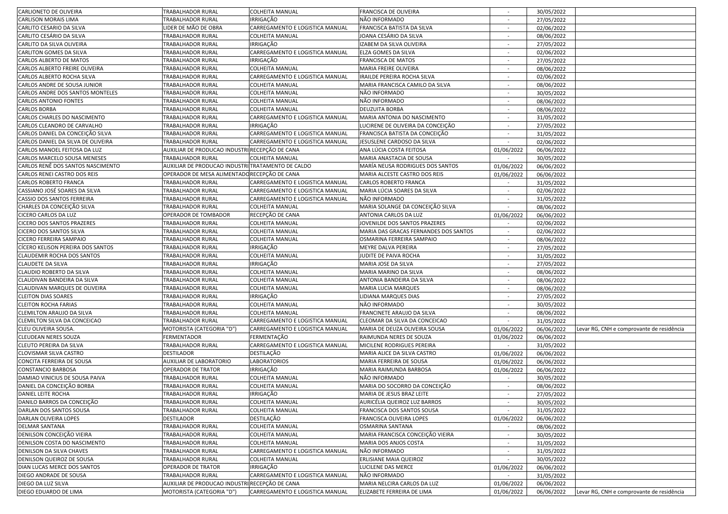| CARLIONETO DE OLIVEIRA             | <b>TRABALHADOR RURAL</b>                          | <b>COLHEITA MANUAL</b>          | FRANCISCA DE OLIVEIRA                 |                          | 30/05/2022 |                                           |
|------------------------------------|---------------------------------------------------|---------------------------------|---------------------------------------|--------------------------|------------|-------------------------------------------|
| CARLISON MORAIS LIMA               | TRABALHADOR RURAL                                 | IRRIGAÇÃO                       | NÃO INFORMADO                         | $\sim$                   | 27/05/2022 |                                           |
| CARLITO CESARIO DA SILVA           | IDER DE MÃO DE OBRA                               | CARREGAMENTO E LOGISTICA MANUAL | FRANCISCA BATISTA DA SILVA            | $\sim$                   | 02/06/2022 |                                           |
| CARLITO CESÁRIO DA SILVA           | TRABALHADOR RURAL                                 | COLHEITA MANUAL                 | JOANA CESÁRIO DA SILVA                | $\sim$                   | 08/06/2022 |                                           |
| CARLITO DA SILVA OLIVEIRA          | TRABALHADOR RURAL                                 | <b>IRRIGAÇÃO</b>                | IZABEM DA SILVA OLIVEIRA              |                          | 27/05/2022 |                                           |
| CARLITON GOMES DA SILVA            | TRABALHADOR RURAL                                 | CARREGAMENTO E LOGISTICA MANUAL | ELZA GOMES DA SILVA                   | $\overline{\phantom{a}}$ | 02/06/2022 |                                           |
| CARLOS ALBERTO DE MATOS            | TRABALHADOR RURAL                                 | <b>IRRIGAÇÃO</b>                | <b>FRANCISCA DE MATOS</b>             |                          | 27/05/2022 |                                           |
| CARLOS ALBERTO FREIRE OLIVEIRA     | TRABALHADOR RURAL                                 | COLHEITA MANUAL                 | MARIA FREIRE OLIVEIRA                 |                          | 08/06/2022 |                                           |
| CARLOS ALBERTO ROCHA SILVA         | TRABALHADOR RURAL                                 | CARREGAMENTO E LOGISTICA MANUAL | IRAILDE PEREIRA ROCHA SILVA           |                          | 02/06/2022 |                                           |
| CARLOS ANDRE DE SOUSA JUNIOR       | TRABALHADOR RURAL                                 | COLHEITA MANUAL                 | MARIA FRANCISCA CAMILO DA SILVA       | $\sim$                   | 08/06/2022 |                                           |
| CARLOS ANDRE DOS SANTOS MONTELES   | TRABALHADOR RURAL                                 | <b>COLHEITA MANUAL</b>          | NÃO INFORMADO                         | $\sim$                   | 30/05/2022 |                                           |
| CARLOS ANTONIO FONTES              | TRABALHADOR RURAL                                 | <b>COLHEITA MANUAL</b>          | NÃO INFORMADO                         |                          | 08/06/2022 |                                           |
| CARLOS BORBA                       | TRABALHADOR RURAL                                 | <b>COLHEITA MANUAL</b>          | <b>DEUZUITA BORBA</b>                 | $\overline{\phantom{a}}$ | 08/06/2022 |                                           |
| CARLOS CHARLES DO NASCIMENTO       | TRABALHADOR RURAL                                 | CARREGAMENTO E LOGISTICA MANUAL | MARIA ANTONIA DO NASCIMENTO           |                          | 31/05/2022 |                                           |
| CARLOS CLEANDRO DE CARVALHO        | TRABALHADOR RURAL                                 | IRRIGAÇÃO                       | LUCIRENE DE OLIVEIRA DA CONCEIÇÃO     |                          |            |                                           |
|                                    |                                                   | CARREGAMENTO E LOGISTICA MANUAL |                                       |                          | 27/05/2022 |                                           |
| CARLOS DANIEL DA CONCEIÇÃO SILVA   | TRABALHADOR RURAL                                 |                                 | FRANCISCA BATISTA DA CONCEIÇÃO        |                          | 31/05/2022 |                                           |
| CARLOS DANIEL DA SILVA DE OLIVEIRA | TRABALHADOR RURAL                                 | CARREGAMENTO E LOGISTICA MANUAL | JESUSLENE CARDOSO DA SILVA            | $\sim$                   | 02/06/2022 |                                           |
| CARLOS MANOEL FEITOSA DA LUZ       | AUXILIAR DE PRODUCAO INDUSTRI RECEPÇÃO DE CANA    |                                 | ANA LÚCIA COSTA FEITOSA               | 01/06/2022               | 06/06/2022 |                                           |
| CARLOS MARCELO SOUSA MENESES       | TRABALHADOR RURAL                                 | <b>COLHEITA MANUAL</b>          | MARIA ANASTACIA DE SOUSA              |                          | 30/05/2022 |                                           |
| CARLOS RENÊ DOS SANTOS NASCIMENTO  | AUXILIAR DE PRODUCAO INDUSTRI TRATAMENTO DE CALDO |                                 | MARÍA NEUSA RODRIGUES DOS SANTOS      | 01/06/2022               | 06/06/2022 |                                           |
| CARLOS RENEI CASTRO DOS REIS       | OPERADOR DE MESA ALIMENTADO RECEPÇÃO DE CANA      |                                 | MARIA ALCESTE CASTRO DOS REIS         | 01/06/2022               | 06/06/2022 |                                           |
| CARLOS ROBERTO FRANCA              | TRABALHADOR RURAL                                 | CARREGAMENTO E LOGISTICA MANUAL | <b>CARLOS ROBERTO FRANCA</b>          |                          | 31/05/2022 |                                           |
| CASSIANO JOSÉ SOARES DA SILVA      | TRABALHADOR RURAL                                 | CARREGAMENTO E LOGISTICA MANUAL | MARIA LÚCIA SOARES DA SILVA           |                          | 02/06/2022 |                                           |
| CASSIO DOS SANTOS FERREIRA         | TRABALHADOR RURAL                                 | CARREGAMENTO E LOGISTICA MANUAL | NÃO INFORMADO                         |                          | 31/05/2022 |                                           |
| CHARLES DA CONCEIÇÃO SILVA         | TRABALHADOR RURAL                                 | <b>COLHEITA MANUAL</b>          | MARIA SOLANGE DA CONCEIÇÃO SILVA      | $\sim$                   | 08/06/2022 |                                           |
| <b>CICERO CARLOS DA LUZ</b>        | OPERADOR DE TOMBADOR                              | RECEPÇÃO DE CANA                | ANTONIA CARLOS DA LUZ                 | 01/06/2022               | 06/06/2022 |                                           |
| <b>CICERO DOS SANTOS PRAZERES</b>  | TRABALHADOR RURAL                                 | <b>COLHEITA MANUAL</b>          | JOVENILDE DOS SANTOS PRAZERES         |                          | 02/06/2022 |                                           |
| CICERO DOS SANTOS SILVA            | TRABALHADOR RURAL                                 | <b>COLHEITA MANUAL</b>          | MARIA DAS GRACAS FERNANDES DOS SANTOS |                          | 02/06/2022 |                                           |
| CICERO FERREIRA SAMPAIO            | TRABALHADOR RURAL                                 | COLHEITA MANUAL                 | OSMARINA FERREIRA SAMPAIO             |                          | 08/06/2022 |                                           |
| CÍCERO KELISON PEREIRA DOS SANTOS  | TRABALHADOR RURAL                                 | IRRIGAÇÃO                       | MEYRE DALVA PEREIRA                   |                          | 27/05/2022 |                                           |
| CLAUDEMIR ROCHA DOS SANTOS         | TRABALHADOR RURAL                                 | COLHEITA MANUAL                 | JUDITE DE PAIVA ROCHA                 | $\sim$                   | 31/05/2022 |                                           |
| CLAUDETE DA SILVA                  | TRABALHADOR RURAL                                 | <b>IRRIGAÇÃO</b>                | MARIA JOSE DA SILVA                   | $\sim$                   | 27/05/2022 |                                           |
| CLAUDIO ROBERTO DA SILVA           | TRABALHADOR RURAL                                 | <b>COLHEITA MANUAL</b>          | MARIA MARINO DA SILVA                 | $\overline{\phantom{a}}$ | 08/06/2022 |                                           |
| CLAUDIVAN BANDEIRA DA SILVA        | TRABALHADOR RURAL                                 | <b>COLHEITA MANUAL</b>          | ANTONIA BANDEIRA DA SILVA             | $\sim$                   | 08/06/2022 |                                           |
| CLAUDIVAN MARQUES DE OLIVEIRA      | TRABALHADOR RURAL                                 | <b>COLHEITA MANUAL</b>          | <b>MARIA LUCIA MARQUES</b>            |                          | 08/06/2022 |                                           |
| <b>CLEITON DIAS SOARES</b>         | TRABALHADOR RURAL                                 | <b>IRRIGAÇÃO</b>                | LIDIANA MARQUES DIAS                  |                          | 27/05/2022 |                                           |
| <b>CLEITON ROCHA FARIAS</b>        | TRABALHADOR RURAL                                 | COLHEITA MANUAL                 | NÃO INFORMADO                         |                          | 30/05/2022 |                                           |
| CLEMILTON ARAUJO DA SILVA          | TRABALHADOR RURAL                                 | COLHEITA MANUAL                 | FRANCINETE ARAUJO DA SILVA            | $\sim$                   | 08/06/2022 |                                           |
| CLEMILTON SILVA DA CONCEICAO       | TRABALHADOR RURAL                                 | CARREGAMENTO E LOGISTICA MANUAL | CLEOMAR DA SILVA DA CONCEICAO         | $\sim$                   | 31/05/2022 |                                           |
| CLEU OLIVEIRA SOUSA.               | MOTORISTA (CATEGORIA "D")                         | CARREGAMENTO E LOGISTICA MANUAL | MARIA DE DEUZA OLIVEIRA SOUSA         | 01/06/2022               | 06/06/2022 | Levar RG, CNH e comprovante de residência |
| <b>CLEUDEAN NERES SOUZA</b>        | FERMENTADOR                                       | FERMENTAÇÃO                     | RAIMUNDA NERES DE SOUZA               | 01/06/2022               | 06/06/2022 |                                           |
| CLEUTO PEREIRA DA SILVA            | TRABALHADOR RURAL                                 | CARREGAMENTO E LOGISTICA MANUAL | MICILENE RODRIGUES PEREIRA            |                          | 31/05/2022 |                                           |
| CLOVISMAR SILVA CASTRO             | <b>DESTILADOR</b>                                 | DESTILAÇÃO                      | MARIA ALICE DA SILVA CASTRO           | 01/06/2022               | 06/06/2022 |                                           |
| CONCITA FERREIRA DE SOUSA          | <b>AUXILIAR DE LABORATORIO</b>                    | <b>LABORATORIOS</b>             | MARIA FERREIRA DE SOUSA               | 01/06/2022               | 06/06/2022 |                                           |
| CONSTANCIO BARBOSA                 | OPERADOR DE TRATOR                                | IRRIGAÇÃO                       | MARIA RAIMUNDA BARBOSA                | 01/06/2022               | 06/06/2022 |                                           |
| DAMIAO VINICIUS DE SOUSA PAIVA     | TRABALHADOR RURAL                                 | COLHEITA MANUAL                 | NÃO INFORMADO                         | $\sim$                   | 30/05/2022 |                                           |
| DANIEL DA CONCEIÇÃO BORBA          | TRABALHADOR RURAL                                 | <b>COLHEITA MANUAL</b>          | MARIA DO SOCORRO DA CONCEIÇÃO         | $\sim$                   | 08/06/2022 |                                           |
| DANIEL LEITE ROCHA                 | TRABALHADOR RURAL                                 | IRRIGAÇÃO                       | MARIA DE JESUS BRAZ LEITE             |                          | 27/05/2022 |                                           |
| DANILO BARROS DA CONCEIÇÃO         | TRABALHADOR RURAL                                 | <b>COLHEITA MANUAL</b>          | AURICÉLIA QUEIROZ LUZ BARROS          |                          | 30/05/2022 |                                           |
| DARLAN DOS SANTOS SOUSA            | <b>TRABALHADOR RURAL</b>                          | COLHEITA MANUAL                 | FRANCISCA DOS SANTOS SOUSA            |                          | 31/05/2022 |                                           |
| DARLAN OLIVEIRA LOPES              | DESTILADOR                                        | DESTILAÇÃO                      | FRANCISCA OLIVEIRA LOPES              | 01/06/2022               | 06/06/2022 |                                           |
| <b>DELMAR SANTANA</b>              | TRABALHADOR RURAL                                 | COLHEITA MANUAL                 | OSMARINA SANTANA                      |                          | 08/06/2022 |                                           |
| DENILSON CONCEIÇÃO VIEIRA          | TRABALHADOR RURAL                                 | <b>COLHEITA MANUAL</b>          | MARIA FRANCISCA CONCEIÇÃO VIEIRA      | $\sim$                   | 30/05/2022 |                                           |
| DENILSON COSTA DO NASCIMENTO       | TRABALHADOR RURAL                                 | <b>COLHEITA MANUAL</b>          | MARIA DOS ANJOS COSTA                 |                          | 31/05/2022 |                                           |
| DENILSON DA SILVA CHAVES           | TRABALHADOR RURAL                                 | CARREGAMENTO E LOGISTICA MANUAL | NÃO INFORMADO                         | $\sim$                   | 31/05/2022 |                                           |
| DENILSON QUEIROZ DE SOUSA          | TRABALHADOR RURAL                                 | <b>COLHEITA MANUAL</b>          | ERLISIANE MAIA QUEIROZ                |                          | 30/05/2022 |                                           |
| DIAN LUCAS MERCE DOS SANTOS        | OPERADOR DE TRATOR                                | IRRIGAÇÃO                       | LUCILENE DAS MERCE                    | 01/06/2022               | 06/06/2022 |                                           |
| DIEGO ANDRADE DE SOUSA             | TRABALHADOR RURAL                                 | CARREGAMENTO E LOGISTICA MANUAL | NÃO INFORMADO                         |                          | 31/05/2022 |                                           |
| DIEGO DA LUZ SILVA                 | AUXILIAR DE PRODUCAO INDUSTRI RECEPÇÃO DE CANA    |                                 | MARIA NELCIRA CARLOS DA LUZ           | 01/06/2022               | 06/06/2022 |                                           |
| DIEGO EDUARDO DE LIMA              | MOTORISTA (CATEGORIA "D")                         | CARREGAMENTO E LOGISTICA MANUAL | ELIZABETE FERREIRA DE LIMA            |                          | 06/06/2022 | Levar RG, CNH e comprovante de residência |
|                                    |                                                   |                                 |                                       | 01/06/2022               |            |                                           |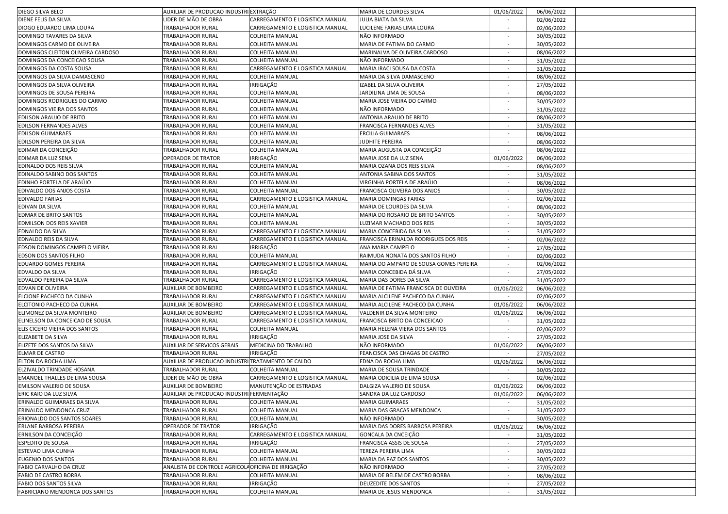| DIEGO SILVA BELO                                                                                            | AUXILIAR DE PRODUCAO INDUSTRI EXTRAÇÃO             |                                     | MARIA DE LOURDES SILVA                          | 01/06/2022               | 06/06/2022               |  |
|-------------------------------------------------------------------------------------------------------------|----------------------------------------------------|-------------------------------------|-------------------------------------------------|--------------------------|--------------------------|--|
| DIENE FELIS DA SILVA                                                                                        | IDER DE MÃO DE OBRA                                | CARREGAMENTO E LOGISTICA MANUAL     | JULIA BIATA DA SILVA                            | $\sim$                   | 02/06/2022               |  |
| DIOGO EDUARDO LIMA LOURA                                                                                    | TRABALHADOR RURAL                                  | CARREGAMENTO E LOGISTICA MANUAL     | LUCILENE FARIAS LIMA LOURA                      |                          | 02/06/2022               |  |
| DOMINGO TAVARES DA SILVA                                                                                    | TRABALHADOR RURAL                                  | <b>COLHEITA MANUAL</b>              | NÃO INFORMADO                                   | $\sim$                   | 30/05/2022               |  |
| DOMINGOS CARMO DE OLIVEIRA                                                                                  | TRABALHADOR RURAL                                  | <b>COLHEITA MANUAL</b>              | MARIA DE FATIMA DO CARMO                        |                          | 30/05/2022               |  |
| DOMINGOS CLEITON OLIVEIRA CARDOSO                                                                           | TRABALHADOR RURAL                                  | COLHEITA MANUAL                     | MARINALVA DE OLIVEIRA CARDOSO                   |                          | 08/06/2022               |  |
| DOMINGOS DA CONCEICAO SOUSA                                                                                 | TRABALHADOR RURAL                                  | COLHEITA MANUAL                     | NÃO INFORMADO                                   |                          | 31/05/2022               |  |
| DOMINGOS DA COSTA SOUSA                                                                                     | TRABALHADOR RURAL                                  | CARREGAMENTO E LOGISTICA MANUAL     | MARIA IRACI SOUSA DA COSTA                      |                          | 31/05/2022               |  |
| DOMINGOS DA SILVA DAMASCENO                                                                                 | TRABALHADOR RURAL                                  | COLHEITA MANUAL                     | MARIA DA SILVA DAMASCENO                        | $\sim$                   | 08/06/2022               |  |
| DOMINGOS DA SILVA OLIVEIRA                                                                                  | TRABALHADOR RURAL                                  | IRRIGAÇÃO                           | IZABEL DA SILVA OLIVEIRA                        | $\sim$                   | 27/05/2022               |  |
| DOMINGOS DE SOUSA PEREIRA                                                                                   | TRABALHADOR RURAL                                  | COLHEITA MANUAL                     | JARDILINA LIMA DE SOUSA                         |                          | 08/06/2022               |  |
| DOMINGOS RODRIGUES DO CARMO                                                                                 | TRABALHADOR RURAL                                  | <b>COLHEITA MANUAL</b>              | MARIA JOSE VIEIRA DO CARMO                      | $\overline{\phantom{a}}$ | 30/05/2022               |  |
| DOMINGOS VIEIRA DOS SANTOS                                                                                  | TRABALHADOR RURAL                                  | COLHEITA MANUAL                     | NÃO INFORMADO                                   |                          | 31/05/2022               |  |
| EDILSON ARAUJO DE BRITO                                                                                     | TRABALHADOR RURAL                                  | COLHEITA MANUAL                     | ANTONIA ARAUJO DE BRITO                         |                          | 08/06/2022               |  |
| EDILSON FERNANDES ALVES                                                                                     | TRABALHADOR RURAL                                  | COLHEITA MANUAL                     | FRANCISCA FERNANDES ALVES                       |                          | 31/05/2022               |  |
| <b>EDILSON GUIMARAES</b>                                                                                    | TRABALHADOR RURAL                                  | COLHEITA MANUAL                     |                                                 | $\sim$                   |                          |  |
|                                                                                                             |                                                    |                                     | <b>ERCILIA GUIMARAES</b>                        |                          | 08/06/2022               |  |
| EDILSON PEREIRA DA SILVA                                                                                    | TRABALHADOR RURAL                                  | COLHEITA MANUAL                     | JUDHITE PEREIRA                                 | $\sim$                   | 08/06/2022               |  |
| EDIMAR DA CONCEIÇÃO                                                                                         | TRABALHADOR RURAL                                  | <b>COLHEITA MANUAL</b>              | MARIA AUGUSTA DA CONCEIÇÃO                      |                          | 08/06/2022               |  |
| EDIMAR DA LUZ SENA                                                                                          | OPERADOR DE TRATOR                                 | IRRIGAÇÃO                           | MARIA JOSE DA LUZ SENA                          | 01/06/2022               | 06/06/2022               |  |
| EDINALDO DOS REIS SILVA                                                                                     | TRABALHADOR RURAL                                  | <b>COLHEITA MANUAL</b>              | MARIA OZANA DOS REIS SILVA                      |                          | 08/06/2022               |  |
| EDINALDO SABINO DOS SANTOS                                                                                  | TRABALHADOR RURAL                                  | <b>COLHEITA MANUAL</b>              | ANTONIA SABINA DOS SANTOS                       |                          | 31/05/2022               |  |
| EDINHO PORTELA DE ARAÚJO                                                                                    | TRABALHADOR RURAL                                  | COLHEITA MANUAL                     | VIRGINHA PORTELA DE ARAÚJO                      |                          | 08/06/2022               |  |
| EDIVALDO DOS ANJOS COSTA                                                                                    | TRABALHADOR RURAL                                  | COLHEITA MANUAL                     | FRANCISCA OLIVEIRA DOS ANJOS                    | $\sim$                   | 30/05/2022               |  |
| EDIVALDO FARIAS                                                                                             | TRABALHADOR RURAL                                  | CARREGAMENTO E LOGISTICA MANUAL     | MARIA DOMINGAS FARIAS                           | $\sim$                   | 02/06/2022               |  |
| EDIVAN DA SILVA                                                                                             | TRABALHADOR RURAL                                  | <b>COLHEITA MANUAL</b>              | MARIA DE LOURDES DA SILVA                       | $\sim$                   | 08/06/2022               |  |
| <b>EDMAR DE BRITO SANTOS</b>                                                                                | TRABALHADOR RURAL                                  | <b>COLHEITA MANUAL</b>              | MARIA DO ROSARIO DE BRITO SANTOS                |                          | 30/05/2022               |  |
| EDMILSON DOS REIS XAVIER                                                                                    | TRABALHADOR RURAL                                  | <b>COLHEITA MANUAL</b>              | LUZIMAR MACHADO DOS REIS                        | $\overline{\phantom{a}}$ | 30/05/2022               |  |
| EDNALDO DA SILVA                                                                                            | TRABALHADOR RURAL                                  | CARREGAMENTO E LOGISTICA MANUAL     | MARIA CONCEBIDA DA SILVA                        |                          | 31/05/2022               |  |
| EDNALDO REIS DA SILVA                                                                                       | TRABALHADOR RURAL                                  | CARREGAMENTO E LOGISTICA MANUAL     | FRANCISCA ERINALDA RODRIGUES DOS REIS           |                          | 02/06/2022               |  |
| EDSON DOMINGOS CAMPELO VIEIRA                                                                               | TRABALHADOR RURAL                                  | <b>IRRIGAÇÃO</b>                    | ANA MARIA CAMPELO                               | $\sim$                   | 27/05/2022               |  |
| EDSON DOS SANTOS FILHO                                                                                      | TRABALHADOR RURAL                                  | COLHEITA MANUAL                     | RAIMUDA NONATA DOS SANTOS FILHO                 | $\sim$                   | 02/06/2022               |  |
| EDUARDO GOMES PEREIRA                                                                                       | TRABALHADOR RURAL                                  | CARREGAMENTO E LOGISTICA MANUAL     | MARIA DO AMPARO DE SOUSA GOMES PEREIRA          | $\sim$                   | 02/06/2022               |  |
| EDVALDO DA SILVA                                                                                            | TRABALHADOR RURAL                                  | IRRIGAÇÃO                           | MARIA CONCEBIDA DÁ SILVA                        |                          | 27/05/2022               |  |
| EDVALDO PEREIRA DA SILVA                                                                                    | TRABALHADOR RURAL                                  | CARREGAMENTO E LOGISTICA MANUAL     | MARIA DAS DORES DA SILVA                        |                          | 31/05/2022               |  |
| EDVAN DE OLIVEIRA                                                                                           | <b>AUXILIAR DE BOMBEIRO</b>                        | CARREGAMENTO E LOGISTICA MANUAL     | MARIA DE FATIMA FRANCISCA DE OLIVEIRA           | 01/06/2022               | 06/06/2022               |  |
| ELCIONE PACHECO DA CUNHA                                                                                    | TRABALHADOR RURAL                                  | CARREGAMENTO E LOGISTICA MANUAL     | MARIA ALCILENE PACHECO DA CUNHA                 |                          | 02/06/2022               |  |
| ELCITONIO PACHECO DA CUNHA                                                                                  | AUXILIAR DE BOMBEIRO                               | CARREGAMENTO E LOGISTICA MANUAL     | MARIA ALCILENE PACHECO DA CUNHA                 | 01/06/2022               | 06/06/2022               |  |
| ELIMONEZ DA SILVA MONTEIRO                                                                                  | AUXILIAR DE BOMBEIRO                               | CARREGAMENTO E LOGISTICA MANUAL     | VALDENIR DA SILVA MONTEIRO                      | 01/06/2022               | 06/06/2022               |  |
| ELINELSON DA CONCEICAO DE SOUSA                                                                             | TRABALHADOR RURAL                                  | CARREGAMENTO E LOGISTICA MANUAL     | FRANCISCA BRITO DA CONCEICAO                    | $\sim$                   | 31/05/2022               |  |
| ELIS CICERO VIEIRA DOS SANTOS                                                                               | TRABALHADOR RURAL                                  | <b>COLHEITA MANUAL</b>              | MARIA HELENA VIERA DOS SANTOS                   |                          | 02/06/2022               |  |
| ELIZABETE DA SILVA                                                                                          | TRABALHADOR RURAL                                  | <b>IRRIGAÇÃO</b>                    | MARIA JOSE DA SILVA                             |                          | 27/05/2022               |  |
| ELIZETE DOS SANTOS DA SILVA                                                                                 | <b>AUXILIAR DE SERVICOS GERAIS</b>                 | MEDICINA DO TRABALHO                | NÃO INFORMADO                                   | 01/06/2022               | 06/06/2022               |  |
| <b>ELMAR DE CASTRO</b>                                                                                      | TRABALHADOR RURAL                                  | IRRIGAÇÃO                           | FEANCISCA DAS CHAGAS DE CASTRO                  |                          | 27/05/2022               |  |
| ELTON DA ROCHA LIMA                                                                                         | AUXILIAR DE PRODUCAO INDUSTRI TRATAMENTO DE CALDO  |                                     | EDNA DA ROCHA LIMA                              | 01/06/2022               | 06/06/2022               |  |
| ELZIVALDO TRINDADE HOSANA                                                                                   | TRABALHADOR RURAL                                  | COLHEITA MANUAL                     | MARIA DE SOUSA TRINDADE                         | $\sim$                   | 30/05/2022               |  |
| EMANOEL THALLES DE LIMA SOUSA                                                                               | IDER DE MÃO DE OBRA                                | CARREGAMENTO E LOGISTICA MANUAL     | MARIA ODICILIA DE LIMA SOUSA                    |                          | 02/06/2022               |  |
| EMILSON VALERIO DE SOUSA                                                                                    | AUXILIAR DE BOMBEIRO                               | MANUTENÇÃO DE ESTRADAS              | DALGIZA VALERIO DE SOUSA                        | 01/06/2022               | 06/06/2022               |  |
| ERIC KAIO DA LUZ SILVA                                                                                      | AUXILIAR DE PRODUCAO INDUSTRI FERMENTAÇÃO          |                                     | SANDRA DA LUZ CARDOSO                           | 01/06/2022               | 06/06/2022               |  |
| ERINALDO GUIMARAES DA SILVA                                                                                 | TRABALHADOR RURAL                                  | <b>COLHEITA MANUAL</b>              | <b>MARIA GUIMARAES</b>                          |                          | 31/05/2022               |  |
| ERINALDO MENDONCA CRUZ                                                                                      | TRABALHADOR RURAL                                  | COLHEITA MANUAL                     | MARIA DAS GRACAS MENDONCA                       |                          | 31/05/2022               |  |
| ERIONALDO DOS SANTOS SOARES                                                                                 |                                                    |                                     |                                                 |                          |                          |  |
|                                                                                                             |                                                    |                                     |                                                 |                          |                          |  |
|                                                                                                             | TRABALHADOR RURAL                                  | COLHEITA MANUAL                     | NÃO INFORMADO                                   |                          | 30/05/2022               |  |
|                                                                                                             | OPERADOR DE TRATOR                                 | IRRIGAÇÃO                           | MARIA DAS DORES BARBOSA PEREIRA                 | 01/06/2022               | 06/06/2022               |  |
|                                                                                                             | TRABALHADOR RURAL                                  | CARREGAMENTO E LOGISTICA MANUAL     | GONCALA DA CNCEIÇÃO                             | $\sim$<br>$\sim$         | 31/05/2022               |  |
| <b>ESPEDITO DE SOUSA</b>                                                                                    | TRABALHADOR RURAL                                  | IRRIGAÇÃO                           | FRANCISCA ASSIS DE SOUSA                        |                          | 27/05/2022               |  |
| ESTEVAO LIMA CUNHA                                                                                          | TRABALHADOR RURAL                                  | <b>COLHEITA MANUAL</b>              | <b>TEREZA PEREIRA LIMA</b>                      | $\sim$                   | 30/05/2022               |  |
| EUGENIO DOS SANTOS                                                                                          | TRABALHADOR RURAL                                  | <b>COLHEITA MANUAL</b>              | MARIA DA PAZ DOS SANTOS                         |                          | 30/05/2022               |  |
| FABIO CARVALHO DA CRUZ                                                                                      | ANALISTA DE CONTROLE AGRICOLA OFICINA DE IRRIGAÇÃO |                                     | NÃO INFORMADO                                   |                          | 27/05/2022               |  |
| FABIO DE CASTRO BORBA                                                                                       | TRABALHADOR RURAL                                  | <b>COLHEITA MANUAL</b>              | MARIA DE BELEM DE CASTRO BORBA                  | $\sim$                   | 08/06/2022               |  |
| ERLANE BARBOSA PEREIRA<br>ERNILSON DA CONCEIÇÃO<br>FABIO DOS SANTOS SILVA<br>FABRICIANO MENDONCA DOS SANTOS | TRABALHADOR RURAL<br><b>TRABALHADOR RURAL</b>      | IRRIGAÇÃO<br><b>COLHEITA MANUAL</b> | DEUZEDITE DOS SANTOS<br>MARIA DE JESUS MENDONCA | $\sim$<br>$\sim$         | 27/05/2022<br>31/05/2022 |  |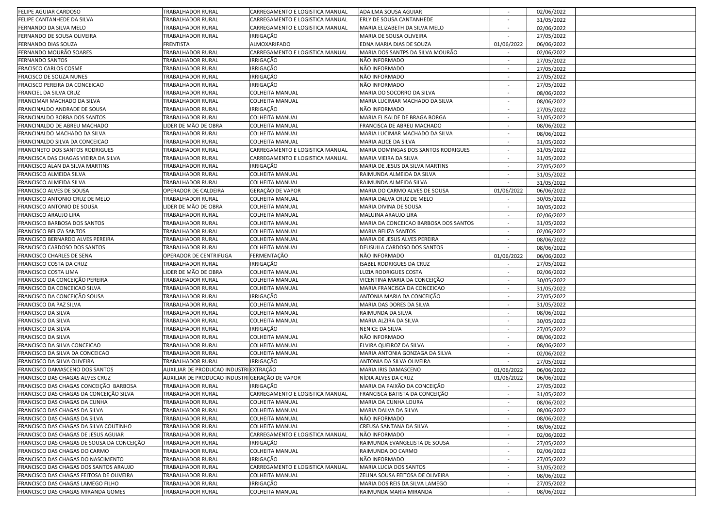| FELIPE AGUIAR CARDOSO                                                   | TRABALHADOR RURAL                              | CARREGAMENTO E LOGISTICA MANUAL                  | ADAILMA SOUSA AGUIAR                                         |                  | 02/06/2022               |  |
|-------------------------------------------------------------------------|------------------------------------------------|--------------------------------------------------|--------------------------------------------------------------|------------------|--------------------------|--|
| FELIPE CANTANHEDE DA SILVA                                              | TRABALHADOR RURAL                              | CARREGAMENTO E LOGISTICA MANUAL                  | ERLY DE SOUSA CANTANHEDE                                     | $\sim$           | 31/05/2022               |  |
| FERNANDO DA SILVA MELO                                                  | TRABALHADOR RURAL                              | CARREGAMENTO E LOGISTICA MANUAL                  | MARIA ELIZABETH DA SILVA MELO                                |                  | 02/06/2022               |  |
| FERNANDO DE SOUSA OLIVEIRA                                              | TRABALHADOR RURAL                              | IRRIGAÇÃO                                        | MARIA DE SOUSA OLIVEIRA                                      | $\sim$           | 27/05/2022               |  |
| FERNANDO DIAS SOUZA                                                     | <b>FRENTISTA</b>                               | ALMOXARIFADO                                     | EDNA MARIA DIAS DE SOUZA                                     | 01/06/2022       | 06/06/2022               |  |
| FERNANDO MOURÃO SOARES                                                  | TRABALHADOR RURAL                              | CARREGAMENTO E LOGISTICA MANUAL                  | MARIA DOS SANTPS DA SILVA MOURÃO                             |                  | 02/06/2022               |  |
| <b>FERNANDO SANTOS</b>                                                  | TRABALHADOR RURAL                              | <b>IRRIGAÇÃO</b>                                 | NÃO INFORMADO                                                |                  | 27/05/2022               |  |
| FRACISCO CARLOS COSME                                                   | TRABALHADOR RURAL                              | IRRIGAÇÃO                                        | NÃO INFORMADO                                                |                  | 27/05/2022               |  |
| FRACISCO DE SOUZA NUNES                                                 | TRABALHADOR RURAL                              | <b>IRRIGAÇÃO</b>                                 | NÃO INFORMADO                                                | $\sim$           | 27/05/2022               |  |
| FRACISCO PEREIRA DA CONCEICAO                                           | TRABALHADOR RURAL                              | IRRIGAÇÃO                                        | NÃO INFORMADO                                                | $\sim$           | 27/05/2022               |  |
| FRANCIEL DA SILVA CRUZ                                                  | TRABALHADOR RURAL                              | <b>COLHEITA MANUAL</b>                           | MARIA DO SOCORRO DA SILVA                                    |                  | 08/06/2022               |  |
| FRANCIMAR MACHADO DA SILVA                                              | TRABALHADOR RURAL                              | <b>COLHEITA MANUAL</b>                           | MARIA LUCIMAR MACHADO DA SILVA                               |                  | 08/06/2022               |  |
| FRANCINALDO ANDRADE DE SOUSA                                            | TRABALHADOR RURAL                              | IRRIGAÇÃO                                        | NÃO INFORMADO                                                |                  | 27/05/2022               |  |
| FRANCINALDO BORBA DOS SANTOS                                            | TRABALHADOR RURAL                              | <b>COLHEITA MANUAL</b>                           | MARIA ELISALDE DE BRAGA BORGA                                |                  | 31/05/2022               |  |
| FRANCINALDO DE ABREU MACHADO                                            | LIDER DE MÃO DE OBRA                           | COLHEITA MANUAL                                  | FRANCISCA DE ABREU MACHADO                                   |                  | 08/06/2022               |  |
| FRANCINALDO MACHADO DA SILVA                                            | TRABALHADOR RURAL                              | <b>COLHEITA MANUAL</b>                           | MARIA LUCIMAR MACHADO DA SILVA                               |                  |                          |  |
|                                                                         |                                                |                                                  |                                                              | $\sim$<br>$\sim$ | 08/06/2022               |  |
| FRANCINALDO SILVA DA CONCEICAO                                          | TRABALHADOR RURAL                              | <b>COLHEITA MANUAL</b>                           | MARIA ALICE DA SILVA                                         | $\sim$           | 31/05/2022               |  |
| FRANCINETO DOS SANTOS RODRIGUES                                         | TRABALHADOR RURAL                              | CARREGAMENTO E LOGISTICA MANUAL                  | MARIA DOMINGAS DOS SANTOS RODRIGUES<br>MARIA VIEIRA DA SILVA |                  | 31/05/2022               |  |
| FRANCISCA DAS CHAGAS VIEIRA DA SILVA                                    | TRABALHADOR RURAL                              | CARREGAMENTO E LOGISTICA MANUAL                  |                                                              | $\sim$           | 31/05/2022               |  |
| FRANCISCO ALAN DA SILVA MARTINS                                         | TRABALHADOR RURAL                              | <b>IRRIGAÇÃO</b>                                 | MARIA DE JESUS DA SILVA MARTINS                              |                  | 27/05/2022               |  |
| FRANCISCO ALMEIDA SILVA                                                 | TRABALHADOR RURAL                              | <b>COLHEITA MANUAL</b>                           | RAIMUNDA ALMEIDA DA SILVA                                    |                  | 31/05/2022               |  |
| FRANCISCO ALMEIDA SILVA                                                 | TRABALHADOR RURAL                              | COLHEITA MANUAL                                  | RAIMUNDA ALMEIDA SILVA                                       |                  | 31/05/2022               |  |
| FRANCISCO ALVES DE SOUSA                                                | OPERADOR DE CALDEIRA                           | GERAÇÃO DE VAPOR                                 | MARIA DO CARMO ALVES DE SOUSA                                | 01/06/2022       | 06/06/2022               |  |
| FRANCISCO ANTONIO CRUZ DE MELO                                          | TRABALHADOR RURAL                              | COLHEITA MANUAL                                  | MARIA DALVA CRUZ DE MELO                                     | $\sim$           | 30/05/2022               |  |
| FRANCISCO ANTONIO DE SOUSA                                              | LIDER DE MÃO DE OBRA                           | <b>COLHEITA MANUAL</b>                           | MARIA DIVINA DE SOUSA                                        | $\sim$           | 30/05/2022               |  |
| FRANCISCO ARAUJO LIRA                                                   | TRABALHADOR RURAL                              | <b>COLHEITA MANUAL</b>                           | MALUINA ARAUJO LIRA                                          |                  | 02/06/2022               |  |
| FRANCISCO BARBOSA DOS SANTOS                                            | TRABALHADOR RURAL                              | <b>COLHEITA MANUAL</b>                           | MARIA DA CONCEICAO BARBOSA DOS SANTOS                        |                  | 31/05/2022               |  |
| FRANCISCO BELIZA SANTOS                                                 | TRABALHADOR RURAL                              | COLHEITA MANUAL                                  | MARIA BELIZA SANTOS                                          |                  | 02/06/2022               |  |
| FRANCISCO BERNARDO ALVES PEREIRA                                        | TRABALHADOR RURAL                              | COLHEITA MANUAL                                  | MARIA DE JESUS ALVES PEREIRA                                 |                  | 08/06/2022               |  |
| FRANCISCO CARDOSO DOS SANTOS                                            | TRABALHADOR RURAL                              | COLHEITA MANUAL                                  | DEUSUILA CARDOSO DOS SANTOS                                  | $\sim$           | 08/06/2022               |  |
|                                                                         |                                                |                                                  |                                                              |                  |                          |  |
| FRANCISCO CHARLES DE SENA                                               | OPERADOR DE CENTRIFUGA                         | FERMENTAÇÃO                                      | NÃO INFORMADO                                                | 01/06/2022       | 06/06/2022               |  |
| FRANCISCO COSTA DA CRUZ                                                 | TRABALHADOR RURAL                              | IRRIGAÇÃO                                        | <b>ISABEL RODRIGUES DA CRUZ</b>                              | $\sim$           | 27/05/2022               |  |
| FRANCISCO COSTA LIMA                                                    | LIDER DE MÃO DE OBRA                           | <b>COLHEITA MANUAL</b>                           | LUZIA RODRIGUES COSTA                                        |                  | 02/06/2022               |  |
| FRANCISCO DA CONCEIÇÃO PEREIRA                                          | TRABALHADOR RURAL                              | <b>COLHEITA MANUAL</b>                           | VICENTINA MARIA DA CONCEIÇÃO                                 |                  | 30/05/2022               |  |
| FRANCISCO DA CONCEICAO SILVA                                            | TRABALHADOR RURAL                              | <b>COLHEITA MANUAL</b>                           | MARIA FRANCISCA DA CONCEICAO                                 |                  | 31/05/2022               |  |
| FRANCISCO DA CONCEIÇÃO SOUSA                                            | TRABALHADOR RURAL                              | IRRIGAÇÃO                                        | ANTONIA MARIA DA CONCEIÇÃO                                   |                  | 27/05/2022               |  |
| FRANCISCO DA PAZ SILVA                                                  | TRABALHADOR RURAL                              | <b>COLHEITA MANUAL</b>                           | MARIA DAS DORES DA SILVA                                     | $\sim$           | 31/05/2022               |  |
| FRANCISCO DA SILVA                                                      | TRABALHADOR RURAL                              | <b>COLHEITA MANUAL</b>                           | RAIMUNDA DA SILVA                                            | $\sim$           | 08/06/2022               |  |
| FRANCISCO DA SILVA                                                      | TRABALHADOR RURAL                              | <b>COLHEITA MANUAL</b>                           | MARIA ALZIRA DA SILVA                                        | $\sim$           | 30/05/2022               |  |
| FRANCISCO DA SILVA                                                      | TRABALHADOR RURAL                              | IRRIGAÇÃO                                        | NENICE DA SILVA                                              |                  | 27/05/2022               |  |
| FRANCISCO DA SILVA                                                      | TRABALHADOR RURAL                              | <b>COLHEITA MANUAL</b>                           | NÃO INFORMADO                                                | $\sim$           | 08/06/2022               |  |
| FRANCISCO DA SILVA CONCEICAO                                            | TRABALHADOR RURAL                              | COLHEITA MANUAL                                  | ELVIRA QUEIROZ DA SILVA                                      |                  | 08/06/2022               |  |
| RANCISCO DA SILVA DA CONCEICAO                                          | TRABALHADOR RURAL                              | COLHEITA MANUAL                                  | MARIA ANTONIA GONZAGA DA SILVA                               |                  |                          |  |
| FRANCISCO DA SILVA OLIVEIRA                                             | TRABALHADOR RURAL                              | IRRIGAÇÃO                                        | ANTONIA DA SILVA OLIVEIRA                                    | $\sim$           | 02/06/2022<br>27/05/2022 |  |
| FRANCISCO DAMASCENO DOS SANTOS                                          | AUXILIAR DE PRODUCAO INDUSTRI EXTRAÇÃO         |                                                  |                                                              | 01/06/2022       | 06/06/2022               |  |
|                                                                         | AUXILIAR DE PRODUCAO INDUSTRI GERAÇÃO DE VAPOR |                                                  | MARIA IRIS DAMASCENO                                         |                  |                          |  |
| FRANCISCO DAS CHAGAS ALVES CRUZ                                         |                                                |                                                  | NÍDIA ALVES DA CRUZ                                          | 01/06/2022       | 06/06/2022               |  |
| FRANCISCO DAS CHAGAS CONCEIÇÃO BARBOSA                                  | TRABALHADOR RURAL                              | IRRIGAÇÃO                                        | MARIA DA PAIXÃO DA CONCEIÇÃO                                 |                  | 27/05/2022               |  |
| FRANCISCO DAS CHAGAS DA CONCEIÇÃO SILVA                                 | TRABALHADOR RURAL                              | CARREGAMENTO E LOGISTICA MANUAL                  | FRANCISCA BATISTA DA CONCEIÇÃO                               |                  | 31/05/2022               |  |
| FRANCISCO DAS CHAGAS DA CUNHA                                           | <b>TRABALHADOR RURAL</b>                       | <b>COLHEITA MANUAL</b>                           | MARIA DA CUNHA LOURA                                         |                  | 08/06/2022               |  |
| FRANCISCO DAS CHAGAS DA SILVA<br>FRANCISCO DAS CHAGAS DA SILVA          | TRABALHADOR RURAL                              | <b>COLHEITA MANUAL</b><br><b>COLHEITA MANUAL</b> | MARIA DALVA DA SILVA                                         | $\sim$           | 08/06/2022               |  |
|                                                                         | TRABALHADOR RURAL                              |                                                  | NÃO INFORMADO                                                | $\sim$           | 08/06/2022               |  |
| FRANCISCO DAS CHAGAS DA SILVA COUTINHO                                  | TRABALHADOR RURAL                              | <b>COLHEITA MANUAL</b>                           | CREUSA SANTANA DA SILVA                                      | $\sim$           | 08/06/2022               |  |
| FRANCISCO DAS CHAGAS DE JESUS AGUIAR                                    | TRABALHADOR RURAL                              | CARREGAMENTO E LOGISTICA MANUAL                  | NÃO INFORMADO                                                |                  | 02/06/2022               |  |
| FRANCISCO DAS CHAGAS DE SOUSA DA CONCEIÇÃO                              | TRABALHADOR RURAL                              | IRRIGAÇÃO                                        | RAIMUNDA EVANGELISTA DE SOUSA                                |                  | 27/05/2022               |  |
| FRANCISCO DAS CHAGAS DO CARMO                                           | TRABALHADOR RURAL                              | <b>COLHEITA MANUAL</b>                           | RAIMUNDA DO CARMO                                            | $\sim$           | 02/06/2022               |  |
| FRANCISCO DAS CHAGAS DO NASCIMENTO                                      | TRABALHADOR RURAL                              | IRRIGAÇÃO                                        | NÃO INFORMADO                                                |                  | 27/05/2022               |  |
| FRANCISCO DAS CHAGAS DOS SANTOS ARAUJO                                  | TRABALHADOR RURAL                              | CARREGAMENTO E LOGISTICA MANUAL                  | MARIA LUCIA DOS SANTOS                                       |                  | 31/05/2022               |  |
| FRANCISCO DAS CHAGAS FEITOSA DE OLIVEIRA                                | TRABALHADOR RURAL                              | <b>COLHEITA MANUAL</b>                           | ZELINA SOUSA FEITOSA DE OLIVEIRA                             | $\sim$           | 08/06/2022               |  |
| FRANCISCO DAS CHAGAS LAMEGO FILHO<br>FRANCISCO DAS CHAGAS MIRANDA GOMES | TRABALHADOR RURAL<br>TRABALHADOR RURAL         | IRRIGAÇÃO<br><b>COLHEITA MANUAL</b>              | MARIA DOS REIS DA SILVA LAMEGO<br>RAIMUNDA MARIA MIRANDA     | $\sim$<br>$\sim$ | 27/05/2022<br>08/06/2022 |  |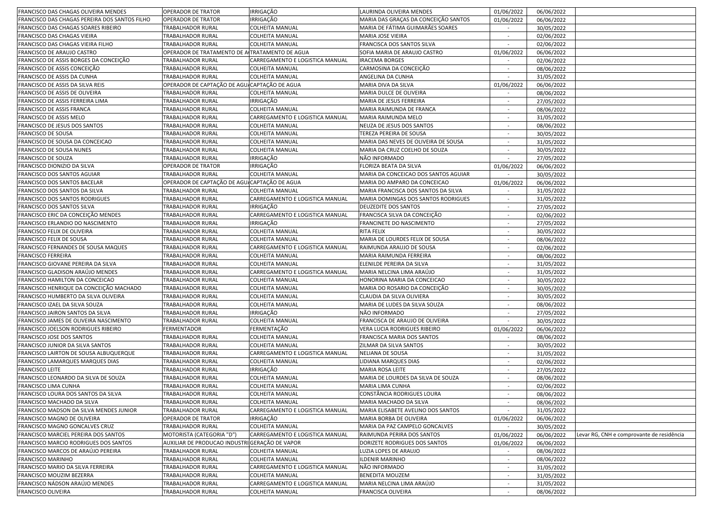| FRANCISCO DAS CHAGAS OLIVEIRA MENDES          | <b>OPERADOR DE TRATOR</b>                      | <b>IRRIGAÇÃO</b>                | LAURINDA OLIVEIRA MENDES             | 01/06/2022               | 06/06/2022 |                                          |
|-----------------------------------------------|------------------------------------------------|---------------------------------|--------------------------------------|--------------------------|------------|------------------------------------------|
| FRANCISCO DAS CHAGAS PEREIRA DOS SANTOS FILHO | <b>OPERADOR DE TRATOR</b>                      | <b>IRRIGAÇÃO</b>                | MARIA DAS GRAÇAS DA CONCEIÇÃO SANTOS | 01/06/2022               | 06/06/2022 |                                          |
| FRANCISCO DAS CHAGAS SOARES RIBEIRO           | TRABALHADOR RURAL                              | COLHEITA MANUAL                 | MARIA DE FÁTIMA GUIMARÃES SOARES     |                          | 30/05/2022 |                                          |
| FRANCISCO DAS CHAGAS VIEIRA                   | TRABALHADOR RURAL                              | <b>COLHEITA MANUAL</b>          | MARIA JOSE VIEIRA                    | $\sim$                   | 02/06/2022 |                                          |
| FRANCISCO DAS CHAGAS VIEIRA FILHO             | TRABALHADOR RURAL                              | <b>COLHEITA MANUAL</b>          | FRANCISCA DOS SANTOS SILVA           | $\sim$                   | 02/06/2022 |                                          |
| FRANCISCO DE ARAUJO CASTRO                    | OPERADOR DE TRATAMENTO DE ALTRATAMENTO DE AGUA |                                 | SOFIA MARIA DE ARAUJO CASTRO         | 01/06/2022               | 06/06/2022 |                                          |
| FRANCISCO DE ASSIS BORGES DA CONCEIÇÃO        | TRABALHADOR RURAL                              | CARREGAMENTO E LOGISTICA MANUAL | <b>IRACEMA BORGES</b>                |                          | 02/06/2022 |                                          |
| FRANCISCO DE ASSIS CONCEIÇÃO                  | TRABALHADOR RURAL                              | <b>COLHEITA MANUAL</b>          | CARMOSINA DA CONCEIÇÃO               | $\sim$                   | 08/06/2022 |                                          |
| FRANCISCO DE ASSIS DA CUNHA                   | TRABALHADOR RURAL                              | <b>COLHEITA MANUAL</b>          | ANGELINA DA CUNHA                    |                          | 31/05/2022 |                                          |
| FRANCISCO DE ASSIS DA SILVA REIS              | OPERADOR DE CAPTAÇÃO DE AGU. CAPTAÇÃO DE AGUA  |                                 | MARIA DIVA DA SILVA                  | 01/06/2022               | 06/06/2022 |                                          |
| FRANCISCO DE ASSIS DE OLIVEIRA                | TRABALHADOR RURAL                              | <b>COLHEITA MANUAL</b>          | MARIA DULCE DE OLIVEIRA              | $\sim$                   | 08/06/2022 |                                          |
| FRANCISCO DE ASSIS FERREIRA LIMA              | TRABALHADOR RURAL                              | IRRIGAÇÃO                       | MARIA DE JESUS FERREIRA              | $\overline{\phantom{a}}$ | 27/05/2022 |                                          |
| FRANCISCO DE ASSIS FRANCA                     | TRABALHADOR RURAL                              | <b>COLHEITA MANUAL</b>          | MARIA RAIMUNDA DE FRANCA             | $\sim$                   | 08/06/2022 |                                          |
| FRANCISCO DE ASSIS MELO                       | TRABALHADOR RURAL                              | CARREGAMENTO E LOGISTICA MANUAL | MARIA RAIMUNDA MELO                  |                          | 31/05/2022 |                                          |
| FRANCISCO DE JESUS DOS SANTOS                 | TRABALHADOR RURAL                              | <b>COLHEITA MANUAL</b>          | NEUZA DE JESUS DOS SANTOS            | $\overline{\phantom{a}}$ | 08/06/2022 |                                          |
| <b>FRANCISCO DE SOUSA</b>                     | TRABALHADOR RURAL                              | <b>COLHEITA MANUAL</b>          | TEREZA PEREIRA DE SOUSA              |                          | 30/05/2022 |                                          |
| FRANCISCO DE SOUSA DA CONCEICAO               | TRABALHADOR RURAL                              | <b>COLHEITA MANUAL</b>          | MARIA DAS NEVES DE OLIVEIRA DE SOUSA |                          | 31/05/2022 |                                          |
| FRANCISCO DE SOUSA NUNES                      | TRABALHADOR RURAL                              | <b>COLHEITA MANUAL</b>          | MARIA DA CRUZ COELHO DE SOUZA        | $\sim$                   | 30/05/2022 |                                          |
| FRANCISCO DE SOUZA                            | TRABALHADOR RURAL                              | IRRIGAÇÃO                       | NÃO INFORMADO                        | $\sim$                   | 27/05/2022 |                                          |
| FRANCISCO DIONIZIO DA SILVA                   | OPERADOR DE TRATOR                             | IRRIGAÇÃO                       | FLORIZA BEATA DA SILVA               | 01/06/2022               | 06/06/2022 |                                          |
|                                               | TRABALHADOR RURAL                              | <b>COLHEITA MANUAL</b>          | MARIA DA CONCEICAO DOS SANTOS AGUIAR |                          |            |                                          |
| FRANCISCO DOS SANTOS AGUIAR                   |                                                |                                 | MARIA DO AMPARO DA CONCEICAO         |                          | 30/05/2022 |                                          |
| FRANCISCO DOS SANTOS BACELAR                  | OPERADOR DE CAPTAÇÃO DE AGU CAPTAÇÃO DE AGUA   | <b>COLHEITA MANUAL</b>          |                                      | 01/06/2022               | 06/06/2022 |                                          |
| FRANCISCO DOS SANTOS DA SILVA                 | TRABALHADOR RURAL                              |                                 | MARIA FRANCISCA DOS SANTOS DA SILVA  |                          | 31/05/2022 |                                          |
| RANCISCO DOS SANTOS RODRIGUES                 | TRABALHADOR RURAL                              | CARREGAMENTO E LOGISTICA MANUAL | MARIA DOMINGAS DOS SANTOS RODRIGUES  |                          | 31/05/2022 |                                          |
| FRANCISCO DOS SANTOS SILVA                    | TRABALHADOR RURAL                              | IRRIGAÇÃO                       | DEUZEDITE DOS SANTOS                 |                          | 27/05/2022 |                                          |
| FRANCISCO ERIC DA CONCEIÇÃO MENDES            | TRABALHADOR RURAL                              | CARREGAMENTO E LOGISTICA MANUAL | FRANCISCA SILVA DA CONCEIÇÃO         | $\sim$                   | 02/06/2022 |                                          |
| FRANCISCO ERLANDIO DO NASCIMENTO              | TRABALHADOR RURAL                              | IRRIGAÇÃO                       | FRANCINETE DO NASCIMENTO             | $\sim$                   | 27/05/2022 |                                          |
| FRANCISCO FELIX DE OLIVEIRA                   | TRABALHADOR RURAL                              | <b>COLHEITA MANUAL</b>          | RITA FELIX                           |                          | 30/05/2022 |                                          |
| FRANCISCO FELIX DE SOUSA                      | TRABALHADOR RURAL                              | <b>COLHEITA MANUAL</b>          | MARIA DE LOURDES FELIX DE SOUSA      | $\sim$                   | 08/06/2022 |                                          |
| FRANCISCO FERNANDES DE SOUSA MAQUES           | TRABALHADOR RURAL                              | CARREGAMENTO E LOGISTICA MANUAL | RAIMUNDA ARAUJO DE SOUSA             |                          | 02/06/2022 |                                          |
| FRANCISCO FERREIRA                            | TRABALHADOR RURAL                              | <b>COLHEITA MANUAL</b>          | MARIA RAIMUNDA FERREIRA              |                          | 08/06/2022 |                                          |
| FRANCISCO GIOVANE PEREIRA DA SILVA            | TRABALHADOR RURAL                              | COLHEITA MANUAL                 | ELENILDE PEREIRA DA SILVA            |                          | 31/05/2022 |                                          |
| FRANCISCO GLADISON ARAÚJO MENDES              | TRABALHADOR RURAL                              | CARREGAMENTO E LOGISTICA MANUAL | MARIA NELCINA LIMA ARAÚJO            | $\overline{\phantom{a}}$ | 31/05/2022 |                                          |
| FRANCISCO HAMILTON DA CONCEICAO               | TRABALHADOR RURAL                              | <b>COLHEITA MANUAL</b>          | HONORINA MARIA DA CONCEICAO          | $\sim$                   | 30/05/2022 |                                          |
| FRANCISCO HENRIQUE DA CONCEIÇÃO MACHADO       | TRABALHADOR RURAL                              | <b>COLHEITA MANUAL</b>          | MARIA DO ROSARIO DA CONCEIÇÃO        |                          | 30/05/2022 |                                          |
| FRANCISCO HUMBERTO DA SILVA OLIVEIRA          | TRABALHADOR RURAL                              | <b>COLHEITA MANUAL</b>          | CLAUDIA DA SILVA OLIVIERA            | $\sim$                   | 30/05/2022 |                                          |
| FRANCISCO IZAEL DA SILVA SOUZA                | TRABALHADOR RURAL                              | <b>COLHEITA MANUAL</b>          | MARIA DE LUDES DA SILVA SOUZA        |                          | 08/06/2022 |                                          |
| RANCISCO JAIRON SANTOS DA SILVA               | TRABALHADOR RURAL                              | <b>IRRIGAÇÃO</b>                | NÃO INFORMADO                        |                          | 27/05/2022 |                                          |
| FRANCISCO JAMES DE OLIVEIRA NASCIMENTO        | TRABALHADOR RURAL                              | COLHEITA MANUAL                 | FRANCISCA DE ARAUJO DE OLIVEIRA      |                          | 30/05/2022 |                                          |
| FRANCISCO JOELSON RODRIGUES RIBEIRO           | FERMENTADOR                                    | FERMENTAÇÃO                     | VERA LUCIA RODRIGUES RIBEIRO         | 01/06/2022               | 06/06/2022 |                                          |
| FRANCISCO JOSE DOS SANTOS                     | TRABALHADOR RURAL                              | COLHEITA MANUAL                 | FRANCISCA MARIA DOS SANTOS           | $\sim$                   | 08/06/2022 |                                          |
| FRANCISCO JUNIOR DA SILVA SANTOS              | TRABALHADOR RURAL                              | <b>COLHEITA MANUAL</b>          | ZILMAR DA SILVA SANTOS               |                          | 30/05/2022 |                                          |
| FRANCISCO LAIRTON DE SOUSA ALBUQUERQUE        | TRABALHADOR RURAL                              | CARREGAMENTO E LOGISTICA MANUAL | NELIANA DE SOUSA                     | $\sim$                   | 31/05/2022 |                                          |
| FRANCISCO LAMARQUES MARQUES DIAS              | TRABALHADOR RURAL                              | <b>COLHEITA MANUAL</b>          | LIDIANA MARQUES DIAS                 |                          | 02/06/2022 |                                          |
| FRANCISCO LEITE                               | TRABALHADOR RURAL                              | <b>IRRIGAÇÃO</b>                | MARIA ROSA LEITE                     |                          | 27/05/2022 |                                          |
| FRANCISCO LEONARDO DA SILVA DE SOUZA          | TRABALHADOR RURAL                              | COLHEITA MANUAL                 | MARIA DE LOURDES DA SILVA DE SOUZA   |                          | 08/06/2022 |                                          |
| FRANCISCO LIMA CUNHA                          | TRABALHADOR RURAL                              | COLHEITA MANUAL                 | MARIA LIMA CUNHA                     | $\sim$                   | 02/06/2022 |                                          |
| FRANCISCO LOURA DOS SANTOS DA SILVA           | <b>TRABALHADOR RURAL</b>                       | <b>COLHEITA MANUAL</b>          | CONSTÂNCIA RODRIGUES LOURA           |                          | 08/06/2022 |                                          |
| FRANCISCO MACHADO DA SILVA                    | TRABALHADOR RURAL                              | <b>COLHEITA MANUAL</b>          | MARIA MACHADO DA SILVA               | $\sim$                   | 08/06/2022 |                                          |
| FRANCISCO MADSON DA SILVA MENDES JUNIOR       | TRABALHADOR RURAL                              | CARREGAMENTO E LOGISTICA MANUAL | MARIA ELISABETE AVELINO DOS SANTOS   |                          | 31/05/2022 |                                          |
| FRANCISCO MAGNO DE OLIVEIRA                   | OPERADOR DE TRATOR                             | <b>IRRIGAÇÃO</b>                | MARIA BORBA DE OLIVEIRA              | 01/06/2022               | 06/06/2022 |                                          |
| FRANCISCO MAGNO GONCALVES CRUZ                | TRABALHADOR RURAL                              | <b>COLHEITA MANUAL</b>          | MARIA DA PAZ CAMPELO GONCALVES       |                          | 30/05/2022 |                                          |
| FRANCISCO MARCIEL PEREIRA DOS SANTOS          | MOTORISTA (CATEGORIA "D")                      | CARREGAMENTO E LOGISTICA MANUAL | RAIMUNDA PERIRA DOS SANTOS           | 01/06/2022               | 06/06/2022 | evar RG, CNH e comprovante de residência |
| FRANCISCO MARCIO RODRIGUES DOS SANTOS         | AUXILIAR DE PRODUCAO INDUSTRI GERAÇÃO DE VAPOR |                                 | DORIZETE RODRIGUES DOS SANTOS        | 01/06/2022               | 06/06/2022 |                                          |
| FRANCISCO MARCOS DE ARAÚJO PEREIRA            | TRABALHADOR RURAL                              | <b>COLHEITA MANUAL</b>          | LUZIA LOPES DE ARAUJO                | $\sim$                   | 08/06/2022 |                                          |
| FRANCISCO MARINHO                             | TRABALHADOR RURAL                              | <b>COLHEITA MANUAL</b>          | ILDENIR MARINHO                      | $\sim$                   | 08/06/2022 |                                          |
| FRANCISCO MARIO DA SILVA FERREIRA             | TRABALHADOR RURAL                              | CARREGAMENTO E LOGISTICA MANUAL | NÃO INFORMADO                        | $\sim$                   | 31/05/2022 |                                          |
| FRANCISCO MOUZIM BEZERRA                      | TRABALHADOR RURAL                              | <b>COLHEITA MANUAL</b>          | <b>BENEDITA MOUZEM</b>               | $\sim$                   | 31/05/2022 |                                          |
| FRANCISCO NÁDSON ARAÚJO MENDES                | <b>TRABALHADOR RURAL</b>                       | CARREGAMENTO E LOGISTICA MANUAL | MARIA NELCINA LIMA ARAÚJO            |                          | 31/05/2022 |                                          |
| FRANCISCO OLIVEIRA                            | TRABALHADOR RURAL                              | <b>COLHEITA MANUAL</b>          | <b>FRANCISCA OLIVEIRA</b>            | $\sim$                   | 08/06/2022 |                                          |
|                                               |                                                |                                 |                                      |                          |            |                                          |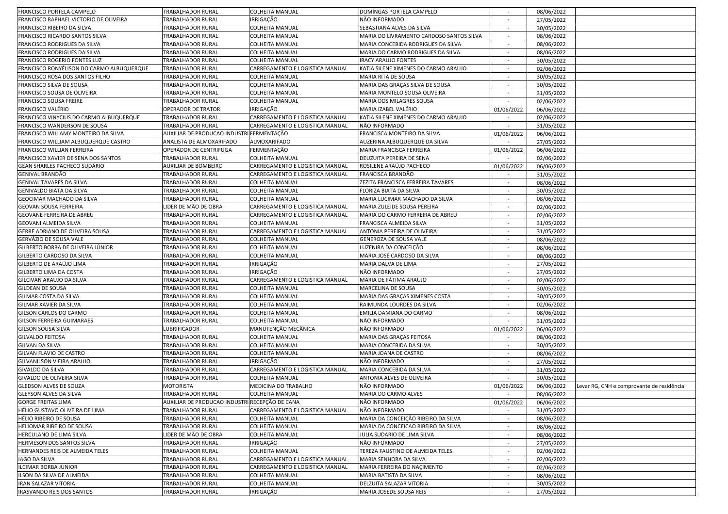| FRANCISCO PORTELA CAMPELO                 | <b>TRABALHADOR RURAL</b>                       | <b>COLHEITA MANUAL</b>          | DOMINGAS PORTELA CAMPELO                 |                          | 08/06/2022 |                                           |
|-------------------------------------------|------------------------------------------------|---------------------------------|------------------------------------------|--------------------------|------------|-------------------------------------------|
| FRANCISCO RAPHAEL VICTORIO DE OLIVEIRA    | TRABALHADOR RURAL                              | IRRIGAÇÃO                       | NÃO INFORMADO                            | $\sim$                   | 27/05/2022 |                                           |
| FRANCISCO RIBEIRO DA SILVA                | TRABALHADOR RURAL                              | COLHEITA MANUAL                 | SEBASTIANA ALVES DA SILVA                | $\sim$                   | 30/05/2022 |                                           |
| FRANCISCO RICARDO SANTOS SILVA            | TRABALHADOR RURAL                              | COLHEITA MANUAL                 | MARIA DO LIVRAMENTO CARDOSO SANTOS SILVA | $\sim$                   | 08/06/2022 |                                           |
| FRANCISCO RODRIGUES DA SILVA              | TRABALHADOR RURAL                              | COLHEITA MANUAL                 | MARIA CONCEBIDA RODRIGUES DA SILVA       |                          | 08/06/2022 |                                           |
| FRANCISCO RODRIGUES DA SILVA              | TRABALHADOR RURAL                              | <b>COLHEITA MANUAL</b>          | MARIA DO CARMO RODRIGUES DA SILVA        | $\overline{\phantom{a}}$ | 08/06/2022 |                                           |
| FRANCISCO ROGERIO FONTES LUZ              | TRABALHADOR RURAL                              | COLHEITA MANUAL                 | <b>IRACY ARAUJO FONTES</b>               |                          | 30/05/2022 |                                           |
| FRANCISCO RONYÉLISON DO CARMO ALBUQUERQUE | TRABALHADOR RURAL                              | CARREGAMENTO E LOGISTICA MANUAL | KATIA SILENE XIMENES DO CARMO ARAUJO     |                          | 02/06/2022 |                                           |
| FRANCISCO ROSA DOS SANTOS FILHO           | TRABALHADOR RURAL                              | COLHEITA MANUAL                 | MARIA RITA DE SOUSA                      |                          | 30/05/2022 |                                           |
| FRANCISCO SILVA DE SOUSA                  | TRABALHADOR RURAL                              | <b>COLHEITA MANUAL</b>          | MARIA DAS GRAÇAS SILVA DE SOUSA          | $\sim$                   | 30/05/2022 |                                           |
| FRANCISCO SOUSA DE OLIVEIRA               | TRABALHADOR RURAL                              | <b>COLHEITA MANUAL</b>          | MARIA MONTELO SOUSA OLIVEIRA             | $\sim$                   | 31/05/2022 |                                           |
| FRANCISCO SOUSA FREIRE                    | TRABALHADOR RURAL                              | <b>COLHEITA MANUAL</b>          | MARIA DOS MILAGRES SOUSA                 |                          | 02/06/2022 |                                           |
| FRANCISCO VALÉRIO                         | OPERADOR DE TRATOR                             | <b>IRRIGAÇÃO</b>                | MARIA IZABEL VALÉRIO                     | 01/06/2022               | 06/06/2022 |                                           |
| FRANCISCO VINYCIUS DO CARMO ALBUQUERQUE   | TRABALHADOR RURAL                              | CARREGAMENTO E LOGISTICA MANUAL | KATIA SILENE XIMENES DO CARMO ARAUJO     |                          | 02/06/2022 |                                           |
| FRANCISCO WANDERSON DE SOUSA              | TRABALHADOR RURAL                              | CARREGAMENTO E LOGISTICA MANUAL | NÃO INFORMADO                            |                          | 31/05/2022 |                                           |
| FRANCISCO WILLAMY MONTEIRO DA SILVA       | AUXILIAR DE PRODUCAO INDUSTRI FERMENTAÇÃO      |                                 | FRANCISCA MONTEIRO DA SILVA              | 01/06/2022               | 06/06/2022 |                                           |
| FRANCISCO WILLIAM ALBUQUERQUE CASTRO      | ANALISTA DE ALMOXARIFADO                       | ALMOXARIFADO                    | AUZERINA ALBUQUERQUE DA SILVA            | $\sim$                   |            |                                           |
| FRANCISCO WILLIAN FERREIRA                | OPERADOR DE CENTRIFUGA                         | FERMENTAÇÃO                     | MARIA FRANCISCA FERREIRA                 |                          | 27/05/2022 |                                           |
| FRANCISCO XAVIER DE SENA DOS SANTOS       | TRABALHADOR RURAL                              |                                 | DEUZUITA PEREIRA DE SENA                 | 01/06/2022               | 06/06/2022 |                                           |
|                                           |                                                | <b>COLHEITA MANUAL</b>          |                                          |                          | 02/06/2022 |                                           |
| GEAN SHARLES PACHECO SUDÁRIO              | <b>AUXILIAR DE BOMBEIRO</b>                    | CARREGAMENTO E LOGISTICA MANUAL | ROSILENE ARAÚJO PACHECO                  | 01/06/2022               | 06/06/2022 |                                           |
| GENIVAL BRANDÃO                           | TRABALHADOR RURAL                              | CARREGAMENTO E LOGISTICA MANUAL | FRANCISCA BRANDÃO                        |                          | 31/05/2022 |                                           |
| <b>GENIVAL TAVARES DA SILVA</b>           | TRABALHADOR RURAL                              | COLHEITA MANUAL                 | ZEZITA FRANCISCA FERREIRA TAVARES        |                          | 08/06/2022 |                                           |
| GENIVALDO BIATA DA SILVA                  | TRABALHADOR RURAL                              | COLHEITA MANUAL                 | FLORIZA BIATA DA SILVA                   |                          | 30/05/2022 |                                           |
| GEOCIMAR MACHADO DA SILVA                 | TRABALHADOR RURAL                              | COLHEITA MANUAL                 | MARIA LUCIMAR MACHADO DA SILVA           | $\overline{\phantom{a}}$ | 08/06/2022 |                                           |
| GEOVAN SOUSA FERREIRA                     | IDER DE MÃO DE OBRA                            | CARREGAMENTO E LOGISTICA MANUAL | MARIA ZULEIDE SOUSA PEREIRA              | $\sim$                   | 02/06/2022 |                                           |
| GEOVANE FERREIRA DE ABREU                 | TRABALHADOR RURAL                              | CARREGAMENTO E LOGISTICA MANUAL | MARIA DO CARMO FERREIRA DE ABREU         |                          | 02/06/2022 |                                           |
| GEOVANI ALMEIDA SILVA                     | TRABALHADOR RURAL                              | <b>COLHEITA MANUAL</b>          | FRANCISCA ALMEIDA SILVA                  | $\overline{\phantom{a}}$ | 31/05/2022 |                                           |
| GERRE ADRIANO DE OLIVEIRA SOUSA           | TRABALHADOR RURAL                              | CARREGAMENTO E LOGISTICA MANUAL | ANTONIA PEREIRA DE OLIVEIRA              |                          | 31/05/2022 |                                           |
| GERVÁZIO DE SOUSA VALE                    | TRABALHADOR RURAL                              | COLHEITA MANUAL                 | GENEROZA DE SOUSA VALE                   |                          | 08/06/2022 |                                           |
| GILBERTO BORBA DE OLIVEIRA JÚNIOR         | TRABALHADOR RURAL                              | <b>COLHEITA MANUAL</b>          | LUZENIRA DA CONCEIÇÃO                    | $\overline{\phantom{a}}$ | 08/06/2022 |                                           |
| GILBERTO CARDOSO DA SILVA                 | TRABALHADOR RURAL                              | COLHEITA MANUAL                 | MARIA JOSÉ CARDOSO DA SILVA              | $\sim$                   | 08/06/2022 |                                           |
| GILBERTO DE ARAÚJO LIMA                   | TRABALHADOR RURAL                              | IRRIGAÇÃO                       | MARIA DALVA DE LIMA                      | $\sim$                   | 27/05/2022 |                                           |
| GILBERTO LIMA DA COSTA                    | TRABALHADOR RURAL                              | <b>IRRIGAÇÃO</b>                | NÃO INFORMADO                            | $\overline{\phantom{a}}$ | 27/05/2022 |                                           |
| GILCIVAN ARAUJO DA SILVA                  | TRABALHADOR RURAL                              | CARREGAMENTO E LOGISTICA MANUAL | MARIA DE FÁTIMA ARAUJO                   | $\sim$                   | 02/06/2022 |                                           |
| <b>GILDEAN DE SOUSA</b>                   | TRABALHADOR RURAL                              | <b>COLHEITA MANUAL</b>          | MARCELINA DE SOUSA                       |                          | 30/05/2022 |                                           |
| GILMAR COSTA DA SILVA                     | TRABALHADOR RURAL                              | COLHEITA MANUAL                 | MARIA DAS GRAÇAS XIMENES COSTA           |                          | 30/05/2022 |                                           |
| GILMAR XAVIER DA SILVA                    | TRABALHADOR RURAL                              | COLHEITA MANUAL                 | RAIMUNDA LOURDES DA SILVA                |                          | 02/06/2022 |                                           |
| GILSON CARLOS DO CARMO                    | TRABALHADOR RURAL                              | COLHEITA MANUAL                 | EMILIA DAMIANA DO CARMO                  | $\sim$                   | 08/06/2022 |                                           |
| GILSON FERREIRA GUIMARAES                 | TRABALHADOR RURAL                              | <b>COLHEITA MANUAL</b>          | NÃO INFORMADO                            | $\sim$                   | 31/05/2022 |                                           |
| GILSON SOUSA SILVA                        | <b>UBRIFICADOR</b>                             | MANUTENÇÃO MECÂNICA             | NÃO INFORMADO                            | 01/06/2022               | 06/06/2022 |                                           |
| <b>GILVALDO FEITOSA</b>                   | TRABALHADOR RURAL                              | <b>COLHEITA MANUAL</b>          | MARIA DAS GRAÇAS FEITOSA                 |                          | 08/06/2022 |                                           |
| <b>GILVAN DA SILVA</b>                    | TRABALHADOR RURAL                              | <b>COLHEITA MANUAL</b>          | MARIA CONCEBIDA DA SILVA                 |                          | 30/05/2022 |                                           |
| GILVAN FLAVIO DE CASTRO                   | TRABALHADOR RURAL                              | <b>COLHEITA MANUAL</b>          | MARIA JOANA DE CASTRO                    |                          | 08/06/2022 |                                           |
| GILVANILSON VIEIRA ARAUJO                 | TRABALHADOR RURAL                              | IRRIGAÇÃO                       | NÃO INFORMADO                            |                          | 27/05/2022 |                                           |
| GIVALDO DA SILVA                          | TRABALHADOR RURAL                              | CARREGAMENTO E LOGISTICA MANUAL | MARIA CONCEBIDA DA SILVA                 | $\sim$                   | 31/05/2022 |                                           |
| GIVALDO DE OLIVEIRA SILVA                 | TRABALHADOR RURAL                              | COLHEITA MANUAL                 | ANTONIA ALVES DE OLIVEIRA                | $\sim$                   | 30/05/2022 |                                           |
| <b>GLEDSON ALVES DE SOUZA</b>             | MOTORISTA                                      | MEDICINA DO TRABALHO            | NÃO INFORMADO                            | 01/06/2022               | 06/06/2022 | Levar RG, CNH e comprovante de residência |
| GLEYSON ALVES DA SILVA                    | TRABALHADOR RURAL                              | COLHEITA MANUAL                 | MARIA DO CARMO ALVES                     |                          | 08/06/2022 |                                           |
| <b>GORGE FREITAS LIMA</b>                 | AUXILIAR DE PRODUCAO INDUSTRI RECEPÇÃO DE CANA |                                 | NÃO INFORMADO                            | 01/06/2022               | 06/06/2022 |                                           |
| HÉLIO GUSTAVO OLIVEIRA DE LIMA            | <b>TRABALHADOR RURAL</b>                       | CARREGAMENTO E LOGISTICA MANUAL | NÃO INFORMADO                            |                          | 31/05/2022 |                                           |
| HÉLIO RIBEIRO DE SOUSA                    | TRABALHADOR RURAL                              | COLHEITA MANUAL                 | MARIA DA CONCEIÇÃO RIBEIRO DA SILVA      |                          | 08/06/2022 |                                           |
| HELIOMAR RIBEIRO DE SOUSA                 | TRABALHADOR RURAL                              | COLHEITA MANUAL                 | MARIA DA CONCEICAO RIBEIRO DA SILVA      | $\sim$                   | 08/06/2022 |                                           |
| HERCULANO DE LIMA SILVA                   | IDER DE MÃO DE OBRA                            | <b>COLHEITA MANUAL</b>          | JULIA SUDARIO DE LIMA SILVA              | $\sim$                   | 08/06/2022 |                                           |
| HERMESON DOS SANTOS SILVA                 | TRABALHADOR RURAL                              | IRRIGAÇÃO                       | NÃO INFORMADO                            | $\overline{\phantom{a}}$ | 27/05/2022 |                                           |
| HERNANDES REIS DE ALMEIDA TELES           | TRABALHADOR RURAL                              | <b>COLHEITA MANUAL</b>          | TEREZA FAUSTINO DE ALMEIDA TELES         | $\overline{\phantom{a}}$ | 02/06/2022 |                                           |
| <b>IAGO DA SILVA</b>                      | TRABALHADOR RURAL                              | CARREGAMENTO E LOGISTICA MANUAL | MARIA SENHORA DA SILVA                   | $\sim$                   | 02/06/2022 |                                           |
| <b>ILCIMAR BORBA JUNIOR</b>               | TRABALHADOR RURAL                              | CARREGAMENTO E LOGISTICA MANUAL | MARIA FERREIRA DO NAÇIMENTO              |                          | 02/06/2022 |                                           |
| ILSON DA SILVA DE ALMEIDA                 | TRABALHADOR RURAL                              | COLHEITA MANUAL                 | MARIA BATISTA DA SILVA                   |                          | 08/06/2022 |                                           |
| <b>IRAN SALAZAR VITORIA</b>               | TRABALHADOR RURAL                              | COLHEITA MANUAL                 | DELZUITA SALAZAR VITORIA                 | $\sim$                   | 30/05/2022 |                                           |
| <b>IRASVANDO REIS DOS SANTOS</b>          | TRABALHADOR RURAL                              | IRRIGAÇÃO                       | MARIA JOSEDE SOUSA REIS                  | $\sim$                   | 27/05/2022 |                                           |
|                                           |                                                |                                 |                                          |                          |            |                                           |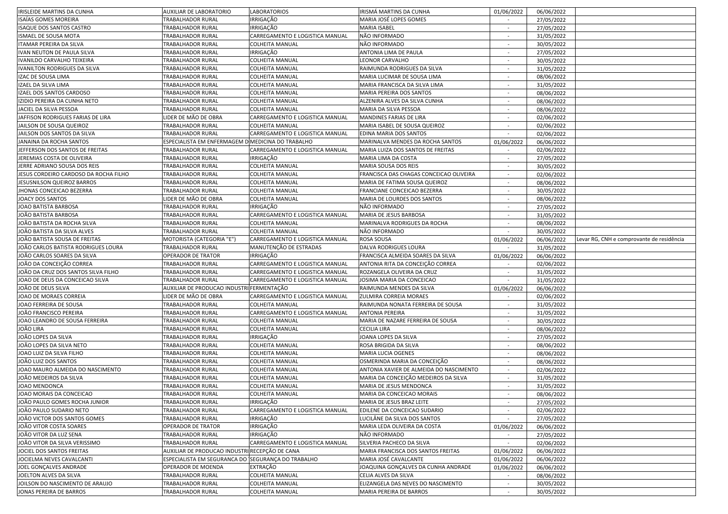| <b>IRISLEIDE MARTINS DA CUNHA</b>                          | AUXILIAR DE LABORATORIO                            | <b>LABORATORIOS</b>                                       | IRISMÁ MARTINS DA CUNHA                                       | 01/06/2022               | 06/06/2022               |                                           |
|------------------------------------------------------------|----------------------------------------------------|-----------------------------------------------------------|---------------------------------------------------------------|--------------------------|--------------------------|-------------------------------------------|
| ISAÍAS GOMES MOREIRA                                       | TRABALHADOR RURAL                                  | IRRIGAÇÃO                                                 | MARIA JOSÉ LOPES GOMES                                        |                          | 27/05/2022               |                                           |
| ISAQUE DOS SANTOS CASTRO                                   | TRABALHADOR RURAL                                  | <b>IRRIGAÇÃO</b>                                          | <b>MARIA ISABEL</b>                                           |                          | 27/05/2022               |                                           |
| ISMAEL DE SOUSA MOTA                                       | TRABALHADOR RURAL                                  | CARREGAMENTO E LOGISTICA MANUAL                           | NÃO INFORMADO                                                 | $\sim$                   | 31/05/2022               |                                           |
| ITAMAR PEREIRA DA SILVA                                    | TRABALHADOR RURAL                                  | <b>COLHEITA MANUAL</b>                                    | NÃO INFORMADO                                                 |                          | 30/05/2022               |                                           |
| IVAN NEUTON DE PAULA SILVA                                 | <b>TRABALHADOR RURAL</b>                           | IRRIGAÇÃO                                                 | ANTONIA LIMA DE PAULA                                         | $\overline{\phantom{a}}$ | 27/05/2022               |                                           |
| IVANILDO CARVALHO TEIXEIRA                                 | TRABALHADOR RURAL                                  | <b>COLHEITA MANUAL</b>                                    | LEONOR CARVALHO                                               |                          | 30/05/2022               |                                           |
| <b>IVANILTON RODRIGUES DA SILVA</b>                        | TRABALHADOR RURAL                                  | <b>COLHEITA MANUAL</b>                                    | RAIMUNDA RODRIGUES DA SILVA                                   |                          | 31/05/2022               |                                           |
| IZAC DE SOUSA LIMA                                         | TRABALHADOR RURAL                                  | <b>COLHEITA MANUAL</b>                                    | MARIA LUCIMAR DE SOUSA LIMA                                   |                          | 08/06/2022               |                                           |
| IZAEL DA SILVA LIMA                                        | TRABALHADOR RURAL                                  | COLHEITA MANUAL                                           | MARIA FRANCISCA DA SILVA LIMA                                 | $\blacksquare$           | 31/05/2022               |                                           |
| IZAEL DOS SANTOS CARDOSO                                   | TRABALHADOR RURAL                                  | COLHEITA MANUAL                                           | MARIA PEREIRA DOS SANTOS                                      | $\sim$                   | 08/06/2022               |                                           |
| IZIDIO PEREIRA DA CUNHA NETO                               | TRABALHADOR RURAL                                  | COLHEITA MANUAL                                           | ALZENIRA ALVES DA SILVA CUNHA                                 |                          | 08/06/2022               |                                           |
| JACIEL DA SILVA PESSOA                                     | TRABALHADOR RURAL                                  | <b>COLHEITA MANUAL</b>                                    | MARIA DA SILVA PESSOA                                         | $\overline{\phantom{a}}$ | 08/06/2022               |                                           |
| JAFFISON RODRIGUES FARIAS DE LIRA                          | LIDER DE MÃO DE OBRA                               | CARREGAMENTO E LOGISTICA MANUAL                           | MANDINES FARIAS DE LIRA                                       | $\sim$                   |                          |                                           |
|                                                            | <b>TRABALHADOR RURAL</b>                           |                                                           |                                                               |                          | 02/06/2022               |                                           |
| JAILSON DE SOUSA QUEIROZ                                   |                                                    | <b>COLHEITA MANUAL</b><br>CARREGAMENTO E LOGISTICA MANUAL | MARIA ISABEL DE SOUSA QUEIROZ                                 |                          | 02/06/2022               |                                           |
| JAILSON DOS SANTOS DA SILVA                                | TRABALHADOR RURAL                                  |                                                           | EDINA MARIA DOS SANTOS                                        |                          | 02/06/2022               |                                           |
| JANAINA DA ROCHA SANTOS                                    | ESPECIALISTA EM ENFERMAGEM D MEDICINA DO TRABALHO  |                                                           | MARINALVA MENDES DA ROCHA SANTOS                              | 01/06/2022               | 06/06/2022               |                                           |
| JEFFERSON DOS SANTOS DE FREITAS                            | TRABALHADOR RURAL                                  | CARREGAMENTO E LOGISTICA MANUAL                           | MARIA LUIZA DOS SANTOS DE FREITAS                             | $\sim$                   | 02/06/2022               |                                           |
| JEREMIAS COSTA DE OLIVEIRA                                 | TRABALHADOR RURAL                                  | IRRIGAÇÃO                                                 | MARIA LIMA DA COSTA                                           | $\sim$                   | 27/05/2022               |                                           |
| JERRE ADRIANO SOUSA DOS REIS                               | TRABALHADOR RURAL                                  | <b>COLHEITA MANUAL</b>                                    | MARIA SOUSA DOS REIS                                          | $\sim$                   | 30/05/2022               |                                           |
| JESUS CORDEIRO CARDOSO DA ROCHA FILHO                      | TRABALHADOR RURAL                                  | <b>COLHEITA MANUAL</b>                                    | FRANCISCA DAS CHAGAS CONCEICAO OLIVEIRA                       |                          | 02/06/2022               |                                           |
| JESUSNILSON QUEIROZ BARROS                                 | TRABALHADOR RURAL                                  | <b>COLHEITA MANUAL</b>                                    | MARIA DE FATIMA SOUSA QUEIROZ                                 |                          | 08/06/2022               |                                           |
| JHONAS CONCEICAO BEZERRA                                   | TRABALHADOR RURAL                                  | <b>COLHEITA MANUAL</b>                                    | FRANCIANE CONCEICAO BEZERRA                                   |                          | 30/05/2022               |                                           |
| JOACY DOS SANTOS                                           | IDER DE MÃO DE OBRA                                | COLHEITA MANUAL                                           | MARIA DE LOURDES DOS SANTOS                                   |                          | 08/06/2022               |                                           |
| JOAO BATISTA BARBOSA                                       | TRABALHADOR RURAL                                  | IRRIGAÇÃO                                                 | NÃO INFORMADO                                                 | $\sim$                   | 27/05/2022               |                                           |
| JOÃO BATISTA BARBOSA                                       | TRABALHADOR RURAL                                  | CARREGAMENTO E LOGISTICA MANUAL                           | MARIA DE JESUS BARBOSA                                        | $\sim$                   | 31/05/2022               |                                           |
| JOÃO BATISTA DA ROCHA SILVA                                | TRABALHADOR RURAL                                  | <b>COLHEITA MANUAL</b>                                    | MARINALVA RODRIGUES DA ROCHA                                  |                          | 08/06/2022               |                                           |
| JOÃO BATISTA DA SILVA ALVES                                | TRABALHADOR RURAL                                  | <b>COLHEITA MANUAL</b>                                    | NÃO INFORMADO                                                 |                          | 30/05/2022               |                                           |
| JOÃO BATISTA SOUSA DE FREITAS                              | MOTORISTA (CATEGORIA "E")                          | CARREGAMENTO E LOGISTICA MANUAL                           | <b>ROSA SOUSA</b>                                             | 01/06/2022               | 06/06/2022               | Levar RG, CNH e comprovante de residência |
| JOÃO CARLOS BATISTA RODRIGUES LOURA                        | TRABALHADOR RURAL                                  | MANUTENÇÃO DE ESTRADAS                                    | DALVA RODRIGUES LOURA                                         |                          | 31/05/2022               |                                           |
|                                                            |                                                    |                                                           |                                                               |                          |                          |                                           |
| JOÃO CARLOS SOARES DA SILVA                                | OPERADOR DE TRATOR                                 | IRRIGAÇÃO                                                 | FRANCISCA ALMEIDA SOARES DA SILVA                             | 01/06/2022               | 06/06/2022               |                                           |
| JOÃO DA CONCEIÇÃO CORREA                                   | TRABALHADOR RURAL                                  | CARREGAMENTO E LOGISTICA MANUAL                           | ANTONIA RITA DA CONCEIÇÃO CORREA                              | $\sim$                   | 02/06/2022               |                                           |
| JOÃO DA CRUZ DOS SANTOS SILVA FILHO                        | TRABALHADOR RURAL                                  | CARREGAMENTO E LOGISTICA MANUAL                           | ROZANGELA OLIVEIRA DA CRUZ                                    | $\sim$                   | 31/05/2022               |                                           |
| JOAO DE DEUS DA CONCEICAO SILVA                            | TRABALHADOR RURAL                                  | CARREGAMENTO E LOGISTICA MANUAL                           | JOSIMA MARIA DA CONCEICAO                                     | $\sim$                   | 31/05/2022               |                                           |
| JOÃO DE DEUS SILVA                                         | AUXILIAR DE PRODUCAO INDUSTRI FERMENTAÇÃO          |                                                           | RAIMUNDA MENDES DA SILVA                                      |                          |                          |                                           |
| JOAO DE MORAES CORREIA                                     | LIDER DE MÃO DE OBRA                               | CARREGAMENTO E LOGISTICA MANUAL                           | ZULMIRA CORREIA MORAES                                        | 01/06/2022               | 06/06/2022               |                                           |
|                                                            |                                                    |                                                           |                                                               |                          | 02/06/2022               |                                           |
| JOAO FERREIRA DE SOUSA                                     | TRABALHADOR RURAL                                  | <b>COLHEITA MANUAL</b>                                    | RAIMUNDA NONATA FERREIRA DE SOUSA                             |                          | 31/05/2022               |                                           |
| JOÃO FRANCISCO PEREIRA                                     | TRABALHADOR RURAL                                  | CARREGAMENTO E LOGISTICA MANUAL                           | <b>ANTONIA PEREIRA</b>                                        | $\sim$                   | 31/05/2022               |                                           |
| JOAO LEANDRO DE SOUSA FERREIRA                             | TRABALHADOR RURAL                                  | COLHEITA MANUAL                                           | MARIA DE NAZARE FERREIRA DE SOUSA                             | $\sim$                   | 30/05/2022               |                                           |
| JOÃO LIRA                                                  | TRABALHADOR RURAL                                  | <b>COLHEITA MANUAL</b>                                    | <b>CECILIA LIRA</b>                                           | $\sim$                   | 08/06/2022               |                                           |
| JOÃO LOPES DA SILVA                                        | TRABALHADOR RURAL                                  | IRRIGAÇÃO                                                 | JOANA LOPES DA SILVA                                          |                          | 27/05/2022               |                                           |
| JOÃO LOPES DA SILVA NETO                                   | TRABALHADOR RURAL                                  | <b>COLHEITA MANUAL</b>                                    | ROSA BRIGIDA DA SILVA                                         |                          | 08/06/2022               |                                           |
| JOAO LUIZ DA SILVA FILHO                                   | TRABALHADOR RURAL                                  | <b>COLHEITA MANUAL</b>                                    | <b>MARIA LUCIA OGENES</b>                                     |                          | 08/06/2022               |                                           |
| JOÃO LUIZ DOS SANTOS                                       | TRABALHADOR RURAL                                  | COLHEITA MANUAL                                           | OSMERINDA MARIA DA CONCEIÇÃO                                  |                          | 08/06/2022               |                                           |
| JOAO MAURO ALMEIDA DO NASCIMENTO                           | TRABALHADOR RURAL                                  | COLHEITA MANUAL                                           | ANTONIA XAVIER DE ALMEIDA DO NASCIMENTO                       |                          | 02/06/2022               |                                           |
| JOÃO MEDEIROS DA SILVA                                     | TRABALHADOR RURAL                                  | <b>COLHEITA MANUAL</b>                                    | MARIA DA CONCEIÇÃO MEDEIROS DA SILVA                          | $\sim$                   | 31/05/2022               |                                           |
| JOAO MENDONCA                                              | TRABALHADOR RURAL                                  | <b>COLHEITA MANUAL</b>                                    | MARIA DE JESUS MENDONCA                                       | $\sim$                   | 31/05/2022               |                                           |
| JOAO MORAIS DA CONCEICAO                                   | <b>TRABALHADOR RURAL</b>                           | <b>COLHEITA MANUAL</b>                                    | MARIA DA CONCEICAO MORAIS                                     |                          | 08/06/2022               |                                           |
| JOÃO PAULO GOMES ROCHA JUNIOR                              | TRABALHADOR RURAL                                  | IRRIGAÇÃO                                                 | MARIA DE JESUS BRAZ LEITE                                     |                          | 27/05/2022               |                                           |
| JOÃO PAULO SUDARIO NETO                                    | TRABALHADOR RURAL                                  | CARREGAMENTO E LOGISTICA MANUAL                           | EDILENE DA CONCEICAO SUDARIO                                  |                          | 02/06/2022               |                                           |
| JOÃO VICTOR DOS SANTOS GOMES                               | TRABALHADOR RURAL                                  | <b>IRRIGAÇÃO</b>                                          | LUCILÂNE DA SILVA DOS SANTOS                                  |                          | 27/05/2022               |                                           |
| JOÃO VITOR COSTA SOARES                                    | <b>OPERADOR DE TRATOR</b>                          | <b>IRRIGAÇÃO</b>                                          | MARIA LEDA OLIVEIRA DA COSTA                                  | 01/06/2022               | 06/06/2022               |                                           |
| JOÃO VITOR DA LUZ SENA                                     | <b>TRABALHADOR RURAL</b>                           | IRRIGAÇÃO                                                 | NÃO INFORMADO                                                 | $\sim$                   | 27/05/2022               |                                           |
| JOÃO VITOR DA SILVA VERISSIMO                              | TRABALHADOR RURAL                                  | CARREGAMENTO E LOGISTICA MANUAL                           | SILVERIA PACHECO DA SILVA                                     | $\sim$                   | 02/06/2022               |                                           |
| JOCIEL DOS SANTOS FREITAS                                  | AUXILIAR DE PRODUCAO INDUSTRI RECEPÇÃO DE CANA     |                                                           | MARIA FRANCISCA DOS SANTOS FREITAS                            | 01/06/2022               | 06/06/2022               |                                           |
| JOCIELMA NEVES CAVALCANTI                                  | ESPECIALISTA EM SEGURANCA DO SEGURANÇA DO TRABALHO |                                                           | MARIA JOSÉ CAVALCANTE                                         | 01/06/2022               | 06/06/2022               |                                           |
| JOEL GONÇALVES ANDRADE                                     | OPERADOR DE MOENDA                                 | <b>EXTRAÇÃO</b>                                           | JOAQUINA GONCALVES DA CUNHA ANDRADE                           | 01/06/2022               | 06/06/2022               |                                           |
| JOELTON ALVES DA SILVA                                     | <b>TRABALHADOR RURAL</b>                           | COLHEITA MANUAL                                           | CELIA ALVES DA SILVA                                          |                          | 08/06/2022               |                                           |
| JOILSON DO NASCIMENTO DE ARAUJO<br>JONAS PEREIRA DE BARROS | TRABALHADOR RURAL<br>TRABALHADOR RURAL             | COLHEITA MANUAL<br>COLHEITA MANUAL                        | ELIZANGELA DAS NEVES DO NASCIMENTO<br>MARIA PEREIRA DE BARROS |                          | 30/05/2022<br>30/05/2022 |                                           |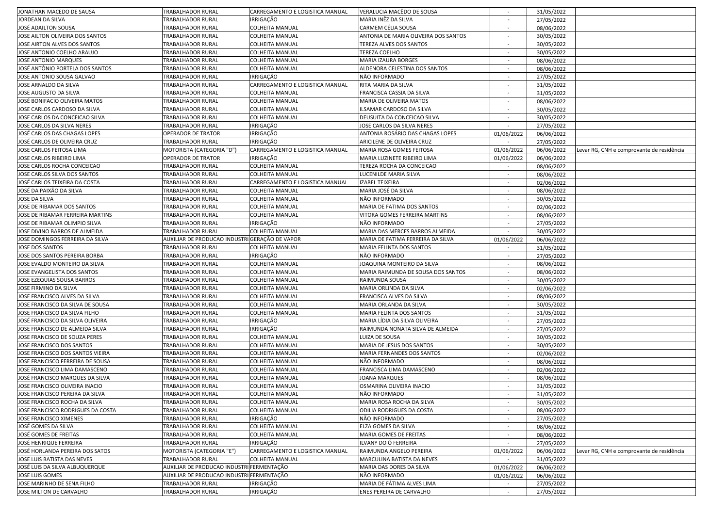| JONATHAN MACEDO DE SAUSA          | <b>TRABALHADOR RURAL</b>                       | CARREGAMENTO E LOGISTICA MANUAL | VERALUCIA MACÊDO DE SOUSA            |                          | 31/05/2022 |                                           |
|-----------------------------------|------------------------------------------------|---------------------------------|--------------------------------------|--------------------------|------------|-------------------------------------------|
| JORDEAN DA SILVA                  | TRABALHADOR RURAL                              | <b>IRRIGAÇÃO</b>                | MARIA INÊZ DA SILVA                  | $\sim$                   | 27/05/2022 |                                           |
| JOSÉ ADAILTON SOUSA               | TRABALHADOR RURAL                              | <b>COLHEITA MANUAL</b>          | CARMEM CÉLIA SOUSA                   | $\overline{\phantom{a}}$ | 08/06/2022 |                                           |
| JOSE AILTON OLIVEIRA DOS SANTOS   | TRABALHADOR RURAL                              | <b>COLHEITA MANUAL</b>          | ANTONIA DE MARIA OLIVEIRA DOS SANTOS | $\sim$                   | 30/05/2022 |                                           |
| JOSE AIRTON ALVES DOS SANTOS      | TRABALHADOR RURAL                              | <b>COLHEITA MANUAL</b>          | TEREZA ALVES DOS SANTOS              |                          | 30/05/2022 |                                           |
| JOSE ANTONIO COELHO ARAUJO        | TRABALHADOR RURAL                              | <b>COLHEITA MANUAL</b>          | TEREZA COELHO                        | $\overline{\phantom{a}}$ | 30/05/2022 |                                           |
| <b>JOSE ANTONIO MARQUES</b>       | TRABALHADOR RURAL                              | <b>COLHEITA MANUAL</b>          | MARIA IZAURA BORGES                  |                          | 08/06/2022 |                                           |
| JOSÉ ANTÔNIO PORTELA DOS SANTOS   | TRABALHADOR RURAL                              | <b>COLHEITA MANUAL</b>          | ALDENORA CELESTINA DOS SANTOS        |                          | 08/06/2022 |                                           |
| JOSE ANTONIO SOUSA GALVAO         | TRABALHADOR RURAL                              | IRRIGAÇÃO                       | NÃO INFORMADO                        |                          | 27/05/2022 |                                           |
| JOSE ARNALDO DA SILVA             | TRABALHADOR RURAL                              | CARREGAMENTO E LOGISTICA MANUAL | RITA MARIA DA SILVA                  | $\overline{\phantom{a}}$ | 31/05/2022 |                                           |
| JOSE AUGUSTO DA SILVA             | TRABALHADOR RURAL                              | <b>COLHEITA MANUAL</b>          | FRANCISCA CASSIA DA SILVA            | $\sim$                   | 31/05/2022 |                                           |
| JOSÉ BONIFACIO OLIVEIRA MATOS     |                                                | <b>COLHEITA MANUAL</b>          |                                      |                          |            |                                           |
|                                   | TRABALHADOR RURAL                              |                                 | MARIA DE OLIVEIRA MATOS              |                          | 08/06/2022 |                                           |
| JOSE CARLOS CARDOSO DA SILVA      | <b>TRABALHADOR RURAL</b>                       | <b>COLHEITA MANUAL</b>          | ILSAMAR CARDOSO DA SILVA             | $\sim$                   | 30/05/2022 |                                           |
| JOSE CARLOS DA CONCEICAO SILVA    | TRABALHADOR RURAL                              | <b>COLHEITA MANUAL</b>          | DEUSUITA DA CONCEICAO SILVA          |                          | 30/05/2022 |                                           |
| JOSE CARLOS DA SILVA NERES        | TRABALHADOR RURAL                              | <b>IRRIGAÇÃO</b>                | <b>JOSE CARLOS DA SILVA NERES</b>    |                          | 27/05/2022 |                                           |
| JOSÉ CARLOS DAS CHAGAS LOPES      | OPERADOR DE TRATOR                             | IRRIGAÇÃO                       | ANTONIA ROSÁRIO DAS CHAGAS LOPES     | 01/06/2022               | 06/06/2022 |                                           |
| JOSÉ CARLOS DE OLIVEIRA CRUZ      | TRABALHADOR RURAL                              | <b>IRRIGAÇÃO</b>                | ARICILENE DE OLIVEIRA CRUZ           |                          | 27/05/2022 |                                           |
| JOSE CARLOS FEITOSA LIMA          | MOTORISTA (CATEGORIA "D")                      | CARREGAMENTO E LOGISTICA MANUAL | MARIA ROSA GOMES FEITOSA             | 01/06/2022               | 06/06/2022 | Levar RG, CNH e comprovante de residência |
| JOSE CARLOS RIBEIRO LIMA          | OPERADOR DE TRATOR                             | <b>IRRIGAÇÃO</b>                | MARIA LUZINETE RIBEIRO LIMA          | 01/06/2022               | 06/06/2022 |                                           |
| JOSE CARLOS ROCHA CONCEICAO       | TRABALHADOR RURAL                              | <b>COLHEITA MANUAL</b>          | TEREZA ROCHA DA CONCEICAO            |                          | 08/06/2022 |                                           |
| JOSE CARLOS SILVA DOS SANTOS      | TRABALHADOR RURAL                              | <b>COLHEITA MANUAL</b>          | LUCENILDE MARIA SILVA                |                          | 08/06/2022 |                                           |
| JOSÉ CARLOS TEIXEIRA DA COSTA     | TRABALHADOR RURAL                              | CARREGAMENTO E LOGISTICA MANUAL | <b>IZABEL TEIXEIRA</b>               |                          | 02/06/2022 |                                           |
| JOSÉ DA PAIXÃO DA SILVA           | TRABALHADOR RURAL                              | <b>COLHEITA MANUAL</b>          | MARIA JOSÉ DA SILVA                  |                          | 08/06/2022 |                                           |
| JOSE DA SILVA                     | TRABALHADOR RURAL                              | <b>COLHEITA MANUAL</b>          | NÃO INFORMADO                        | $\overline{\phantom{a}}$ | 30/05/2022 |                                           |
| JOSE DE RIBAMAR DOS SANTOS        | TRABALHADOR RURAL                              | <b>COLHEITA MANUAL</b>          | MARIA DE FATIMA DOS SANTOS           | $\sim$                   | 02/06/2022 |                                           |
| JOSE DE RIBAMAR FERREIRA MARTINS  | TRABALHADOR RURAL                              | <b>COLHEITA MANUAL</b>          | VITORA GOMES FERREIRA MARTINS        |                          | 08/06/2022 |                                           |
| JOSE DE RIBAMAR OLIMPIO SILVA     | TRABALHADOR RURAL                              | <b>IRRIGAÇÃO</b>                | NÃO INFORMADO                        | $\sim$                   | 27/05/2022 |                                           |
| JOSE DIVINO BARROS DE ALMEIDA     | TRABALHADOR RURAL                              | <b>COLHEITA MANUAL</b>          | MARIA DAS MERCES BARROS ALMEIDA      |                          | 30/05/2022 |                                           |
| JOSE DOMINGOS FERREIRA DA SILVA   | AUXILIAR DE PRODUCAO INDUSTRI GERAÇÃO DE VAPOR |                                 | MARIA DE FATIMA FERREIRA DA SILVA    | 01/06/2022               | 06/06/2022 |                                           |
| JOSE DOS SANTOS                   | TRABALHADOR RURAL                              | <b>COLHEITA MANUAL</b>          | MARIA FELINTA DOS SANTOS             |                          | 31/05/2022 |                                           |
| JOSE DOS SANTOS PEREIRA BORBA     | TRABALHADOR RURAL                              | IRRIGAÇÃO                       | NÃO INFORMADO                        |                          | 27/05/2022 |                                           |
| JOSE EVALDO MONTEIRO DA SILVA     | TRABALHADOR RURAL                              | <b>COLHEITA MANUAL</b>          | JOAQUINA MONTEIRO DA SILVA           | $\sim$                   | 08/06/2022 |                                           |
| JOSE EVANGELISTA DOS SANTOS       | TRABALHADOR RURAL                              | <b>COLHEITA MANUAL</b>          | MARIA RAIMUNDA DE SOUSA DOS SANTOS   |                          | 08/06/2022 |                                           |
|                                   | TRABALHADOR RURAL                              | <b>COLHEITA MANUAL</b>          | RAIMUNDA SOUSA                       |                          |            |                                           |
| JOSE EZEQUIAS SOUSA BARROS        |                                                |                                 |                                      |                          | 30/05/2022 |                                           |
| JOSE FIRMINO DA SILVA             | TRABALHADOR RURAL                              | <b>COLHEITA MANUAL</b>          | MARIA ORLINDA DA SILVA               |                          | 02/06/2022 |                                           |
| JOSE FRANCISCO ALVES DA SILVA     | TRABALHADOR RURAL                              | <b>COLHEITA MANUAL</b>          | FRANCISCA ALVES DA SILVA             |                          | 08/06/2022 |                                           |
| JOSE FRANCISCO DA SILVA DE SOUSA  | TRABALHADOR RURAL                              | COLHEITA MANUAL                 | MARIA ORLANDA DA SILVA               |                          | 30/05/2022 |                                           |
| JOSE FRANCISCO DA SILVA FILHO     | TRABALHADOR RURAL                              | COLHEITA MANUAL                 | MARIA FELINTA DOS SANTOS             | $\overline{\phantom{a}}$ | 31/05/2022 |                                           |
| JOSÉ FRANCISCO DA SILVA OLIVEIRA  | TRABALHADOR RURAL                              | <b>IRRIGAÇÃO</b>                | MARIA LÍDIA DA SILVA OLIVEIRA        | $\sim$                   | 27/05/2022 |                                           |
| JOSE FRANCISCO DE ALMEIDA SILVA   | TRABALHADOR RURAL                              | <b>IRRIGAÇÃO</b>                | RAIMUNDA NONATA SILVA DE ALMEIDA     |                          | 27/05/2022 |                                           |
| JOSE FRANCISCO DE SOUZA PERES     | TRABALHADOR RURAL                              | <b>COLHEITA MANUAL</b>          | LUIZA DE SOUSA                       | $\sim$                   | 30/05/2022 |                                           |
| JOSE FRANCISCO DOS SANTOS         | TRABALHADOR RURAL                              | <b>COLHEITA MANUAL</b>          | MARIA DE JESUS DOS SANTOS            |                          | 30/05/2022 |                                           |
| JOSE FRANCISCO DOS SANTOS VIEIRA  | TRABALHADOR RURAL                              | <b>COLHEITA MANUAL</b>          | <b>MARIA FERNANDES DOS SANTOS</b>    |                          | 02/06/2022 |                                           |
| JOSE FRANCISCO FERREIRA DE SOUSA  | TRABALHADOR RURAL                              | COLHEITA MANUAL                 | NÃO INFORMADO                        |                          | 08/06/2022 |                                           |
| JOSE FRANCISCO LIMA DAMASCENO     | TRABALHADOR RURAL                              | <b>COLHEITA MANUAL</b>          | FRANCISCA LIMA DAMASCENO             | $\overline{\phantom{a}}$ | 02/06/2022 |                                           |
| JOSÉ FRANCISCO MARQUES DA SILVA   | TRABALHADOR RURAL                              | <b>COLHEITA MANUAL</b>          | <b>JOANA MARQUES</b>                 | $\sim$                   | 08/06/2022 |                                           |
| JOSE FRANCISCO OLIVEIRA INACIO    | TRABALHADOR RURAL                              | <b>COLHEITA MANUAL</b>          | OSMARINA OLIVEIRA INACIO             | $\sim$                   | 31/05/2022 |                                           |
| JOSE FRANCISCO PEREIRA DA SILVA   | <b>TRABALHADOR RURAL</b>                       | <b>COLHEITA MANUAL</b>          | NÃO INFORMADO                        |                          | 31/05/2022 |                                           |
| JOSE FRANCISCO ROCHA DA SILVA     | <b>TRABALHADOR RURAL</b>                       | <b>COLHEITA MANUAL</b>          | MARIA ROSA ROCHA DA SILVA            |                          | 30/05/2022 |                                           |
| JOSE FRANCISCO RODRIGUES DA COSTA | TRABALHADOR RURAL                              | <b>COLHEITA MANUAL</b>          | <b>ODILIA RODRIGUES DA COSTA</b>     |                          | 08/06/2022 |                                           |
| JOSE FRANCISCO XIMENES            | TRABALHADOR RURAL                              | IRRIGAÇÃO                       | NÃO INFORMADO                        |                          | 27/05/2022 |                                           |
| JOSÉ GOMES DA SILVA               | TRABALHADOR RURAL                              | <b>COLHEITA MANUAL</b>          | ELZA GOMES DA SILVA                  | $\overline{\phantom{a}}$ | 08/06/2022 |                                           |
| <b>JOSÉ GOMES DE FREITAS</b>      | TRABALHADOR RURAL                              | <b>COLHEITA MANUAL</b>          | MARIA GOMES DE FREITAS               | $\sim$                   | 08/06/2022 |                                           |
| JOSÉ HENRIQUE FERREIRA            | TRABALHADOR RURAL                              | IRRIGAÇÃO                       | ILVANY DO Ó FERREIRA                 | $\sim$                   | 27/05/2022 |                                           |
| JOSÉ HORLANDA PEREIRA DOS SATOS   | MOTORISTA (CATEGORIA "E")                      | CARREGAMENTO E LOGISTICA MANUAL | RAIMUNDA ANGELO PEREIRA              | 01/06/2022               | 06/06/2022 | Levar RG, CNH e comprovante de residência |
| JOSE LUIS BATISTA DAS NEVES       | TRABALHADOR RURAL                              | <b>COLHEITA MANUAL</b>          | MARCULINA BATISTA DA NEVES           |                          |            |                                           |
|                                   |                                                |                                 |                                      |                          | 31/05/2022 |                                           |
| JOSÉ LUIS DA SILVA ALBUQUERQUE    | AUXILIAR DE PRODUCAO INDUSTRI FERMENTAÇÃO      |                                 | MARIA DAS DORES DA SILVA             | 01/06/2022               | 06/06/2022 |                                           |
| JOSE LUIS GOMES                   | AUXILIAR DE PRODUCAO INDUSTRI FERMENTAÇÃO      |                                 | NÃO INFORMADO                        | 01/06/2022               | 06/06/2022 |                                           |
| JOSE MARINHO DE SENA FILHO        | TRABALHADOR RURAL                              | IRRIGAÇÃO                       | MARIA DE FÁTIMA ALVES LIMA           |                          | 27/05/2022 |                                           |
| JOSE MILTON DE CARVALHO           | TRABALHADOR RURAL                              | IRRIGAÇÃO                       | ENES PEREIRA DE CARVALHO             | $\sim$                   | 27/05/2022 |                                           |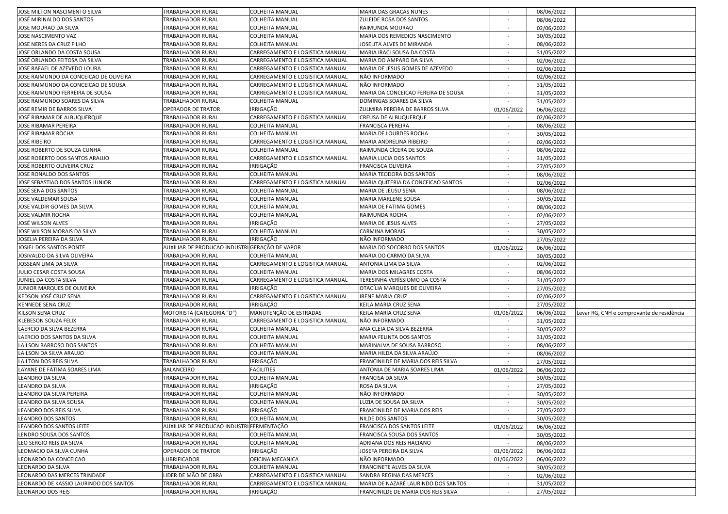| JOSE MILTON NASCIMENTO SILVA           | <b>TRABALHADOR RURAL</b>                       | <b>COLHEITA MANUAL</b>          | MARIA DAS GRACAS NUNES              |                          | 08/06/2022 |                                           |
|----------------------------------------|------------------------------------------------|---------------------------------|-------------------------------------|--------------------------|------------|-------------------------------------------|
| JOSÉ MIRINALDO DOS SANTOS              | TRABALHADOR RURAL                              | COLHEITA MANUAL                 | ZULEIDE ROSA DOS SANTOS             | $\sim$                   | 08/06/2022 |                                           |
| JOSE MOURAO DA SILVA                   | TRABALHADOR RURAL                              | COLHEITA MANUAL                 | RAIMUNDA MOURAO                     | $\sim$                   | 02/06/2022 |                                           |
| JOSE NASCIMENTO VAZ                    | TRABALHADOR RURAL                              | <b>COLHEITA MANUAL</b>          | MARIA DOS REMEDIOS NASCIMENTO       | $\sim$                   | 30/05/2022 |                                           |
| JOSE NERES DA CRUZ FILHO               | TRABALHADOR RURAL                              | COLHEITA MANUAL                 | JOSELITA ALVES DE MIRANDA           |                          | 08/06/2022 |                                           |
| JOSE ORLANDO DA COSTA SOUSA            | TRABALHADOR RURAL                              | CARREGAMENTO E LOGISTICA MANUAL | MARIA IRACI SOUSA DA COSTA          | $\sim$                   | 31/05/2022 |                                           |
| JOSÉ ORLANDO FEITOSA DA SILVA          | TRABALHADOR RURAL                              | CARREGAMENTO E LOGISTICA MANUAL | MARIA DO AMPARO DA SILVA            |                          | 02/06/2022 |                                           |
| JOSE RAFAEL DE AZEVEDO LOURA           | TRABALHADOR RURAL                              | CARREGAMENTO E LOGISTICA MANUAL | MARIA DE JESUS GOMES DE AZEVEDO     |                          | 02/06/2022 |                                           |
| JOSE RAIMUNDO DA CONCEICAO DE OLIVEIRA | TRABALHADOR RURAL                              | CARREGAMENTO E LOGISTICA MANUAL | NÃO INFORMADO                       |                          | 02/06/2022 |                                           |
| JOSE RAIMUNDO DA CONCEICAO DE SOUSA    | TRABALHADOR RURAL                              | CARREGAMENTO E LOGISTICA MANUAL | NÃO INFORMADO                       | $\sim$                   | 31/05/2022 |                                           |
| JOSE RAIMUNDO FERREIRA DE SOUSA        | TRABALHADOR RURAL                              | CARREGAMENTO E LOGISTICA MANUAL | MARIA DA CONCEICAO FEREIRA DE SOUSA | $\sim$                   | 31/05/2022 |                                           |
| JOSE RAIMUNDO SOARES DA SILVA          | TRABALHADOR RURAL                              | <b>COLHEITA MANUAL</b>          | DOMINGAS SOARES DA SILVA            |                          | 31/05/2022 |                                           |
| JOSE REMIR DE BARROS SILVA             | OPERADOR DE TRATOR                             | <b>IRRIGAÇÃO</b>                | ZULMIRA PEREIRA DE BARROS SILVA     | 01/06/2022               | 06/06/2022 |                                           |
| JOSÉ RIBAMAR DE ALBUQUERQUE            | TRABALHADOR RURAL                              | CARREGAMENTO E LOGISTICA MANUAL | <b>CREUSA DE ALBUQUERQUE</b>        |                          | 02/06/2022 |                                           |
| JOSE RIBAMAR PEREIRA                   | TRABALHADOR RURAL                              | COLHEITA MANUAL                 | <b>FRANCISCA PEREIRA</b>            |                          | 08/06/2022 |                                           |
| JOSE RIBAMAR ROCHA                     | TRABALHADOR RURAL                              | COLHEITA MANUAL                 | MARIA DE LOURDES ROCHA              |                          | 30/05/2022 |                                           |
| JOSÉ RIBEIRO                           | TRABALHADOR RURAL                              | CARREGAMENTO E LOGISTICA MANUAL | MARIA ANDRELINA RIBEIRO             | $\sim$                   |            |                                           |
| JOSE ROBERTO DE SOUZA CUNHA            | TRABALHADOR RURAL                              | COLHEITA MANUAL                 | RAIMUNDA CÍCERA DE SOUZA            | $\sim$                   | 02/06/2022 |                                           |
|                                        |                                                |                                 |                                     |                          | 08/06/2022 |                                           |
| JOSE ROBERTO DOS SANTOS ARAUJO         | TRABALHADOR RURAL                              | CARREGAMENTO E LOGISTICA MANUAL | MARIA LUCIA DOS SANTOS              |                          | 31/05/2022 |                                           |
| JOSÉ ROBERTO OLIVEIRA CRUZ             | TRABALHADOR RURAL                              | <b>IRRIGAÇÃO</b>                | <b>FRANCISCA OLIVEIRA</b>           | $\sim$                   | 27/05/2022 |                                           |
| JOSE RONALDO DOS SANTOS                | TRABALHADOR RURAL                              | <b>COLHEITA MANUAL</b>          | MARIA TEODORA DOS SANTOS            |                          | 08/06/2022 |                                           |
| JOSE SEBASTIAO DOS SANTOS JUNIOR       | TRABALHADOR RURAL                              | CARREGAMENTO E LOGISTICA MANUAL | MARIA QUITERIA DA CONCEICAO SANTOS  |                          | 02/06/2022 |                                           |
| JOSÉ SENA DOS SANTOS                   | TRABALHADOR RURAL                              | COLHEITA MANUAL                 | MARIA DE JEUSU SENA                 |                          | 08/06/2022 |                                           |
| JOSE VALDEMAR SOUSA                    | TRABALHADOR RURAL                              | COLHEITA MANUAL                 | <b>MARIA MARLENE SOUSA</b>          | $\sim$                   | 30/05/2022 |                                           |
| JOSE VALDIR GOMES DA SILVA             | TRABALHADOR RURAL                              | <b>COLHEITA MANUAL</b>          | MARIA DE FATIMA GOMES               | $\sim$                   | 08/06/2022 |                                           |
| JOSE VALMIR ROCHA                      | TRABALHADOR RURAL                              | <b>COLHEITA MANUAL</b>          | RAIMUNDA ROCHA                      |                          | 02/06/2022 |                                           |
| JOSÉ WILSON ALVES                      | TRABALHADOR RURAL                              | <b>IRRIGAÇÃO</b>                | MARIA DE JESUS ALVES                | $\sim$                   | 27/05/2022 |                                           |
| JOSE WILSON MORAIS DA SILVA            | TRABALHADOR RURAL                              | <b>COLHEITA MANUAL</b>          | <b>CARMINA MORAIS</b>               |                          | 30/05/2022 |                                           |
| JOSELIA PEREIRA DA SILVA               | TRABALHADOR RURAL                              | IRRIGAÇÃO                       | NÃO INFORMADO                       |                          | 27/05/2022 |                                           |
| JOSIEL DOS SANTOS PONTE                | AUXILIAR DE PRODUCAO INDUSTRI GERAÇÃO DE VAPOR |                                 | MARIA DO SOCORRO DOS SANTOS         | 01/06/2022               | 06/06/2022 |                                           |
| JOSIVALDO DA SILVA OLIVEIRA            | TRABALHADOR RURAL                              | COLHEITA MANUAL                 | MARIA DO CARMO DA SILVA             | $\sim$                   | 30/05/2022 |                                           |
| JOSSEAN LIMA DA SILVA                  | TRABALHADOR RURAL                              | CARREGAMENTO E LOGISTICA MANUAL | ANTONIA LIMA DA SILVA               | $\sim$                   | 02/06/2022 |                                           |
| JULIO CESAR COSTA SOUSA                | TRABALHADOR RURAL                              | <b>COLHEITA MANUAL</b>          | MARIA DOS MILAGRES COSTA            |                          | 08/06/2022 |                                           |
| JUNIEL DA COSTA SILVA                  | TRABALHADOR RURAL                              | CARREGAMENTO E LOGISTICA MANUAL | TERESINHA VERÍSSIOMO DA COSTA       | $\sim$                   | 31/05/2022 |                                           |
| JUNIOR MARQUES DE OLIVEIRA             | TRABALHADOR RURAL                              | <b>IRRIGAÇÃO</b>                | OTACÍLIA MARQUES DE OLIVEIRA        |                          | 27/05/2022 |                                           |
| KEDSON JOSÉ CRUZ SENA                  | TRABALHADOR RURAL                              | CARREGAMENTO E LOGISTICA MANUAL | <b>IRENE MARIA CRUZ</b>             |                          | 02/06/2022 |                                           |
| <b>KENNEDE SENA CRUZ</b>               | TRABALHADOR RURAL                              | IRRIGAÇÃO                       | KEILA MARIA CRUZ SENA               |                          | 27/05/2022 |                                           |
| KILSON SENA CRUZ                       | MOTORISTA (CATEGORIA "D")                      | MANUTENÇÃO DE ESTRADAS          | KEILA MARIA CRUZ SENA               | 01/06/2022               | 06/06/2022 | Levar RG, CNH e comprovante de residência |
| KLEBESON SOUZA FELIX                   | TRABALHADOR RURAL                              | CARREGAMENTO E LOGISTICA MANUAL | NÃO INFORMADO                       | $\sim$                   | 31/05/2022 |                                           |
| LAERCIO DA SILVA BEZERRA               | TRABALHADOR RURAL                              | <b>COLHEITA MANUAL</b>          | ANA CLEIA DA SILVA BEZERRA          |                          | 30/05/2022 |                                           |
| LAERCIO DOS SANTOS DA SILVA            | TRABALHADOR RURAL                              | <b>COLHEITA MANUAL</b>          | MARIA FELINTA DOS SANTOS            | $\overline{\phantom{a}}$ | 31/05/2022 |                                           |
| LAILSON BARROSO DOS SANTOS             | TRABALHADOR RURAL                              | <b>COLHEITA MANUAL</b>          | MARINALVA DE SOUSA BARROSO          | $\overline{\phantom{a}}$ | 08/06/2022 |                                           |
| LAILSON DA SILVA ARAUJO                | TRABALHADOR RURAL                              | <b>COLHEITA MANUAL</b>          | MARIA HILDA DA SILVA ARAÚJO         |                          | 08/06/2022 |                                           |
| LAILTON DOS REIS SILVA                 | TRABALHADOR RURAL                              | IRRIGAÇÃO                       | FRANCINILDE DE MARIA DOS REIS SILVA |                          | 27/05/2022 |                                           |
| LAYANE DE FÁTIMA SOARES LIMA           | BALANCEIRO                                     | <b>FACILITIES</b>               | ANTONIA DE MARIA SOARES LIMA        | 01/06/2022               | 06/06/2022 |                                           |
| LEANDRO DA SILVA                       | TRABALHADOR RURAL                              | COLHEITA MANUAL                 | FRANCISA DA SILVA                   | $\sim$                   | 30/05/2022 |                                           |
| LEANDRO DA SILVA                       | TRABALHADOR RURAL                              | IRRIGAÇÃO                       | ROSA DA SILVA                       | $\sim$                   | 27/05/2022 |                                           |
| LEANDRO DA SILVA PEREIRA               | TRABALHADOR RURAL                              | <b>COLHEITA MANUAL</b>          | NÃO INFORMADO                       |                          | 30/05/2022 |                                           |
| LEANDRO DA SILVA SOUSA                 | TRABALHADOR RURAL                              | <b>COLHEITA MANUAL</b>          | LUZIA DE SOUSA DA SILVA             |                          | 30/05/2022 |                                           |
| LEANDRO DOS REIS SILVA                 | TRABALHADOR RURAL                              | IRRIGAÇÃO                       | FRANCINILDE DE MARIA DOS REIS       |                          | 27/05/2022 |                                           |
| LEANDRO DOS SANTOS                     | TRABALHADOR RURAL                              | COLHEITA MANUAL                 | NILDE DOS SANTOS                    |                          | 30/05/2022 |                                           |
| LEANDRO DOS SANTOS LEITE               | AUXILIAR DE PRODUCAO INDUSTRI FERMENTAÇÃO      |                                 | FRANCISCA DOS SANTOS LEITE          | 01/06/2022               | 06/06/2022 |                                           |
| LENDRO SOUSA DOS SANTOS                | TRABALHADOR RURAL                              | <b>COLHEITA MANUAL</b>          | FRANCISCA SOUSA DOS SANTOS          | $\sim$                   | 30/05/2022 |                                           |
| LEO SERGIO REIS DA SILVA               | TRABALHADOR RURAL                              | COLHEITA MANUAL                 | ADRIANA DOS REIS HACIANO            | $\sim$                   | 08/06/2022 |                                           |
| LEOMACIO DA SILVA CUNHA                | OPERADOR DE TRATOR                             | <b>IRRIGAÇÃO</b>                | JOSEFA PEREIRA DA SILVA             | 01/06/2022               | 06/06/2022 |                                           |
| LEONARDO DA CONCEICAO                  | LUBRIFICADOR                                   | OFICINA MECANICA                | NÃO INFORMADO                       | 01/06/2022               | 06/06/2022 |                                           |
| LEONARDO DA SILVA                      | TRABALHADOR RURAL                              | <b>COLHEITA MANUAL</b>          | FRANCINETE ALVES DA SILVA           |                          | 30/05/2022 |                                           |
| LEONARDO DAS MERCES TRINDADE           | LIDER DE MÃO DE OBRA                           | CARREGAMENTO E LOGISTICA MANUAL | SANDRA REGINA DAS MERCES            |                          | 02/06/2022 |                                           |
| LEONARDO DE KASSIO LAURINDO DOS SANTOS | TRABALHADOR RURAL                              | CARREGAMENTO E LOGISTICA MANUAL | MARIA DE NAZARÉ LAURINDO DOS SANTOS | $\sim$                   | 31/05/2022 |                                           |
| <b>LEONARDO DOS REIS</b>               | TRABALHADOR RURAL                              | IRRIGAÇÃO                       | FRANCINILDE DE MARIA DOS REIS SILVA | $\sim$                   | 27/05/2022 |                                           |
|                                        |                                                |                                 |                                     |                          |            |                                           |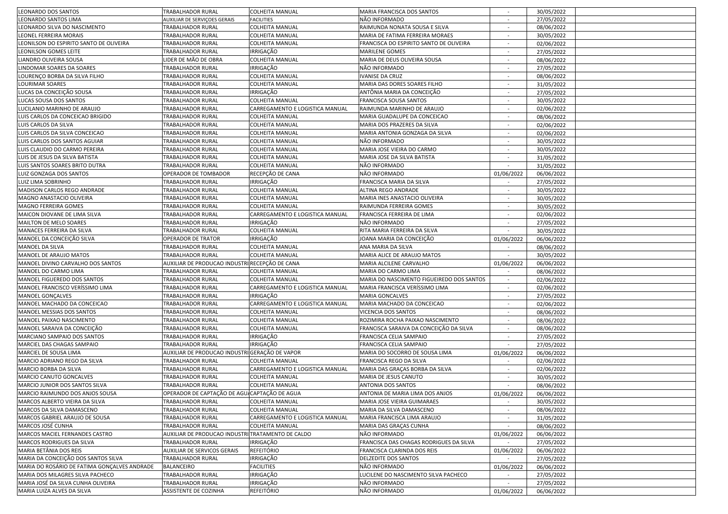| <b>LEONARDO DOS SANTOS</b>                   | <b>TRABALHADOR RURAL</b>                          | COLHEITA MANUAL                 | MARIA FRANCISCA DOS SANTOS                |                          | 30/05/2022 |  |
|----------------------------------------------|---------------------------------------------------|---------------------------------|-------------------------------------------|--------------------------|------------|--|
| LEONARDO SANTOS LIMA                         | AUXILIAR DE SERVIÇOES GERAIS                      | <b>FACILITIES</b>               | NÃO INFORMADO                             |                          | 27/05/2022 |  |
| LEONARDO SILVA DO NASCIMENTO                 | TRABALHADOR RURAL                                 | COLHEITA MANUAL                 | RAIMUNDA NONATA SOUSA E SILVA             |                          | 08/06/2022 |  |
| LEONEL FERREIRA MORAIS                       | TRABALHADOR RURAL                                 | COLHEITA MANUAL                 | MARIA DE FATIMA FERREIRA MORAES           |                          | 30/05/2022 |  |
| LEONILSON DO ESPIRITO SANTO DE OLIVEIRA      | TRABALHADOR RURAL                                 | COLHEITA MANUAL                 | FRANCISCA DO ESPIRITO SANTO DE OLIVEIRA   | $\sim$                   | 02/06/2022 |  |
| LEONILSON GOMES LEITE                        | TRABALHADOR RURAL                                 | IRRIGAÇÃO                       | <b>MARILENE GOMES</b>                     | $\sim$                   | 27/05/2022 |  |
| LIANDRO OLIVEIRA SOUSA                       | IDER DE MÃO DE OBRA                               | <b>COLHEITA MANUAL</b>          | MARIA DE DEUS OLIVEIRA SOUSA              |                          | 08/06/2022 |  |
| LINDOMAR SOARES DA SOARES                    | TRABALHADOR RURAL                                 | <b>IRRIGAÇÃO</b>                | NÃO INFORMADO                             | $\sim$                   | 27/05/2022 |  |
| LOURENÇO BORBA DA SILVA FILHO                | TRABALHADOR RURAL                                 | <b>COLHEITA MANUAL</b>          | IVANISE DA CRUZ                           | $\overline{\phantom{a}}$ | 08/06/2022 |  |
| LOURIMAR SOARES                              | TRABALHADOR RURAL                                 | <b>COLHEITA MANUAL</b>          | MARIA DAS DORES SOARES FILHO              |                          | 31/05/2022 |  |
| LUCAS DA CONCEIÇÃO SOUSA                     | TRABALHADOR RURAL                                 | IRRIGAÇÃO                       | ANTÔNIA MARIA DA CONCEIÇÃO                |                          | 27/05/2022 |  |
| LUCAS SOUSA DOS SANTOS                       | TRABALHADOR RURAL                                 | COLHEITA MANUAL                 | FRANCISCA SOUSA SANTOS                    | $\sim$                   | 30/05/2022 |  |
| LUCILANIO MARINHO DE ARAUJO                  | TRABALHADOR RURAL                                 | CARREGAMENTO E LOGISTICA MANUAL | RAIMUNDA MARINHO DE ARAUJO                | $\sim$                   | 02/06/2022 |  |
| LUIS CARLOS DA CONCEICAO BRIGIDO             | TRABALHADOR RURAL                                 | <b>COLHEITA MANUAL</b>          | MARIA GUADALUPE DA CONCEICAO              | $\overline{\phantom{a}}$ | 08/06/2022 |  |
| LUIS CARLOS DA SILVA                         | TRABALHADOR RURAL                                 | <b>COLHEITA MANUAL</b>          | MARIA DOS PRAZERES DA SILVA               | $\sim$                   | 02/06/2022 |  |
| LUIS CARLOS DA SILVA CONCEICAO               | TRABALHADOR RURAL                                 | <b>COLHEITA MANUAL</b>          | MARIA ANTONIA GONZAGA DA SILVA            |                          | 02/06/2022 |  |
| LUIS CARLOS DOS SANTOS AGUIAR                | TRABALHADOR RURAL                                 | COLHEITA MANUAL                 | NÃO INFORMADO                             |                          | 30/05/2022 |  |
| LUIS CLAUDIO DO CARMO PEREIRA                | TRABALHADOR RURAL                                 | COLHEITA MANUAL                 | MARIA JOSE VIEIRA DO CARMO                |                          | 30/05/2022 |  |
| LUIS DE JESUS DA SILVA BATISTA               | TRABALHADOR RURAL                                 | COLHEITA MANUAL                 | MARIA JOSE DA SILVA BATISTA               | $\overline{\phantom{a}}$ | 31/05/2022 |  |
| LUIS SANTOS SOARES BRITO DUTRA               | TRABALHADOR RURAL                                 | <b>COLHEITA MANUAL</b>          | NÃO INFORMADO                             | $\sim$                   | 31/05/2022 |  |
| LUIZ GONZAGA DOS SANTOS                      | OPERADOR DE TOMBADOR                              | RECEPÇÃO DE CANA                | NÃO INFORMADO                             | 01/06/2022               | 06/06/2022 |  |
| LUIZ LIMA SOBRINHO                           | TRABALHADOR RURAL                                 | <b>IRRIGAÇÃO</b>                | FRANCISCA MARIA DA SILVA                  |                          | 27/05/2022 |  |
| MADISON CARLOS REGO ANDRADE                  | TRABALHADOR RURAL                                 | <b>COLHEITA MANUAL</b>          | ALTINA REGO ANDRADE                       | $\sim$                   | 30/05/2022 |  |
| MAGNO ANASTACIO OLIVEIRA                     | TRABALHADOR RURAL                                 | <b>COLHEITA MANUAL</b>          | MARIA INES ANASTACIO OLIVEIRA             |                          | 30/05/2022 |  |
| MAGNO FERREIRA GOMES                         | TRABALHADOR RURAL                                 | COLHEITA MANUAL                 | RAIMUNDA FERREIRA GOMES                   |                          | 30/05/2022 |  |
| MAICON DIOVANE DE LIMA SILVA                 | <b>TRABALHADOR RURAL</b>                          | CARREGAMENTO E LOGISTICA MANUAL | FRANCISCA FERREIRA DE LIMA                |                          | 02/06/2022 |  |
| MAILTON DE MELO SOARES                       | TRABALHADOR RURAL                                 | IRRIGAÇÃO                       | NÃO INFORMADO                             | $\sim$                   | 27/05/2022 |  |
| MANACES FERREIRA DA SILVA                    | TRABALHADOR RURAL                                 | <b>COLHEITA MANUAL</b>          | RITA MARIA FERREIRA DA SILVA              | $\sim$                   | 30/05/2022 |  |
| MANOEL DA CONCEIÇÃO SILVA                    | OPERADOR DE TRATOR                                | <b>IRRIGAÇÃO</b>                | JOANA MARIA DA CONCEIÇÃO                  | 01/06/2022               | 06/06/2022 |  |
| MANOEL DA SILVA                              | TRABALHADOR RURAL                                 | <b>COLHEITA MANUAL</b>          | ANA MARIA DA SILVA                        |                          | 08/06/2022 |  |
| MANOEL DE ARAUJO MATOS                       | TRABALHADOR RURAL                                 | COLHEITA MANUAL                 | MARIA ALICE DE ARAUJO MATOS               |                          | 30/05/2022 |  |
| MANOEL DIVINO CARVALHO DOS SANTOS            | AUXILIAR DE PRODUCAO INDUSTRI RECEPÇÃO DE CANA    |                                 | MARIA ALCILENE CARVALHO                   | 01/06/2022               | 06/06/2022 |  |
| MANOEL DO CARMO LIMA                         | TRABALHADOR RURAL                                 | COLHEITA MANUAL                 | MARIA DO CARMO LIMA                       |                          | 08/06/2022 |  |
| MANOEL FIGUEREDO DOS SANTOS                  | TRABALHADOR RURAL                                 | COLHEITA MANUAL                 | MARIA DO NASCIMENTO FIGUEIREDO DOS SANTOS | $\sim$                   | 02/06/2022 |  |
| MANOEL FRANCISCO VERÍSSIMO LIMA              | TRABALHADOR RURAL                                 | CARREGAMENTO E LOGISTICA MANUAL | MARIA FRANCISCA VERÍSSIMO LIMA            |                          | 02/06/2022 |  |
| MANOEL GONÇALVES                             | TRABALHADOR RURAL                                 | <b>IRRIGAÇÃO</b>                | <b>MARIA GONCALVES</b>                    | $\sim$                   | 27/05/2022 |  |
| MANOEL MACHADO DA CONCEICAO                  | TRABALHADOR RURAL                                 | CARREGAMENTO E LOGISTICA MANUAL | MARIA MACHADO DA CONCEICAO                | $\sim$                   | 02/06/2022 |  |
| MANOEL MESSIAS DOS SANTOS                    | TRABALHADOR RURAL                                 | <b>COLHEITA MANUAL</b>          | VICENCIA DOS SANTOS                       |                          | 08/06/2022 |  |
| MANOEL PAIXAO NASCIMENTO                     | TRABALHADOR RURAL                                 | COLHEITA MANUAL                 | ROZIMIRA ROCHA PAIXAO NASCIMENTO          |                          | 08/06/2022 |  |
| MANOEL SARAIVA DA CONCEIÇÃO                  | TRABALHADOR RURAL                                 | COLHEITA MANUAL                 | FRANCISCA SARAIVA DA CONCEIÇÃO DA SILVA   |                          | 08/06/2022 |  |
| MARCIANO SAMPAIO DOS SANTOS                  | TRABALHADOR RURAL                                 | IRRIGAÇÃO                       | FRANCISCA CELIA SAMPAIO                   | $\sim$                   | 27/05/2022 |  |
| MARCIEL DAS CHAGAS SAMPAIO                   | TRABALHADOR RURAL                                 | IRRIGAÇÃO                       | FRANCISCA CELIA SAMPAIO                   | $\sim$                   | 27/05/2022 |  |
| MARCIEL DE SOUSA LIMA                        | AUXILIAR DE PRODUCAO INDUSTRI GERAÇÃO DE VAPOR    |                                 | MARIA DO SOCORRO DE SOUSA LIMA            | 01/06/2022               | 06/06/2022 |  |
| MARCIO ADRIANO REGO DA SILVA                 | TRABALHADOR RURAL                                 | <b>COLHEITA MANUAL</b>          | FRANCISCA REGO DA SILVA                   |                          | 02/06/2022 |  |
| MARCIO BORBA DA SILVA                        | TRABALHADOR RURAL                                 | CARREGAMENTO E LOGISTICA MANUAL | MARIA DAS GRAÇAS BORBA DA SILVA           |                          | 02/06/2022 |  |
| MARCIO CANUTO GONCALVES                      | TRABALHADOR RURAL                                 | COLHEITA MANUAL                 | MARIA DE JESUS CANUTO                     |                          | 30/05/2022 |  |
| MARCIO JUNIOR DOS SANTOS SILVA               | TRABALHADOR RURAL                                 | COLHEITA MANUAL                 | ANTONIA DOS SANTOS                        |                          | 08/06/2022 |  |
| MARCIO RAIMUNDO DOS ANJOS SOUSA              | OPERADOR DE CAPTAÇÃO DE AGU, CAPTAÇÃO DE AGUA     |                                 | ANTONIA DE MARIA LIMA DOS ANJOS           | 01/06/2022               | 06/06/2022 |  |
| MARCOS ALBERTO VIEIRA DA SILVA               | TRABALHADOR RURAL                                 | <b>COLHEITA MANUAL</b>          | MARIA JOSE VIEIRA GUIMARAES               | $\sim$                   | 30/05/2022 |  |
| MARCOS DA SILVA DAMASCENO                    | TRABALHADOR RURAL                                 | <b>COLHEITA MANUAL</b>          | MARIA DA SILVA DAMASCENO                  | $\sim$                   | 08/06/2022 |  |
| MARCOS GABRIEL ARAUJO DE SOUSA               | TRABALHADOR RURAL                                 | CARREGAMENTO E LOGISTICA MANUAL | MARIA FRANCISCA LIMA ARAUJO               | $\sim$                   | 31/05/2022 |  |
| MARCOS JOSÉ CUNHA                            | TRABALHADOR RURAL                                 | <b>COLHEITA MANUAL</b>          | MARIA DAS GRAÇAS CUNHA                    |                          | 08/06/2022 |  |
| MARCOS MACIEL FERNANDES CASTRO               | AUXILIAR DE PRODUCAO INDUSTRI TRATAMENTO DE CALDO |                                 | NÃO INFORMADO                             | 01/06/2022               | 06/06/2022 |  |
| MARCOS RODRIGUES DA SILVA                    | TRABALHADOR RURAL                                 | IRRIGAÇÃO                       | FRANCISCA DAS CHAGAS RODRIGUES DA SILVA   |                          | 27/05/2022 |  |
| MARIA BETÂNIA DOS REIS                       | AUXILIAR DE SERVICOS GERAIS                       | <b>REFEITÓRIO</b>               | FRANCISCA CLARINDA DOS REIS               | 01/06/2022               | 06/06/2022 |  |
| MARIA DA CONCEIÇÃO DOS SANTOS SILVA          | TRABALHADOR RURAL                                 | IRRIGAÇÃO                       | <b>DELZEDITE DOS SANTOS</b>               | $\sim$                   | 27/05/2022 |  |
| MARIA DO ROSÁRIO DE FATIMA GONÇALVES ANDRADE | <b>BALANCEIRO</b>                                 | <b>FACILITIES</b>               | NÃO INFORMADO                             | 01/06/2022               | 06/06/2022 |  |
| MARIA DOS MILAGRES SILVA PACHECO             | TRABALHADOR RURAL                                 | IRRIGAÇÃO                       | LUCILENE DO NASCIMENTO SILVA PACHECO      |                          | 27/05/2022 |  |
| MARIA JOSÉ DA SILVA CUNHA OLIVEIRA           | TRABALHADOR RURAL                                 | <b>IRRIGAÇÃO</b>                | NÃO INFORMADO                             |                          | 27/05/2022 |  |
| MARIA LUIZA ALVES DA SILVA                   | ASSISTENTE DE COZINHA                             | <b>REFEITÓRIO</b>               | NÃO INFORMADO                             | 01/06/2022               | 06/06/2022 |  |
|                                              |                                                   |                                 |                                           |                          |            |  |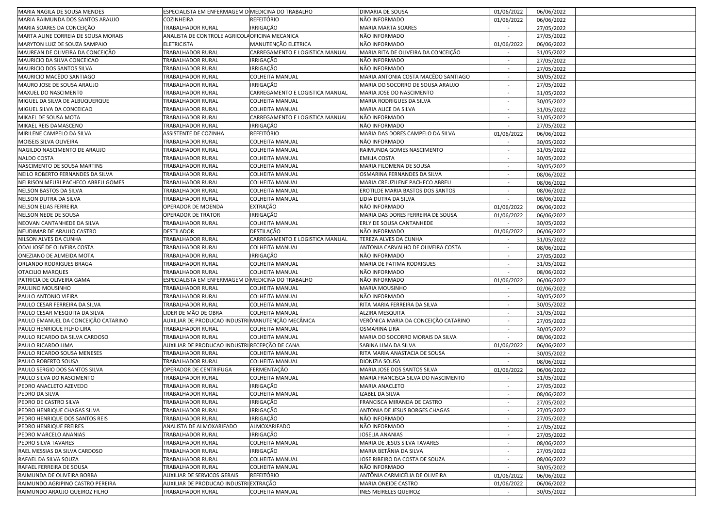| MARIA NAGILA DE SOUSA MENDES              | ESPECIALISTA EM ENFERMAGEM D MEDICINA DO TRABALHO |                                 | <b>DIMARIA DE SOUSA</b>              | 01/06/2022               | 06/06/2022 |  |
|-------------------------------------------|---------------------------------------------------|---------------------------------|--------------------------------------|--------------------------|------------|--|
| MARIA RAIMUNDA DOS SANTOS ARAUJO          | COZINHEIRA                                        | <b>REFEITÓRIO</b>               | NÃO INFORMADO                        | 01/06/2022               | 06/06/2022 |  |
| MARIA SOARES DA CONCEIÇÃO                 | TRABALHADOR RURAL                                 | IRRIGAÇÃO                       | MARIA MARTA SOARES                   |                          | 27/05/2022 |  |
| MARTA ALINE CORREIA DE SOUSA MORAIS       | ANALISTA DE CONTROLE AGRICOLA OFICINA MECANICA    |                                 | NÃO INFORMADO                        | $\sim$                   | 27/05/2022 |  |
| MARYTON LUIZ DE SOUZA SAMPAIO             | <b>ELETRICISTA</b>                                | MANUTENÇÃO ELETRICA             | NÃO INFORMADO                        | 01/06/2022               | 06/06/2022 |  |
| MAUREAN DE OLIVEIRA DA CONCEIÇÃO          | TRABALHADOR RURAL                                 | CARREGAMENTO E LOGISTICA MANUAL | MARIA RITA DE OLIVEIRA DA CONCEIÇÃO  | $\sim$                   | 31/05/2022 |  |
| MAURICIO DA SILVA CONCEICAO               | TRABALHADOR RURAL                                 | <b>IRRIGAÇÃO</b>                | NÃO INFORMADO                        |                          | 27/05/2022 |  |
| MAURICIO DOS SANTOS SILVA                 | TRABALHADOR RURAL                                 | <b>IRRIGAÇÃO</b>                | NÃO INFORMADO                        |                          | 27/05/2022 |  |
| MAURICIO MACÊDO SANTIAGO                  | TRABALHADOR RURAL                                 | <b>COLHEITA MANUAL</b>          | MARIA ANTONIA COSTA MACÊDO SANTIAGO  |                          | 30/05/2022 |  |
| MAURO JOSE DE SOUSA ARAUJO                | TRABALHADOR RURAL                                 | IRRIGAÇÃO                       | MARIA DO SOCORRO DE SOUSA ARAUJO     | $\overline{\phantom{a}}$ | 27/05/2022 |  |
| MAXUEL DO NASCIMENTO                      | TRABALHADOR RURAL                                 | CARREGAMENTO E LOGISTICA MANUAL | MARIA JOSE DO NASCIMENTO             | $\sim$                   | 31/05/2022 |  |
| MIGUEL DA SILVA DE ALBUQUERQUE            | TRABALHADOR RURAL                                 | <b>COLHEITA MANUAL</b>          | MARIA RODRIGUES DA SILVA             |                          | 30/05/2022 |  |
| MIGUEL SILVA DA CONCEICAO                 | TRABALHADOR RURAL                                 | <b>COLHEITA MANUAL</b>          | MARIA ALICE DA SILVA                 | $\overline{\phantom{a}}$ | 31/05/2022 |  |
| MIKAEL DE SOUSA MOTA                      | TRABALHADOR RURAL                                 | CARREGAMENTO E LOGISTICA MANUAL | NÃO INFORMADO                        |                          | 31/05/2022 |  |
| MIKAEL REIS DAMASCENO                     | TRABALHADOR RURAL                                 | <b>IRRIGAÇÃO</b>                | NÃO INFORMADO                        |                          | 27/05/2022 |  |
| MIRILENE CAMPELO DA SILVA                 | ASSISTENTE DE COZINHA                             | <b>REFEITÓRIO</b>               | MARIA DAS DORES CAMPELO DA SILVA     | 01/06/2022               | 06/06/2022 |  |
| MOISEIS SILVA OLIVEIRA                    | TRABALHADOR RURAL                                 | COLHEITA MANUAL                 | NÃO INFORMADO                        |                          | 30/05/2022 |  |
| NAGILDO NASCIMENTO DE ARAUJO              | TRABALHADOR RURAL                                 | COLHEITA MANUAL                 | RAIMUNDA GOMES NASCIMENTO            | $\sim$                   | 31/05/2022 |  |
| NALDO COSTA                               | TRABALHADOR RURAL                                 | <b>COLHEITA MANUAL</b>          | <b>EMILIA COSTA</b>                  |                          |            |  |
|                                           |                                                   |                                 |                                      | $\sim$                   | 30/05/2022 |  |
| NASCIMENTO DE SOUSA MARTINS               | TRABALHADOR RURAL                                 | <b>COLHEITA MANUAL</b>          | MARIA FILOMENA DE SOUSA              |                          | 30/05/2022 |  |
| NEILO ROBERTO FERNANDES DA SILVA          | TRABALHADOR RURAL                                 | <b>COLHEITA MANUAL</b>          | OSMARINA FERNANDES DA SILVA          |                          | 08/06/2022 |  |
| <b>NELRISON MEURI PACHECO ABREU GOMES</b> | TRABALHADOR RURAL                                 | <b>COLHEITA MANUAL</b>          | MARIA CREUZILENE PACHECO ABREU       |                          | 08/06/2022 |  |
| <b>NELSON BASTOS DA SILVA</b>             | TRABALHADOR RURAL                                 | COLHEITA MANUAL                 | EROTILDE MARIA BASTOS DOS SANTOS     |                          | 08/06/2022 |  |
| NELSON DUTRA DA SILVA                     | TRABALHADOR RURAL                                 | COLHEITA MANUAL                 | LIDIA DUTRA DA SILVA                 |                          | 08/06/2022 |  |
| NELSON ELIAS FERREIRA                     | OPERADOR DE MOENDA                                | EXTRAÇÃO                        | NÃO INFORMADO                        | 01/06/2022               | 06/06/2022 |  |
| NELSON NEDE DE SOUSA                      | OPERADOR DE TRATOR                                | IRRIGAÇÃO                       | MARIA DAS DORES FERREIRA DE SOUSA    | 01/06/2022               | 06/06/2022 |  |
| NEOVAN CANTANHEDE DA SILVA                | TRABALHADOR RURAL                                 | <b>COLHEITA MANUAL</b>          | ERLY DE SOUSA CANTANHEDE             |                          | 30/05/2022 |  |
| NEUDIMAR DE ARAUJO CASTRO                 | DESTILADOR                                        | DESTILAÇÃO                      | NÃO INFORMADO                        | 01/06/2022               | 06/06/2022 |  |
| NILSON ALVES DA CUNHA                     | TRABALHADOR RURAL                                 | CARREGAMENTO E LOGISTICA MANUAL | TEREZA ALVES DA CUNHA                |                          | 31/05/2022 |  |
| ODAI JOSÉ DE OLIVEIRA COSTA               | TRABALHADOR RURAL                                 | COLHEITA MANUAL                 | ANTONIA CARVALHO DE OLIVEIRA COSTA   |                          | 08/06/2022 |  |
| ONEZIANO DE ALMEIDA MOTA                  | TRABALHADOR RURAL                                 | IRRIGAÇÃO                       | NÃO INFORMADO                        |                          | 27/05/2022 |  |
| ORLANDO RODRIGUES BRAGA                   | TRABALHADOR RURAL                                 | <b>COLHEITA MANUAL</b>          | MARIA DE FATIMA RODRIGUES            | $\sim$                   | 31/05/2022 |  |
| OTACILIO MARQUES                          | TRABALHADOR RURAL                                 | <b>COLHEITA MANUAL</b>          | NÃO INFORMADO                        | $\sim$                   | 08/06/2022 |  |
| PATRICIA DE OLIVEIRA GAMA                 | ESPECIALISTA EM ENFERMAGEM D MEDICINA DO TRABALHO |                                 | NÃO INFORMADO                        | 01/06/2022               | 06/06/2022 |  |
| PAULINO MOUSINHO                          | TRABALHADOR RURAL                                 | <b>COLHEITA MANUAL</b>          | MARIA MOUSINHO                       |                          | 02/06/2022 |  |
| PAULO ANTONIO VIEIRA                      | TRABALHADOR RURAL                                 | <b>COLHEITA MANUAL</b>          | NÃO INFORMADO                        |                          | 30/05/2022 |  |
| PAULO CESAR FERREIRA DA SILVA             | TRABALHADOR RURAL                                 | <b>COLHEITA MANUAL</b>          | RITA MARIA FERREIRA DA SILVA         |                          | 30/05/2022 |  |
| PAULO CESAR MESQUITA DA SILVA             | LIDER DE MÃO DE OBRA                              | COLHEITA MANUAL                 | ALZIRA MESQUITA                      |                          | 31/05/2022 |  |
| PAULO EMANUEL DA CONCEIÇÃO CATARINO       | AUXILIAR DE PRODUCAO INDUSTRI MANUTENÇÃO MECÂNICA |                                 | VERÔNICA MARIA DA CONCEIÇÃO CATARINO | $\sim$                   | 27/05/2022 |  |
| PAULO HENRIQUE FILHO LIRA                 | TRABALHADOR RURAL                                 | <b>COLHEITA MANUAL</b>          | OSMARINA LIRA                        | $\sim$                   | 30/05/2022 |  |
| PAULO RICARDO DA SILVA CARDOSO            | TRABALHADOR RURAL                                 | <b>COLHEITA MANUAL</b>          | MARIA DO SOCORRO MORAIS DA SILVA     | $\sim$                   | 08/06/2022 |  |
| PAULO RICARDO LIMA                        | AUXILIAR DE PRODUCAO INDUSTRI RECEPÇÃO DE CANA    |                                 | SABINA LIMA DA SILVA                 | 01/06/2022               | 06/06/2022 |  |
| PAULO RICARDO SOUSA MENESES               | TRABALHADOR RURAL                                 | <b>COLHEITA MANUAL</b>          | RITA MARIA ANASTACIA DE SOUSA        |                          | 30/05/2022 |  |
| PAULO ROBERTO SOUSA                       | TRABALHADOR RURAL                                 | <b>COLHEITA MANUAL</b>          | DIONIZIA SOUSA                       |                          | 08/06/2022 |  |
| PAULO SERGIO DOS SANTOS SILVA             | OPERADOR DE CENTRIFUGA                            | FERMENTAÇÃO                     | MARIA JOSE DOS SANTOS SILVA          | 01/06/2022               | 06/06/2022 |  |
| PAULO SILVA DO NASCIMENTO                 | TRABALHADOR RURAL                                 | <b>COLHEITA MANUAL</b>          | MARIA FRANCISCA SILVA DO NASCIMENTO  | $\sim$                   | 31/05/2022 |  |
| PEDRO ANACLETO AZEVEDO                    | TRABALHADOR RURAL                                 | IRRIGAÇÃO                       | MARIA ANACLETO                       | $\sim$                   | 27/05/2022 |  |
| PEDRO DA SILVA                            | <b>TRABALHADOR RURAL</b>                          | <b>COLHEITA MANUAL</b>          | <b>IZABEL DA SILVA</b>               |                          | 08/06/2022 |  |
| PEDRO DE CASTRO SILVA                     | TRABALHADOR RURAL                                 | IRRIGAÇÃO                       | FRANCISCA MIRANDA DE CASTRO          |                          | 27/05/2022 |  |
| PEDRO HENRIQUE CHAGAS SILVA               | TRABALHADOR RURAL                                 | IRRIGAÇÃO                       | ANTONIA DE JESUS BORGES CHAGAS       |                          | 27/05/2022 |  |
| PEDRO HENRIQUE DOS SANTOS REIS            | TRABALHADOR RURAL                                 | IRRIGAÇÃO                       | NÃO INFORMADO                        |                          | 27/05/2022 |  |
| PEDRO HENRIQUE FREIRES                    | ANALISTA DE ALMOXARIFADO                          | <b>ALMOXARIFADO</b>             | NÃO INFORMADO                        |                          | 27/05/2022 |  |
| PEDRO MARCELO ANANIAS                     | TRABALHADOR RURAL                                 | <b>IRRIGAÇÃO</b>                | JOSELIA ANANIAS                      | $\sim$                   | 27/05/2022 |  |
| PEDRO SILVA TAVARES                       | TRABALHADOR RURAL                                 | <b>COLHEITA MANUAL</b>          | MARIA DE JESUS SILVA TAVARES         | $\sim$                   | 08/06/2022 |  |
| RAEL MESSIAS DA SILVA CARDOSO             | TRABALHADOR RURAL                                 | IRRIGAÇÃO                       | MARIA BETÂNIA DA SILVA               | $\sim$                   | 27/05/2022 |  |
| RAFAEL DA SILVA SOUZA                     | TRABALHADOR RURAL                                 | <b>COLHEITA MANUAL</b>          | JOSE RIBEIRO DA COSTA DE SOUZA       | $\overline{\phantom{a}}$ | 08/06/2022 |  |
| RAFAEL FERREIRA DE SOUSA                  | TRABALHADOR RURAL                                 | <b>COLHEITA MANUAL</b>          | NÃO INFORMADO                        |                          | 30/05/2022 |  |
| RAIMUNDA DE OLIVEIRA BORBA                | AUXILIAR DE SERVICOS GERAIS                       | REFEITÓRIO                      | ANTÔNIA CARMICÉLIA DE OLIVEIRA       | 01/06/2022               | 06/06/2022 |  |
| RAIMUNDO AGRIPINO CASTRO PEREIRA          | AUXILIAR DE PRODUCAO INDUSTRI EXTRAÇÃO            |                                 | MARIA ONEIDE CASTRO                  | 01/06/2022               | 06/06/2022 |  |
| RAIMUNDO ARAUJO QUEIROZ FILHO             | TRABALHADOR RURAL                                 | <b>COLHEITA MANUAL</b>          | <b>INES MEIRELES QUEIROZ</b>         | $\sim$                   | 30/05/2022 |  |
|                                           |                                                   |                                 |                                      |                          |            |  |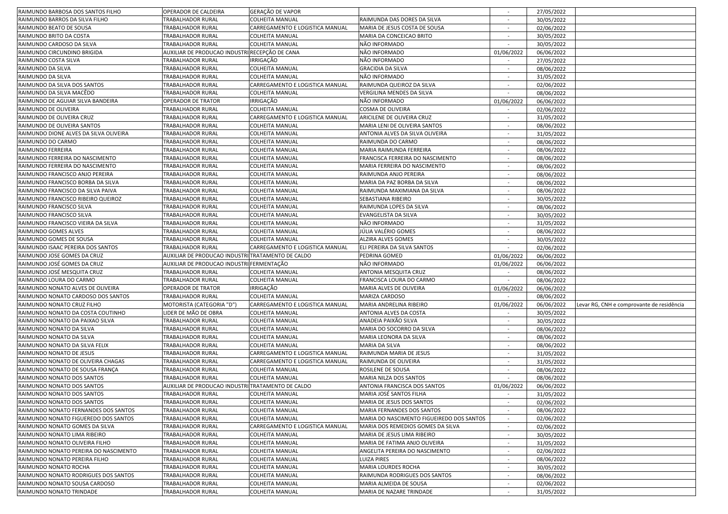| RAIMUNDO BARBOSA DOS SANTOS FILHO      | OPERADOR DE CALDEIRA                              | GERAÇÃO DE VAPOR                |                                           |                          | 27/05/2022 |                                           |
|----------------------------------------|---------------------------------------------------|---------------------------------|-------------------------------------------|--------------------------|------------|-------------------------------------------|
| RAIMUNDO BARROS DA SILVA FILHO         | TRABALHADOR RURAL                                 | COLHEITA MANUAL                 | RAIMUNDA DAS DORES DA SILVA               | $\sim$                   | 30/05/2022 |                                           |
| RAIMUNDO BEATO DE SOUSA                | TRABALHADOR RURAL                                 | CARREGAMENTO E LOGISTICA MANUAL | MARIA DE JESUS COSTA DE SOUSA             | $\sim$                   | 02/06/2022 |                                           |
| RAIMUNDO BRITO DA COSTA                | TRABALHADOR RURAL                                 | <b>COLHEITA MANUAL</b>          | MARIA DA CONCEICAO BRITO                  | $\sim$                   | 30/05/2022 |                                           |
| RAIMUNDO CARDOSO DA SILVA              | TRABALHADOR RURAL                                 | <b>COLHEITA MANUAL</b>          | NÃO INFORMADO                             |                          | 30/05/2022 |                                           |
| RAIMUNDO CIRCUNDINO BRIGIDA            | AUXILIAR DE PRODUCAO INDUSTRI RECEPÇÃO DE CANA    |                                 | NÃO INFORMADO                             | 01/06/2022               | 06/06/2022 |                                           |
| RAIMUNDO COSTA SILVA                   | TRABALHADOR RURAL                                 | IRRIGAÇÃO                       | NÃO INFORMADO                             |                          | 27/05/2022 |                                           |
| RAIMUNDO DA SILVA                      | TRABALHADOR RURAL                                 | <b>COLHEITA MANUAL</b>          | <b>GRACIDIA DA SILVA</b>                  |                          | 08/06/2022 |                                           |
| RAIMUNDO DA SILVA                      | TRABALHADOR RURAL                                 | COLHEITA MANUAL                 | NÃO INFORMADO                             | $\overline{\phantom{a}}$ | 31/05/2022 |                                           |
| RAIMUNDO DA SILVA DOS SANTOS           | TRABALHADOR RURAL                                 | CARREGAMENTO E LOGISTICA MANUAL | RAIMUNDA QUEIROZ DA SILVA                 | $\sim$                   | 02/06/2022 |                                           |
| RAIMUNDO DA SILVA MACÊDO               | TRABALHADOR RURAL                                 | COLHEITA MANUAL                 | VERGILINA MENDES DA SILVA                 | $\sim$                   | 08/06/2022 |                                           |
| RAIMUNDO DE AGUIAR SILVA BANDEIRA      | OPERADOR DE TRATOR                                | IRRIGAÇÃO                       | NÃO INFORMADO                             | 01/06/2022               | 06/06/2022 |                                           |
| RAIMUNDO DE OLIVEIRA                   | TRABALHADOR RURAL                                 | <b>COLHEITA MANUAL</b>          | COSMA DE OLIVEIRA                         |                          | 02/06/2022 |                                           |
| RAIMUNDO DE OLIVEIRA CRUZ              | TRABALHADOR RURAL                                 | CARREGAMENTO E LOGISTICA MANUAL | ARICILENE DE OLIVEIRA CRUZ                |                          | 31/05/2022 |                                           |
| RAIMUNDO DE OLIVEIRA SANTOS            | TRABALHADOR RURAL                                 | COLHEITA MANUAL                 | MARIA LENI DE OLIVEIRA SANTOS             |                          | 08/06/2022 |                                           |
| RAIMUNDO DIONE ALVES DA SILVA OLIVEIRA | TRABALHADOR RURAL                                 | COLHEITA MANUAL                 | ANTONIA ALVES DA SILVA OLIVEIRA           |                          | 31/05/2022 |                                           |
|                                        | TRABALHADOR RURAL                                 | COLHEITA MANUAL                 | RAIMUNDA DO CARMO                         | $\overline{\phantom{a}}$ | 08/06/2022 |                                           |
| RAIMUNDO DO CARMO<br>RAIMUNDO FERREIRA | TRABALHADOR RURAL                                 | <b>COLHEITA MANUAL</b>          | MARIA RAIMUNDA FERREIRA                   |                          |            |                                           |
|                                        |                                                   |                                 | FRANCISCA FERREIRA DO NASCIMENTO          | $\sim$                   | 08/06/2022 |                                           |
| RAIMUNDO FERREIRA DO NASCIMENTO        | TRABALHADOR RURAL                                 | COLHEITA MANUAL                 |                                           |                          | 08/06/2022 |                                           |
| RAIMUNDO FERREIRA DO NASCIMENTO        | TRABALHADOR RURAL                                 | COLHEITA MANUAL                 | MARIA FERREIRA DO NASCIMENTO              | $\sim$                   | 08/06/2022 |                                           |
| RAIMUNDO FRANCISCO ANJO PEREIRA        | TRABALHADOR RURAL                                 | COLHEITA MANUAL                 | RAIMUNDA ANJO PEREIRA                     |                          | 08/06/2022 |                                           |
| RAIMUNDO FRANCISCO BORBA DA SILVA      | <b>TRABALHADOR RURAL</b>                          | <b>COLHEITA MANUAL</b>          | MARIA DA PAZ BORBA DA SILVA               |                          | 08/06/2022 |                                           |
| RAIMUNDO FRANCISCO DA SILVA PAIVA      | TRABALHADOR RURAL                                 | COLHEITA MANUAL                 | RAIMUNDA MAXIMIANA DA SILVA               |                          | 08/06/2022 |                                           |
| RAIMUNDO FRANCISCO RIBEIRO QUEIROZ     | TRABALHADOR RURAL                                 | COLHEITA MANUAL                 | SEBASTIANA RIBEIRO                        | $\sim$                   | 30/05/2022 |                                           |
| RAIMUNDO FRANCISCO SILVA               | TRABALHADOR RURAL                                 | <b>COLHEITA MANUAL</b>          | RAIMUNDA LOPES DA SILVA                   | $\sim$                   | 08/06/2022 |                                           |
| RAIMUNDO FRANCISCO SILVA               | TRABALHADOR RURAL                                 | <b>COLHEITA MANUAL</b>          | EVANGELISTA DA SILVA                      |                          | 30/05/2022 |                                           |
| RAIMUNDO FRANCISCO VIEIRA DA SILVA     | TRABALHADOR RURAL                                 | <b>COLHEITA MANUAL</b>          | NÃO INFORMADO                             | $\sim$                   | 31/05/2022 |                                           |
| RAIMUNDO GOMES ALVES                   | TRABALHADOR RURAL                                 | <b>COLHEITA MANUAL</b>          | JÚLIA VALÉRIO GOMES                       |                          | 08/06/2022 |                                           |
| RAIMUNDO GOMES DE SOUSA                | TRABALHADOR RURAL                                 | <b>COLHEITA MANUAL</b>          | <b>ALZIRA ALVES GOMES</b>                 |                          | 30/05/2022 |                                           |
| RAIMUNDO ISAAC PEREIRA DOS SANTOS      | TRABALHADOR RURAL                                 | CARREGAMENTO E LOGISTICA MANUAL | ELI PEREIRA DA SILVA SANTOS               |                          | 02/06/2022 |                                           |
| RAIMUNDO JOSE GOMES DA CRUZ            | AUXILIAR DE PRODUCAO INDUSTRI TRATAMENTO DE CALDO |                                 | PEDRINA GOMED                             | 01/06/2022               | 06/06/2022 |                                           |
| RAIMUNDO JOSÉ GOMES DA CRUZ            | AUXILIAR DE PRODUCAO INDUSTRI FERMENTAÇÃO         |                                 | NÃO INFORMADO                             | 01/06/2022               | 06/06/2022 |                                           |
| RAIMUNDO JOSÉ MESQUITA CRUZ            | TRABALHADOR RURAL                                 | <b>COLHEITA MANUAL</b>          | ANTONIA MESQUITA CRUZ                     |                          | 08/06/2022 |                                           |
| RAIMUNDO LOURA DO CARMO                | TRABALHADOR RURAL                                 | <b>COLHEITA MANUAL</b>          | FRANCISCA LOURA DO CARMO                  |                          | 08/06/2022 |                                           |
| RAIMUNDO NONATO ALVES DE OLIVEIRA      | <b>OPERADOR DE TRATOR</b>                         | IRRIGAÇÃO                       | MARIA ALVES DE OLIVEIRA                   | 01/06/2022               | 06/06/2022 |                                           |
| RAIMUNDO NONATO CARDOSO DOS SANTOS     | TRABALHADOR RURAL                                 | <b>COLHEITA MANUAL</b>          | MARIZA CARDOSO                            |                          | 08/06/2022 |                                           |
| RAIMUNDO NONATO CRUZ FILHO             | MOTORISTA (CATEGORIA "D")                         | CARREGAMENTO E LOGISTICA MANUAL | MARIA ANDRELINA RIBEIRO                   | 01/06/2022               | 06/06/2022 | Levar RG, CNH e comprovante de residência |
| RAIMUNDO NONATO DA COSTA COUTINHO      | LIDER DE MÃO DE OBRA                              | <b>COLHEITA MANUAL</b>          | ANTONIA ALVES DA COSTA                    | $\overline{\phantom{a}}$ | 30/05/2022 |                                           |
| RAIMUNDO NONATO DA PAIXAO SILVA        | TRABALHADOR RURAL                                 | <b>COLHEITA MANUAL</b>          | ANADEIA PAIXÃO SILVA                      | $\sim$                   | 30/05/2022 |                                           |
| RAIMUNDO NONATO DA SILVA               | TRABALHADOR RURAL                                 | <b>COLHEITA MANUAL</b>          | MARIA DO SOCORRO DA SILVA                 |                          | 08/06/2022 |                                           |
| RAIMUNDO NONATO DA SILVA               | TRABALHADOR RURAL                                 | <b>COLHEITA MANUAL</b>          | MARIA LEONORA DA SILVA                    | $\sim$                   | 08/06/2022 |                                           |
| RAIMUNDO NONATO DA SILVA FELIX         | TRABALHADOR RURAL                                 | <b>COLHEITA MANUAL</b>          | MARIA DA SILVA                            | $\overline{\phantom{a}}$ | 08/06/2022 |                                           |
| RAIMUNDO NONATO DE JESUS               | TRABALHADOR RURAL                                 | CARREGAMENTO E LOGISTICA MANUAL | RAIMUNDA MARIA DE JESUS                   |                          | 31/05/2022 |                                           |
| RAIMUNDO NONATO DE OLIVEIRA CHAGAS     | TRABALHADOR RURAL                                 | CARREGAMENTO E LOGISTICA MANUAL | RAIMUNDA DE OLIVEIRA                      |                          | 31/05/2022 |                                           |
| RAIMUNDO NONATO DE SOUSA FRANÇA        | TRABALHADOR RURAL                                 | <b>COLHEITA MANUAL</b>          | ROSILENE DE SOUSA                         | $\sim$                   | 08/06/2022 |                                           |
| RAIMUNDO NONATO DOS SANTOS             | TRABALHADOR RURAL                                 | COLHEITA MANUAL                 | MARIA NILZA DOS SANTOS                    | $\sim$                   | 08/06/2022 |                                           |
| RAIMUNDO NONATO DOS SANTOS             | AUXILIAR DE PRODUCAO INDUSTRI TRATAMENTO DE CALDO |                                 | ANTONIA FRANCISCA DOS SANTOS              | 01/06/2022               | 06/06/2022 |                                           |
| RAIMUNDO NONATO DOS SANTOS             | TRABALHADOR RURAL                                 | <b>COLHEITA MANUAL</b>          | MARIA JOSÉ SANTOS FILHA                   |                          | 31/05/2022 |                                           |
| RAIMUNDO NONATO DOS SANTOS             | <b>TRABALHADOR RURAL</b>                          | <b>COLHEITA MANUAL</b>          | MARIA DE JESUS DOS SANTOS                 | $\overline{\phantom{a}}$ | 02/06/2022 |                                           |
| RAIMUNDO NONATO FERNANDES DOS SANTOS   | TRABALHADOR RURAL                                 | <b>COLHEITA MANUAL</b>          | MARIA FERNANDES DOS SANTOS                |                          | 08/06/2022 |                                           |
| RAIMUNDO NONATO FIGUEREDO DOS SANTOS   | TRABALHADOR RURAL                                 | COLHEITA MANUAL                 | MARIA DO NASCIMENTO FIGUEIREDO DOS SANTOS |                          | 02/06/2022 |                                           |
| RAIMUNDO NONATO GOMES DA SILVA         | TRABALHADOR RURAL                                 | CARREGAMENTO E LOGISTICA MANUAL | MARIA DOS REMEDIOS GOMES DA SILVA         | $\sim$                   | 02/06/2022 |                                           |
| RAIMUNDO NONATO LIMA RIBEIRO           | TRABALHADOR RURAL                                 | <b>COLHEITA MANUAL</b>          | MARIA DE JESUS LIMA RIBEIRO               | $\sim$                   | 30/05/2022 |                                           |
| RAIMUNDO NONATO OLIVEIRA FILHO         | TRABALHADOR RURAL                                 | <b>COLHEITA MANUAL</b>          | MARIA DE FATIMA ANJO OLIVEIRA             | $\sim$                   | 31/05/2022 |                                           |
| RAIMUNDO NONATO PEREIRA DO NASCIMENTO  | <b>TRABALHADOR RURAL</b>                          | <b>COLHEITA MANUAL</b>          | ANGELITA PEREIRA DO NASCIMENTO            | $\sim$                   | 02/06/2022 |                                           |
| RAIMUNDO NONATO PEREIRA FILHO          | TRABALHADOR RURAL                                 | <b>COLHEITA MANUAL</b>          | LUIZA PIRES                               | $\overline{\phantom{a}}$ | 08/06/2022 |                                           |
| RAIMUNDO NONATO ROCHA                  | TRABALHADOR RURAL                                 | COLHEITA MANUAL                 | MARIA LOURDES ROCHA                       |                          | 30/05/2022 |                                           |
| RAIMUNDO NONATO RODRIGUES DOS SANTOS   | TRABALHADOR RURAL                                 | COLHEITA MANUAL                 | RAIMUNDA RODRIGUES DOS SANTOS             | $\sim$                   | 08/06/2022 |                                           |
| RAIMUNDO NONATO SOUSA CARDOSO          | TRABALHADOR RURAL                                 | <b>COLHEITA MANUAL</b>          | MARIA ALMEIDA DE SOUSA                    | $\sim$                   | 02/06/2022 |                                           |
|                                        | TRABALHADOR RURAL                                 | <b>COLHEITA MANUAL</b>          | MARIA DE NAZARE TRINDADE                  | $\sim$                   | 31/05/2022 |                                           |
| RAIMUNDO NONATO TRINDADE               |                                                   |                                 |                                           |                          |            |                                           |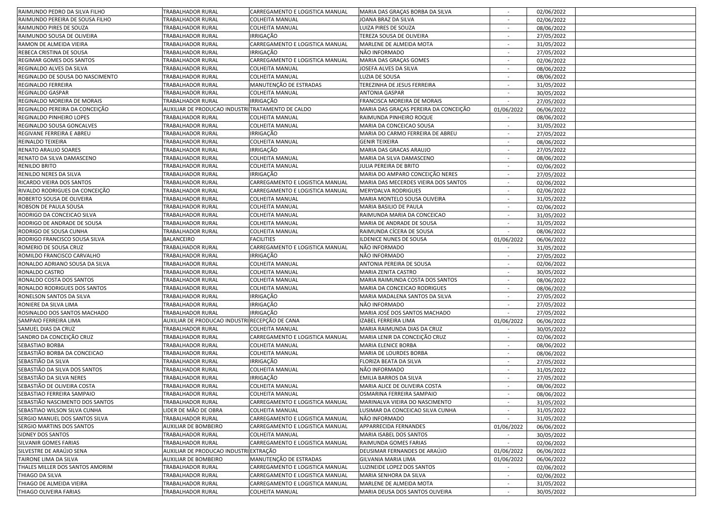| RAIMUNDO PEDRO DA SILVA FILHO                                                                                                                                      | TRABALHADOR RURAL                                 | CARREGAMENTO E LOGISTICA MANUAL                    | MARIA DAS GRAÇAS BORBA DA SILVA                            |                          | 02/06/2022               |  |
|--------------------------------------------------------------------------------------------------------------------------------------------------------------------|---------------------------------------------------|----------------------------------------------------|------------------------------------------------------------|--------------------------|--------------------------|--|
| RAIMUNDO PEREIRA DE SOUSA FILHO                                                                                                                                    | TRABALHADOR RURAL                                 | <b>COLHEITA MANUAL</b>                             | JOANA BRAZ DA SILVA                                        | $\sim$                   | 02/06/2022               |  |
| RAIMUNDO PIRES DE SOUZA                                                                                                                                            | TRABALHADOR RURAL                                 | COLHEITA MANUAL                                    | LUIZA PIRES DE SOUZA                                       |                          | 08/06/2022               |  |
| RAIMUNDO SOUSA DE OLIVEIRA                                                                                                                                         | TRABALHADOR RURAL                                 | IRRIGAÇÃO                                          | TEREZA SOUSA DE OLIVEIRA                                   | $\sim$                   | 27/05/2022               |  |
| RAMON DE ALMEIDA VIEIRA                                                                                                                                            | TRABALHADOR RURAL                                 | CARREGAMENTO E LOGISTICA MANUAL                    | MARLENE DE ALMEIDA MOTA                                    |                          | 31/05/2022               |  |
| REBECA CRISTINA DE SOUSA                                                                                                                                           | TRABALHADOR RURAL                                 | <b>IRRIGAÇÃO</b>                                   | NÃO INFORMADO                                              |                          | 27/05/2022               |  |
| REGIMAR GOMES DOS SANTOS                                                                                                                                           | TRABALHADOR RURAL                                 | CARREGAMENTO E LOGISTICA MANUAL                    | MARIA DAS GRAÇAS GOMES                                     |                          | 02/06/2022               |  |
| REGINALDO ALVES DA SILVA                                                                                                                                           | TRABALHADOR RURAL                                 | COLHEITA MANUAL                                    | JOSEFA ALVES DA SILVA                                      |                          | 08/06/2022               |  |
| REGINALDO DE SOUSA DO NASCIMENTO                                                                                                                                   | TRABALHADOR RURAL                                 | COLHEITA MANUAL                                    | LUZIA DE SOUSA                                             | $\sim$                   | 08/06/2022               |  |
| REGINALDO FERREIRA                                                                                                                                                 | TRABALHADOR RURAL                                 | MANUTENÇÃO DE ESTRADAS                             | TEREZINHA DE JESUS FERREIRA                                | $\sim$                   | 31/05/2022               |  |
| REGINALDO GASPAR                                                                                                                                                   | TRABALHADOR RURAL                                 | <b>COLHEITA MANUAL</b>                             | <b>ANTONIA GASPAR</b>                                      |                          | 30/05/2022               |  |
| REGINALDO MOREIRA DE MORAIS                                                                                                                                        | TRABALHADOR RURAL                                 |                                                    | FRANCISCA MOREIRA DE MORAIS                                |                          |                          |  |
| REGINALDO PEREIRA DA CONCEIÇÃO                                                                                                                                     |                                                   | IRRIGAÇÃO                                          |                                                            |                          | 27/05/2022               |  |
|                                                                                                                                                                    | AUXILIAR DE PRODUCAO INDUSTRI TRATAMENTO DE CALDO |                                                    | MARIA DAS GRAÇAS PEREIRA DA CONCEIÇÃO                      | 01/06/2022               | 06/06/2022               |  |
| REGINALDO PINHEIRO LOPES                                                                                                                                           | TRABALHADOR RURAL                                 | <b>COLHEITA MANUAL</b>                             | RAIMUNDA PINHEIRO ROQUE                                    |                          | 08/06/2022               |  |
| REGINALDO SOUSA GONCALVES                                                                                                                                          | TRABALHADOR RURAL                                 | COLHEITA MANUAL                                    | MARIA DA CONCEICAO SOUSA                                   |                          | 31/05/2022               |  |
| REGIVANE FERREIRA E ABREU                                                                                                                                          | TRABALHADOR RURAL                                 | IRRIGAÇÃO                                          | MARIA DO CARMO FERREIRA DE ABREU                           | $\sim$                   | 27/05/2022               |  |
| REINALDO TEIXEIRA                                                                                                                                                  | TRABALHADOR RURAL                                 | COLHEITA MANUAL                                    | <b>GENIR TEIXEIRA</b>                                      | $\sim$                   | 08/06/2022               |  |
| RENATO ARAUJO SOARES                                                                                                                                               | TRABALHADOR RURAL                                 | IRRIGAÇÃO                                          | MARIA DAS GRACAS ARAUJO                                    | $\sim$                   | 27/05/2022               |  |
| RENATO DA SILVA DAMASCENO                                                                                                                                          | TRABALHADOR RURAL                                 | <b>COLHEITA MANUAL</b>                             | MARIA DA SILVA DAMASCENO                                   | $\sim$                   | 08/06/2022               |  |
| <b>RENILDO BRITO</b>                                                                                                                                               | TRABALHADOR RURAL                                 | <b>COLHEITA MANUAL</b>                             | JULIA PEREIRA DE BRITO                                     | $\sim$                   | 02/06/2022               |  |
| RENILDO NERES DA SILVA                                                                                                                                             | TRABALHADOR RURAL                                 | <b>IRRIGAÇÃO</b>                                   | MARIA DO AMPARO CONCEIÇÃO NERES                            |                          | 27/05/2022               |  |
| RICARDO VIEIRA DOS SANTOS                                                                                                                                          | TRABALHADOR RURAL                                 | CARREGAMENTO E LOGISTICA MANUAL                    | MARIA DAS MECERDES VIEIRA DOS SANTOS                       |                          | 02/06/2022               |  |
| RIVALDO RODRIGUES DA CONCEIÇÃO                                                                                                                                     | TRABALHADOR RURAL                                 | CARREGAMENTO E LOGISTICA MANUAL                    | <b>MERYDALVA RODRIGUES</b>                                 | $\sim$                   | 02/06/2022               |  |
| ROBERTO SOUSA DE OLIVEIRA                                                                                                                                          | TRABALHADOR RURAL                                 | COLHEITA MANUAL                                    | MARIA MONTELO SOUSA OLIVEIRA                               | $\sim$                   | 31/05/2022               |  |
| ROBSON DE PAULA SOUSA                                                                                                                                              | TRABALHADOR RURAL                                 | <b>COLHEITA MANUAL</b>                             | MARIA BASILIO DE PAULA                                     | $\sim$                   | 02/06/2022               |  |
| RODRIGO DA CONCEICAO SILVA                                                                                                                                         | TRABALHADOR RURAL                                 | <b>COLHEITA MANUAL</b>                             | RAIMUNDA MARIA DA CONCEICAO                                |                          | 31/05/2022               |  |
| RODRIGO DE ANDRADE DE SOUSA                                                                                                                                        | TRABALHADOR RURAL                                 | <b>COLHEITA MANUAL</b>                             | MARIA DE ANDRADE DE SOUSA                                  |                          | 31/05/2022               |  |
| RODRIGO DE SOUSA CUNHA                                                                                                                                             | TRABALHADOR RURAL                                 | <b>COLHEITA MANUAL</b>                             | RAIMUNDA CÍCERA DE SOUSA                                   |                          | 08/06/2022               |  |
| RODRIGO FRANCISCO SOUSA SILVA                                                                                                                                      | <b>BALANCEIRO</b>                                 | <b>FACILITIES</b>                                  | ILDENICE NUNES DE SOUSA                                    | 01/06/2022               | 06/06/2022               |  |
| ROMERIO DE SOUSA CRUZ                                                                                                                                              | TRABALHADOR RURAL                                 | CARREGAMENTO E LOGISTICA MANUAL                    | NÃO INFORMADO                                              | $\sim$                   | 31/05/2022               |  |
|                                                                                                                                                                    |                                                   |                                                    |                                                            |                          |                          |  |
| ROMILDO FRANCISCO CARVALHO                                                                                                                                         | TRABALHADOR RURAL                                 | IRRIGAÇÃO                                          | NÃO INFORMADO                                              | $\sim$                   | 27/05/2022               |  |
| RONALDO ADRIANO SOUSA DA SILVA                                                                                                                                     | TRABALHADOR RURAL                                 | COLHEITA MANUAL                                    | ANTONIA PEREIRA DE SOUSA                                   | $\sim$                   | 02/06/2022               |  |
|                                                                                                                                                                    |                                                   | <b>COLHEITA MANUAL</b>                             | MARIA ZENITA CASTRO                                        |                          |                          |  |
| RONALDO CASTRO<br>RONALDO COSTA DOS SANTOS                                                                                                                         | TRABALHADOR RURAL<br>TRABALHADOR RURAL            | <b>COLHEITA MANUAL</b>                             | MARIA RAIMUNDA COSTA DOS SANTOS                            |                          | 30/05/2022               |  |
| RONALDO RODRIGUES DOS SANTOS                                                                                                                                       | TRABALHADOR RURAL                                 | <b>COLHEITA MANUAL</b>                             | MARIA DA CONCEICAO RODRIGUES                               |                          | 08/06/2022               |  |
|                                                                                                                                                                    |                                                   |                                                    |                                                            |                          | 08/06/2022               |  |
| RONELSON SANTOS DA SILVA                                                                                                                                           | TRABALHADOR RURAL                                 | IRRIGAÇÃO                                          | MARIA MADALENA SANTOS DA SILVA                             | $\sim$                   | 27/05/2022               |  |
| RONIERE DA SILVA LIMA                                                                                                                                              | TRABALHADOR RURAL                                 | IRRIGAÇÃO                                          | NÃO INFORMADO                                              | $\sim$                   | 27/05/2022               |  |
| ROSINALDO DOS SANTOS MACHADO                                                                                                                                       | TRABALHADOR RURAL                                 | <b>IRRIGAÇÃO</b>                                   | MARIA JOSÉ DOS SANTOS MACHADO                              |                          | 27/05/2022               |  |
| SAMPAIO FERREIRA LIMA                                                                                                                                              | AUXILIAR DE PRODUCAO INDUSTRI RECEPÇÃO DE CANA    |                                                    | IZABEL FERREIRA LIMA                                       | 01/06/2022               | 06/06/2022               |  |
| SAMUEL DIAS DA CRUZ                                                                                                                                                | TRABALHADOR RURAL                                 | <b>COLHEITA MANUAL</b>                             | MARIA RAIMUNDA DIAS DA CRUZ                                |                          | 30/05/2022               |  |
| SANDRO DA CONCEIÇÃO CRUZ                                                                                                                                           | TRABALHADOR RURAL                                 | CARREGAMENTO E LOGISTICA MANUAL                    | MARIA LENIR DA CONCEIÇÃO CRUZ                              | $\sim$                   | 02/06/2022               |  |
| SEBASTIAO BORBA                                                                                                                                                    | TRABALHADOR RURAL                                 | <b>COLHEITA MANUAL</b>                             | <b>MARIA ELENICE BORBA</b>                                 |                          | 08/06/2022               |  |
| SEBASTIÃO BORBA DA CONCEICAO                                                                                                                                       | TRABALHADOR RURAL                                 | <b>COLHEITA MANUAL</b>                             | MARIA DE LOURDES BORBA                                     |                          | 08/06/2022               |  |
| SEBASTIÃO DA SILVA                                                                                                                                                 | TRABALHADOR RURAL                                 | IRRIGAÇÃO                                          | FLORIZA BEATA DA SILVA                                     | $\sim$                   | 27/05/2022               |  |
| SEBASTIÃO DA SILVA DOS SANTOS                                                                                                                                      | TRABALHADOR RURAL                                 | COLHEITA MANUAL                                    | NÃO INFORMADO                                              | $\sim$                   | 31/05/2022               |  |
| SEBASTIÃO DA SILVA NERES                                                                                                                                           | TRABALHADOR RURAL                                 | IRRIGAÇÃO                                          | EMILIA BARROS DA SILVA                                     | $\sim$                   | 27/05/2022               |  |
| SEBASTIÃO DE OLIVEIRA COSTA                                                                                                                                        | TRABALHADOR RURAL                                 | <b>COLHEITA MANUAL</b>                             | MARIA ALICE DE OLIVEIRA COSTA                              | $\overline{\phantom{a}}$ | 08/06/2022               |  |
| SEBASTIAO FERREIRA SAMPAIO                                                                                                                                         | TRABALHADOR RURAL                                 | COLHEITA MANUAL                                    | OSMARINA FERREIRA SAMPAIO                                  |                          | 08/06/2022               |  |
| SEBASTIÃO NASCIMENTO DOS SANTOS                                                                                                                                    | <b>TRABALHADOR RURAL</b>                          | CARREGAMENTO E LOGISTICA MANUAL                    | MARINALVA VIEIRA DO NASCIMENTO                             |                          | 31/05/2022               |  |
|                                                                                                                                                                    | LIDER DE MÃO DE OBRA                              | COLHEITA MANUAL                                    | LUSIMAR DA CONCEICAO SILVA CUNHA                           |                          | 31/05/2022               |  |
|                                                                                                                                                                    | TRABALHADOR RURAL                                 | CARREGAMENTO E LOGISTICA MANUAL                    | NÃO INFORMADO                                              |                          | 31/05/2022               |  |
| SERGIO MARTINS DOS SANTOS                                                                                                                                          | AUXILIAR DE BOMBEIRO                              | CARREGAMENTO E LOGISTICA MANUAL                    | APPARRECIDA FERNANDES                                      | 01/06/2022               | 06/06/2022               |  |
|                                                                                                                                                                    | <b>TRABALHADOR RURAL</b>                          | <b>COLHEITA MANUAL</b>                             | MARIA ISABEL DOS SANTOS                                    | $\sim$                   | 30/05/2022               |  |
|                                                                                                                                                                    | <b>TRABALHADOR RURAL</b>                          | CARREGAMENTO E LOGISTICA MANUAL                    | RAIMUNDA GOMES FARIAS                                      | $\sim$                   | 02/06/2022               |  |
| SILVESTRE DE ARAÚJO SENA                                                                                                                                           | AUXILIAR DE PRODUCAO INDUSTRI EXTRAÇÃO            |                                                    | DEUSIMAR FERNANDES DE ARAÚJO                               | 01/06/2022               | 06/06/2022               |  |
| TAIRONE LIMA DA SILVA                                                                                                                                              | <b>AUXILIAR DE BOMBEIRO</b>                       | MANUTENÇÃO DE ESTRADAS                             | GILVANIA MARIA LIMA                                        | 01/06/2022               | 06/06/2022               |  |
| THALES MILLER DOS SANTOS AMORIM                                                                                                                                    | TRABALHADOR RURAL                                 | CARREGAMENTO E LOGISTICA MANUAL                    | LUZINEIDE LOPEZ DOS SANTOS                                 |                          | 02/06/2022               |  |
| THIAGO DA SILVA                                                                                                                                                    | TRABALHADOR RURAL                                 | CARREGAMENTO E LOGISTICA MANUAL                    | MARIA SENHORA DA SILVA                                     | $\sim$                   | 02/06/2022               |  |
| SEBASTIAO WILSON SILVA CUNHA<br>SERGIO MANUEL DOS SANTOS SILVA<br>SIDNEY DOS SANTOS<br>SILVANIR GOMES FARIAS<br>THIAGO DE ALMEIDA VIEIRA<br>THIAGO OLIVEIRA FARIAS | TRABALHADOR RURAL<br><b>TRABALHADOR RURAL</b>     | CARREGAMENTO E LOGISTICA MANUAL<br>COLHEITA MANUAL | MARLENE DE ALMEIDA MOTA<br>MARIA DEUSA DOS SANTOS OLIVEIRA | $\sim$                   | 31/05/2022<br>30/05/2022 |  |